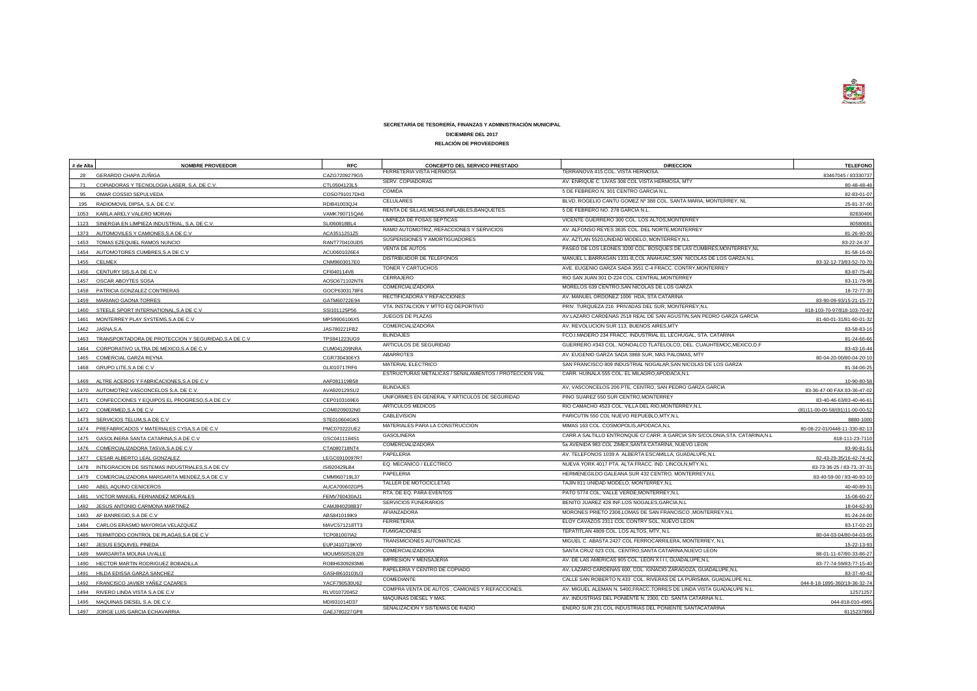

### **SECRETARÍA DE TESORERÍA, FINANZAS Y ADMINISTRACIÓN MUNICIPAL**

# **DICIEMBRE DEL 2017**

# **RELACIÓN DE PROVEEDORES**

| # de Alta | <b>NOMBRE PROVEEDOR</b>                                   | <b>RFC</b>    | CONCEPTO DEL SERVICO PRESTADO                           | <b>DIRECCION</b>                                                               | <b>TELEFONO</b>                 |
|-----------|-----------------------------------------------------------|---------------|---------------------------------------------------------|--------------------------------------------------------------------------------|---------------------------------|
| 28        | GERARDO CHAPA ZUÑIGA                                      | CAZG7209279G5 | FERRETERIA VISTA HERMOSA                                | TERRANOVA 415 COL. VISTA HERMOSA                                               | 83467045 / 83330737             |
| 71        | COPIADORAS Y TECNOLOGIA LASER, S.A. DE C.V.               | CTL0504123L5  | SERV. COPIADORAS                                        | AV. ENRIQUE C. LIVAS 308 COL VISTA HERMOSA, MTY                                | 80-48-48-48                     |
| 95        | OMAR COSSIO SEPULVEDA                                     | COSO791017DH3 | COMIDA                                                  | 5 DE FEBRERO N. 301 CENTRO GARCIA N.L.                                         | 82-83-01-07                     |
| 195       | RADIOMOVIL DIPSA, S.A. DE C.V.                            | RDI841003QJ4  | CELULARES                                               | BLVD. ROGELIO CANTU GOMEZ Nº 388 COL. SANTA MARIA, MONTERREY, NL               | 25-81-37-00                     |
|           | 1053 KARLA ARELY VALERO MORAN                             | VAMK790715QA6 | RENTA DE SILLAS, MESAS, INFLABLES, BANQUETES.           | 5 DE FEBRERO NO. 278 GARCIA N.L.                                               | 82830406                        |
|           | 1123 SINERGIA EN LIMPIEZA INDUSTRIAL, S.A. DE C.V.        | SLI060818BL4  | LIMPIEZA DE FOSAS SEPTICAS                              | VICENTE GUERRERO 300 COL. LOS ALTOS.MONTERREY                                  | 80580681                        |
|           | 1373 AUTOMOVILES Y CAMIONES, S.A DE C.V                   | ACA3511251Z5  | RAMO AUTOMOTRIZ, REFACCIONES Y SERVICIOS                | AV. ALFONSO REYES 3635 COL. DEL NORTE MONTERREY                                | 81-26-90-00                     |
|           | 1453 TOMAS EZEQUIEL RAMOS NUNCIO                          | RANT770410UD5 | SUSPENSIONES Y AMORTIGUADORES                           | AV. AZTLAN 5520.UNIDAD MODELO, MONTERREY.N.L                                   | 83-22-24-37                     |
|           | 1454 AUTOMOTORES CUMBRES, S.A DE C.V                      | ACU0601026E4  | VENTA DE AUTOS                                          | PASEO DE LOS LEONES 3200 COL. BOSQUES DE LAS CUMBRES, MONTERREY, NL            | 81-58-16-00                     |
|           | 1455 CELMEX                                               |               | DISTRIBUIDOR DE TELEFONOS                               | MANUEL L.BARRAGAN 1331-B,COL ANAHUAC,SAN NICOLAS DE LOS GARZA.N.L              |                                 |
|           |                                                           | CNM9603017E0  | TONER Y CARTUCHOS                                       | AVE. EUGENIO GARZA SADA 3551 C-4 FRACC. CONTRY, MONTERREY                      | 83-32-12-73/83-52-70-70         |
|           | 1456 CENTURY SIS, S.A DE C.V                              | CFI040114V8   | CERRAJERO                                               | RIO SAN JUAN 301 D-224 COL. CENTRAL, MONTERREY                                 | 83-87-75-40                     |
|           | 1457 OSCAR ABOYTES SOSA                                   | AOSO671102NT6 | COMERCIALIZADORA                                        | MORELOS 639 CENTRO, SAN NICOLAS DE LOS GARZA                                   | 83-11-79-98                     |
|           | 1458 PATRICIA GONZALEZ CONTRERAS                          | GOCP6303178F6 | RECTIFICADORA Y REFACCIONES                             | AV. MANUEL ORDOÑEZ 1006 HDA. STA CATARINA                                      | 18-72-77-30                     |
|           | 1459 MARIANO GAONA TORRES                                 | GATM60722E94  | VTA. INSTALCION Y MTTO EQ DEPORTIVO                     | PRIV. TURQUEZA 216 PRIVADAS DEL SUR, MONTERREY, N.L.                           | 83-90-09-93/15-21-15-77         |
|           | 1460 STEELE SPORT INTERNATIONAL, S.A DE C.V               | SSI101125P56  | JUEGOS DE PLAZAS                                        | AV.LAZARO CARDENAS 2518 REAL DE SAN AGUSTIN, SAN PEDRO GARZA GARCIA            | 818-103-70-97/818-103-70-97     |
|           | 1461 MONTERREY PLAY SYSTEMS, S.A DE C.V                   | MPS9906106X5  | COMERCIALIZADORA                                        | AV. REVOLUCION SUR 113, BUENOS AIRES, MTY                                      | 81-60-01-31/81-60-01-32         |
|           | 1462 JASNA, S.A                                           | JAS780221FB2  | <b>BLINDAJES</b>                                        | FCO.I.MADERO 234 FRACC. INDUSTRIAL EL LECHUGAL, STA. CATARINA                  | 83-58-83-16                     |
|           | 1463 TRANSPORTADORA DE PROTECCION Y SEGURIDAD, S.A DE C.V | TPS941223UG9  | ARTICULOS DE SEGURIDAD                                  | GUERRERO #343 COL. NONOALCO TLATELOLCO, DEL. CUAUHTEMOC, MEXICO, D.F           | 81-24-66-66                     |
|           | 1464 CORPORATIVO ULTRA DE MEXICO, S.A DE C.V              | CUM041209NRA  | ABARROTES                                               | AV. EUGENIO GARZA SADA 3868 SUR, MAS PALOMAS, MTY                              | 83-43-16-44                     |
|           | 1465 COMERCIAL GARZA REYNA                                | CGR7304306Y3  | MATERIAL ELECTRICO                                      | SAN FRANCISCO 809 INDUSTRIAL NOGALAR.SAN NICOLAS DE LOS GARZA                  | 80-04-20-00/80-04-20-10         |
|           | 1468 GRUPO LITE, S.A DE C.V                               | GLI010717RF6  | ESTRUCTURAS METALICAS / SEÑALAMIENTOS / PROTECCION VIAL | CARR. HUINALA 555 COL. EL MILAGRO.APODACA.N.L                                  | 81-34-06-25                     |
|           | ALTRE ACEROS Y FABRICACIONES, S.A DE C.V                  | AAF081119B58  |                                                         |                                                                                | 10-90-80-58                     |
|           | 1470 AUTOMOTRIZ VASCONCELOS S.A. DE C.V                   | AVA920129SU2  | <b>BLINDAJES</b>                                        | AV, VASCONCELOS 206 PTE, CENTRO, SAN PEDRO GARZA GARCIA                        | 83-36-47-00 FAX 83-36-47-02     |
| 1471      | CONFECCIONES Y EQUIPOS EL PROGRESO, S.A DE C.V            | CEP0103169E6  | UNIFORMES EN GENERAL Y ARTICULOS DE SEGURIDAD           | PINO SUAREZ 550 SUR CENTRO, MONTERREY                                          | 83-40-46-63/83-40-46-61         |
|           | 1472 COMERMED, S.A DE C.V                                 | COM0209032N0  | ARTICULOS MEDICOS                                       | RIO CAMACHO 4523 COL. VILLA DEL RIO, MONTERREY, N.L.                           | (81)11-00-00-58/(81)11-00-00-52 |
|           | 1473 SERVICIOS TELUM, S.A DE C.V                          | STE010604GK5  | CABLEVISION                                             | PARICUTIN 550 COL NUEVO REPUEBLO, MTY, N.L                                     | 8880-1000                       |
|           | 1474 PREFABRICADOS Y MATERIALES CYSA, S.A DE C.V          | PMC070222UE2  | MATERIALES PARA LA CONSTRUCCION                         | MIMAS 163 COL. COSMOPOLIS, APODACA, N.L.                                       | 80-08-22-01/0448-11-330-82-13   |
|           | 1475 GASOLINERA SANTA CATARINA, S.A DE C.V                | GSC0411184S1  | <b>GASOLINERA</b>                                       | CARR.A SALTILLO ENTRONQUE C/ CARR. A GARCIA S/N S/COLONIA, STA. CATARINA, N.L. | 818-111-23-7110                 |
|           | 1476 COMERCIALIZADORA TASVA, S.A DE C.V                   | CTA080718NT4  | COMERCIALIZADORA                                        | 5a AVENIDA 983 COL ZIMEX, SANTA CATARINA, NUEVO LEON                           | 83-90-81-51                     |
|           | 1477 CESAR ALBERTO LEAL GONZALEZ                          | LEGC6910097R7 | PAPELERIA                                               | AV. TELEFONOS 1039 A ALBERTA ESCAMILLA, GUADALUPE,N.L                          | 82-43-29-35/16-42-74-42         |
| 1478      | INTEGRACION DE SISTEMAS INDUSTRIALES, S.A DE CV           | ISI920429LB4  | EQ. MECANICO / ELECTRICO                                | NUEVA YORK 4017 PTA. ALTA FRACC. IND. LINCOLN, MTY.N.L                         | 83-73-36-25 / 83-73, -37-31     |
|           | 1479 COMERCIALIZADORA MARGARITA MENDEZ, S.A DE C.V        | CMM960719L37  | PAPELERIA                                               | HERMENEGILDO GALEANA SUR 432 CENTRO, MONTERREY, N.L.                           | 83-40-59-00 / 83-40-93-10       |
|           | 1480 ABEL AQUINO CENICEROS                                | AUCA700602GP5 | TALLER DE MOTOCICLETAS                                  | TAJIN 811 UNIDAD MODELO, MONTERREY, N,L                                        | 40-40-89-31                     |
|           | 1481 VICTOR MANUEL FERNANDEZ MORALES                      | FEMV760430AJ1 | RTA. DE EQ. PARA EVENTOS                                | PATO 5774 COL, VALLE VERDE, MONTERREY, N.L                                     | 15-06-60-27                     |
|           | 1482 JESUS ANTONIO CARMONA MARTINEZ                       |               | SERVICIOS FUNERARIOS                                    | BENITO JUAREZ 428 INF.LOS NOGALES, GARCIA, N.L                                 | 18-04-62-93                     |
| 1483      | AF BANREGIO, S.A DE C.V                                   | CAMJ840208B37 | AFIANZADORA                                             | MORONES PRIETO 2308.LOMAS DE SAN FRANCISCO .MONTERREY.N.L                      |                                 |
|           |                                                           | ABS841019IK9  | <b>FERRETERIA</b>                                       | ELOY CAVAZOS 2311 COL CONTRY SOL. NUEVO LEON                                   | 81-24-24-00                     |
|           | 1484 CARLOS ERASMO MAYORGA VELAZQUEZ                      | MAVC571218TT3 | <b>FUMIGACIONES</b>                                     | TEPATITLAN 4809 COL. LOS ALTOS, MTY, N.L.                                      | 83-17-02-23                     |
| 1485      | TERMITODO CONTROL DE PLAGAS, S.A DE C.V                   | TCP081007IA2  | TRANSMICIONES AUTOMATICAS                               | MIGUEL C. ABASTA 2427 COL FERROCARRILERA, MONTERREY, N.L.                      | 80-04-03-04/80-04-03-05         |
|           | 1487 JESUS ESQUIVEL PINEDA                                | EUPJ410719KY0 | COMERCIALIZADORA                                        | SANTA CRUZ 623 COL. CENTRO, SANTA CATARINA, NUEVO LEON                         | 15-22-13-93                     |
|           | 1489 MARGARITA MOLINA UVALLE                              | MOUM550528JZ8 | IMPRESIÓN Y MENSAJERIA                                  | AV. DE LAS AMERICAS 905 COL. LEON X III. GUADALUPE.N.L                         | 88-01-11-67/80-33-86-27         |
|           | 1490 HECTOR MARTIN RODRIGUEZ BOBADILLA                    | ROBH6309283M6 | PAPELERIA Y CENTRO DE COPIADO                           | AV. LAZARO CARDENAS 600, COL. IGNACIO ZARAGOZA, GUADALUPE,N.L                  | 83-77-74-59/83-77-15-40         |
|           | 1491 HILDA EDISSA GARZA SANCHEZ                           | GASH8610103U3 | COMEDIANTE                                              | CALLE SAN ROBERTO N.433 COL. RIVERAS DE LA PURISIMA, GUADALUPE N.L.            | 83-37-40-42                     |
|           | 1492 FRANCISCO JAVIER YAÑEZ CAZARES                       | YACF790530U62 | COMPRA VENTA DE AUTOS, CAMIONES Y REFACCIONES.          | AV. MIGUEL ALEMAN N. 5400.FRACC.TORRES DE LINDA VISTA GUADALUPE N.L.           | 044-8-18-1895-360/19-36-32-74   |
|           | 1494 RIVERO LINDA VISTA S.A DE C.V                        | RLV010720452  | MAQUINAS DIESEL Y MAS.                                  | AV. INDUSTRIAS DEL PONIENTE N. 2300, CD. SANTA CATARINA N.L.                   | 12571257                        |
|           | 1495 MAQUINAS DIESEL S.A. DE C.V.                         | MDI931014D37  | SEÑALIZACION Y SISTEMAS DE RADIO                        | ENERO SUR 231 COL INDUSTRIAS DEL PONIENTE SANTACATARINA                        | 044-818-010-4965                |
| 1497      | JORGE LUIS GARCIA ECHAVARRIA                              | GAEJ780227GP8 |                                                         |                                                                                | 8115237866                      |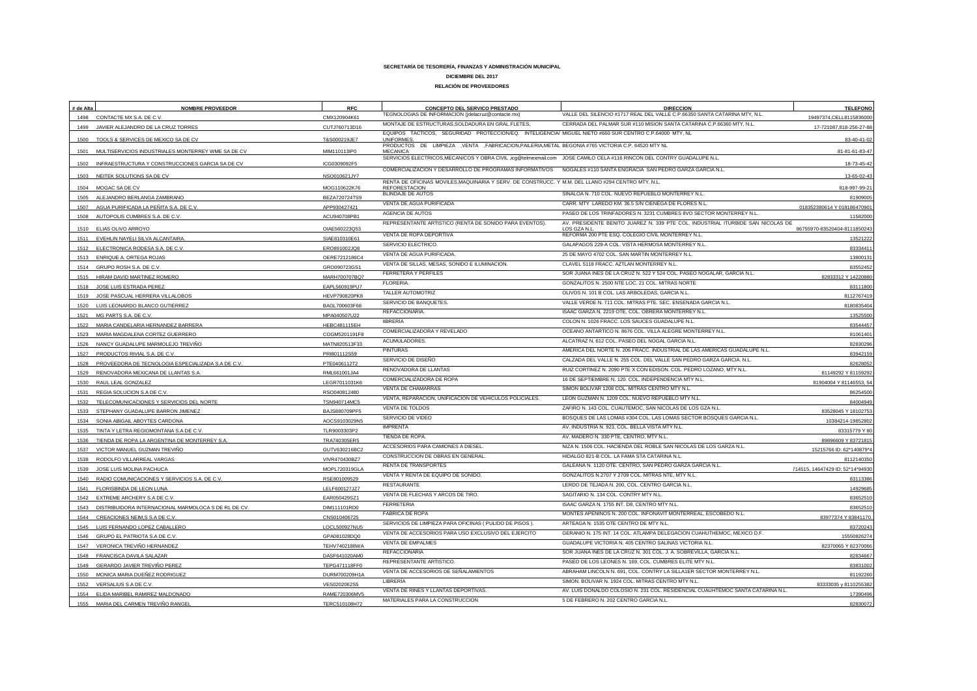| # de Alta | <b>NOMBRE PROVEEDOR</b>                                 | <b>RFC</b>           | CONCEPTO DEL SERVICO PRESTADO                                                                                                                                | <b>DIRECCION</b>                                                                | <b>TELEFONO</b>                 |
|-----------|---------------------------------------------------------|----------------------|--------------------------------------------------------------------------------------------------------------------------------------------------------------|---------------------------------------------------------------------------------|---------------------------------|
|           | 1498 CONTACTE MX S.A. DE C.V.                           | CMX120904K61         | TEGNOLOGIAS DE INFORMACION (jdelacruz@contacte.mx)                                                                                                           | VALLE DEL SILENCIO #1717 REAL DEL VALLE C.P.66350 SANTA CATARINA MTY, N.L.      | 19497374, CELL811583600         |
| 1499      | JAVIER ALEJANDRO DE LA CRUZ TORRES                      | CUTJ760713D16        | MONTAJE DE ESTRUCTURAS, SOLDADURA EN GRAL.FLETES,<br>EQUIPOS TACTICOS, SEGURIDAD PROTECCION/EQ. INTELIGENCIA/ MIGUEL NIETO #660 SUR CENTRO C.P.64000 MTY, NL | CERRADA DEL PALMAR SUR #110 MISION SANTA CATARINA C.P.66360 MTY, N.L.           | 17-721087,818-256-27-8          |
| 1500      | TOOLS & SERVICES DE MEXICO SA DE CV                     | T&S000219JE7         | <b>UNIFORMES</b>                                                                                                                                             |                                                                                 | 83-40-41-02                     |
|           | 1501 MULTISERVICIOS INDUSTRIALES MONTERREY WME SA DE CV | MIM110113IP0         | PRODUCTOS DE LIMPIEZA , VENTA , FABRICACION, PAILERIA, METAL BEGONIA #765 VICTORIA C.P. 64520 MTY NL<br><b>MECANICA</b>                                      |                                                                                 | 81-81-61-83-4                   |
|           |                                                         |                      | SERVICIOS ELECTRICOS, MECANICOS Y OBRA CIVIL, icg@telmexmail.com JOSE CAMILO CELA #116 RINCON DEL CONTRY GUADALUPE N.L.                                      |                                                                                 |                                 |
|           | 1502 INFRAESTRUCTURA Y CONSTRUCCIONES GARCIA SA DE CV   | ICG0309092F5         | COMERCIALIZACION Y DESARROLLO DE PROGRAMAS INFORMATIVOS NOGALES #110 SANTA ENGRACIA SAN PEDRO GARZA GARCIA N.L.                                              |                                                                                 | 18-73-45-4                      |
|           | 1503 NEITEK SOLUTIONS SA DE CV                          | NSO010621JY7         | RENTA DE OFICINAS MOVILES, MAQUINARIA Y SERV. DE CONSTRUCC. Y M.M. DEL LLANO #294 CENTRO MTY. N.L.                                                           |                                                                                 | 13-65-02-4                      |
|           | 1504 MOGAC SA DE CV                                     | MOG110622K76         | <b>REFORESTACION</b><br><b>BLINDAJE DE AUTOS</b>                                                                                                             | SINALOA N. 710 COL. NUEVO REPUEBLO MONTERREY N.L.                               | 818-997-99-2                    |
|           | ALEJANDRO BERLANGA ZAMBRANO                             | BEZA720724TS9        |                                                                                                                                                              | CARR. MTY LAREDO KM. 36.5 S/N CIENEGA DE FLORES N.L                             | 819090                          |
| 1507      | AGUA PURIFICADA LA PEÑITA S.A. DE C.V                   | APP930427421         | VENTA DE AGUA PURIFICADA<br>AGENCIA DE AUTOS                                                                                                                 | PASEO DE LOS TRINFADORES N. 3231 CUMBRES 8VO SECTOR MONTERREY N.L.              | 018352380614 Y 01818647090      |
| 1508      | AUTOPOLIS CUMBRES S.A. DE C.V.                          | ACU940708PB1         | REPRESENTANTE ARTISTICO (RENTA DE SONIDO PARA EVENTOS).                                                                                                      | AV. PRESIDENTE BENITO JUAREZ N. 339 PTE COL. INDUSTRIAL ITURBIDE SAN NICOLAS DE | 1158200                         |
| 1510      | ELIAS OLIVO ARROYO                                      | OIAE560223Q53        |                                                                                                                                                              | LOS GZA N.I                                                                     | 86755970-83520404-811185024     |
|           | EVEHLIN NAYELI SILVA ALCANTAIRA.                        | SIAE810310E61        | VENTA DE ROPA DEPORTIVA                                                                                                                                      | REFORMA 200 PTE ESQ. COLEGIO CIVIL MONTERREY N.L                                | 13521222                        |
| 1512      | ELECTRONICA RODESA S.A. DE C.V.                         | ERO891002JQ8         | SERVICIO ELECTRICO.                                                                                                                                          | GALAPAGOS 229-A COL. VISTA HERMOSA MONTERREY N.L                                | 8333441                         |
| 1513      | ENRIQUE A. ORTEGA ROJAS                                 | OERE7212186C4        | VENTA DE AGUA PURIFICADA.                                                                                                                                    | 25 DE MAYO 4702 COL. SAN MARTIN MONTERREY N.L.                                  | 1380013                         |
|           | 1514 GRUPO ROSH S.A. DE C.V.                            | GRO090723GS1         | VENTA DE SILLAS, MESAS, SONIDO E ILUMINACION.                                                                                                                | CLAVEL 5118 FRACC. AZTLAN MONTERREY N.L.                                        | 83552452                        |
|           | 1515 HIRAM DAVID MARTINEZ ROMERO                        | MARH700707BQ7        | FERRETERA Y PERFILES                                                                                                                                         | SOR JUANA INES DE LA CRUZ N. 522 Y 524 COL. PASEO NOGALAR, GARCIA N.L.          | 82833312 Y 1422088              |
| 1518      | JOSE LUIS ESTRADA PEREZ                                 | EAPL560919PU7        | FLORERIA.                                                                                                                                                    | GONZALITOS N. 2500 NTE LOC. 21 COL. MITRAS NORTE                                | 83111800                        |
| 1519      | JOSE PASCUAL HERRERA VILLALOBOS                         | <b>HEVP790820PK8</b> | TALLER AUTOMOTRIZ                                                                                                                                            | OLIVOS N. 101 B COL. LAS ARBOLEDAS, GARCIA N.L.                                 | 811276741                       |
| 1520      | LUIS LEONARDO BLANCO GUTIERREZ                          | BAGL700603F68        | SERVICIO DE BANQUETES.                                                                                                                                       | VALLE VERDE N. 711 COL. MITRAS PTE. SEC. ENSENADA GARCIA N.L.                   | 818083540                       |
| 1521      | MG PARTS S.A. DE C.V                                    | MPA040507U22         | REFACCIONARIA.                                                                                                                                               | ISAAC GARZA N. 2219 OTE, COL. OBRERA MONTERREY N.L.                             | 1352550                         |
| 1522      | MARIA CANDELARIA HERNANDEZ BARRERA                      | <b>HEBC481115EH</b>  | <b>IIBRERÍA</b>                                                                                                                                              | COLON N. 1026 FRACC. LOS SAUCES GUADALUPE N.L                                   | 83544457                        |
| 1523      | MARIA MAGDALENA CORTEZ GUERRERO                         | COGM5201191F8        | COMERCIALIZADORA Y REVELADO                                                                                                                                  | OCEANO ANTARTICO N. 8676 COL. VILLA ALEGRE MONTERREY N.L.                       | 81061401                        |
| 1526      | NANCY GUADALUPE MARMOLEJO TREVIÑO                       | MATN820513F33        | ACUMULADORES.                                                                                                                                                | ALCATRAZ N. 612 COL. PASEO DEL NOGAL GARCIA N.L.                                | 8283029                         |
| 1527      | PRODUCTOS RIVIAL S.A. DE C.V.                           | PRI801112S59         | <b>PINTURAS</b>                                                                                                                                              | AMERICA DEL NORTE N. 206 FRACC. INDUSTRIAL DE LAS AMERICAS GUADALUPE N.L.       | 83942159                        |
| 1528      | PROVEEDORA DE TECNOLOGIA ESPECIALIZADA S.A DE C.V.      | PTE0406112T2         | SERVICIO DE DISEÑO                                                                                                                                           | CALZADA DEL VALLE N. 255 COL. DEL VALLE SAN PEDRO GARZA GARCIA. N.L.            | 8262805                         |
| 1529      | RENOVADORA MEXICANA DE LLANTAS S.A                      | RML661001JA4         | RENOVADORA DE LLANTAS                                                                                                                                        | RUIZ CORTINEZ N. 2090 PTE X CON EDISON. COL. PEDRO LOZANO, MTY N.L.             | 81149292 Y 8115929              |
| 1530      | RAUL LEAL GONZALEZ                                      | LEGR7011031K6        | COMERCIALIZADORA DE ROPA                                                                                                                                     | 16 DE SEPTIEMBRE N. 120. COL. INDEPENDENCIA MTY N.L.                            | 81904004 Y 81146553, 5          |
| 1531      | REGIA SOLUCION S.A DE C.V.                              | RSO040812480         | VENTA DE CHAMARRAS                                                                                                                                           | SIMON BOLIVAR 1208 COL. MITRAS CENTRO MTY N.L.                                  | 8625450                         |
| 1532      | TELECOMUNICACIONES Y SERVICIOS DEL NORTE                | TSN940714MC5         | VENTA, REPARACION, UNIFICACION DE VEHICULOS POLICIALES.                                                                                                      | LEON GUZMAN N. 1209 COL. NUEVO REPUEBLO MTY N.L.                                | 84004949                        |
| 1533      | STEPHANY GUADALUPE BARRON JIMENEZ                       | BAJS880709PF5        | <b>VENTA DE TOLDOS</b>                                                                                                                                       | ZAFIRO N. 143 COL. CUAUTEMOC. SAN NICOLAS DE LOS GZA N.L.                       | 83528045 Y 18102753             |
| 1534      | SONIA ABIGAIL ABOYTES CARDONA                           | AOCS9103029N5        | SERVICIO DE VIDEO                                                                                                                                            | BOSQUES DE LAS LOMAS #304 COL, LAS LOMAS SECTOR BOSQUES GARCIA N.L.             | 10384214-1985280                |
| 1535      | TINTA Y LETRA REGIOMONTANA S.A DE C.V.                  | TLR9003303P2         | <b>IMPRENTA</b>                                                                                                                                              | AV. INDUSTRIA N. 923, COL. BELLA VISTA MTY N.L                                  | 83315779 Y 8                    |
| 1536      | TIENDA DE ROPA LA ARGENTINA DE MONTERREY S.A            | TRA740305ER5         | TIENDA DE ROPA.                                                                                                                                              | AV. MADERO N. 330 PTE, CENTRO, MTY N.L.                                         | 89896609 Y 8372181              |
|           | 1537 VICTOR MANUEL GUZMAN TREVIÑO                       | GUTV630216BC2        | ACCESORIOS PARA CAMIONES A DIESEL.                                                                                                                           | NIZA N. 1506 COL. HACIENDA DEL ROBLE SAN NICOLAS DE LOS GARZA N.L.              | 15215766 ID: 62*140879*         |
| 1538      | RODOLFO VILLARREAL VARGAS                               | VIVR470430BZ7        | CONSTRUCCION DE OBRAS EN GENERAL.                                                                                                                            | HIDALGO 821-B COL. LA FAMA STA CATARINA N.L.                                    | 811214035                       |
| 1539      | JOSE LUIS MOLINA PACHUCA                                | MOPL720319GLA        | RENTA DE TRANSPORTES                                                                                                                                         | GALEANA N. 1120 OTE. CENTRO, SAN PEDRO GARZA GARCIA N.L.                        | 714515, 14647429 ID: 52*14*9493 |
| 1540      | RADIO COMUNICACIONES Y SERVICIOS S.A. DE C.V.           | RSE801009529         | VENTA Y RENTA DE EQUIPO DE SONIDO.                                                                                                                           | GONZALITOS N.2707 Y 2709 COL. MITRAS NTE, MTY N.L.                              | 8311338                         |
| 1541      | FLORISBINDA DE LEON LUNA                                | LELF600127JZ7        | <b>RESTAURANTE</b>                                                                                                                                           | LERDO DE TEJADA N. 200, COL. CENTRO GARCIA N.L.                                 | 1492968                         |
| 1542      | EXTREME ARCHERY S.A DE C.V.                             | EAR050429SZ1         | VENTA DE FLECHAS Y ARCOS DE TIRO.                                                                                                                            | SAGITARIO N. 134 COL. CONTRY MTY N.L                                            | 8365251                         |
| 1543      | DISTRIBUIDORA INTERNACIONAL MARMOLOCA S DE RL DE CV     | DIM111101RD0         | <b>FERRETERIA</b>                                                                                                                                            | ISAAC GARZA N. 1755 INT. D8. CENTRO MTY N.L.                                    | 8365251                         |
|           | 1544 CREACIONES NEIM, S S.A DE C.V.                     | CNS010406725         | <b>FABRICA DE ROPA</b>                                                                                                                                       | MONTES APENINOS N. 200 COL. INFONAVIT MONTERREAL, ESCOBEDO N.L.                 | 83977374 Y 83841170             |
|           | 1545 LUIS FERNANDO LOPEZ CABALLERO                      | LOCL500927NU5        | SERVICIOS DE LIMPIEZA PARA OFICINAS ( PULIDO DE PISOS )                                                                                                      | ARTEAGA N. 1535 OTE CENTRO DE MTY N.L.                                          | 83720243                        |
| 1546      | GRUPO EL PATRIOTA S.A DE C.V.                           | GPA081028DQ0         | VENTA DE ACCESORIOS PARA USO EXCLUSIVO DEL EJERCITO                                                                                                          | GERANIO N. 175 INT. 14 COL. ATLAMPA DELEGACION CUAHUTHEMOC, MEXICO D.F.         | 15550826274                     |
| 1547      | VERONICA TREVIÑO HERNANDEZ                              | TEHV7402188WA        | <b>VENTA DE EMPALMES</b>                                                                                                                                     | GUADALUPE VICTORIA N. 405 CENTRO SALINAS VICTORIA N.L.                          | 82370065 Y 8237006              |
| 1548      | FRANCISCA DAVILA SALAZAR                                | DASF641020AM0        | <b>REFACCIONARIA</b>                                                                                                                                         | SOR JUANA INES DE LA CRUZ N. 301 COL. J. A. SOBREVILLA, GARCIA N.L.             | 8283466                         |
| 1549      | GERARDO JAVIER TREVIÑO PEREZ                            | TEPG471118FF0        | REPRESENTANTE ARTISTICO.                                                                                                                                     | PASEO DE LOS LEONES N. 169, COL. CUMBRES ELITE MTY N.L                          | 8383100                         |
|           | 1550 MONICA MARIA DUEÑEZ RODRIGUEZ                      | DURM700209H1A        | VENTA DE ACCESORIOS DE SEÑALAMIENTOS                                                                                                                         | ABRAHAM LINCOLN N. 691, COL. CONTRY LA SILLA1ER SECTOR MONTERREY N.L.           | 8119226                         |
|           | 1552 VERSALIUS S.A DE C.V.                              | VES0202062S5         | LIBRERÍA                                                                                                                                                     | SIMON. BOLIVAR N. 1924 COL. MITRAS CENTRO MTY N.L.                              | 83333035 y 8110255382           |
|           | 1554 ELIDA MARIBEL RAMIREZ MALDONADO                    | RAME720306MV5        | VENTA DE RINES Y LLANTAS DEPORTIVAS.                                                                                                                         | AV. LUIS DONALDO COLOSIO N. 231 COL. RESIDENCIAL CUAUHTEMOC SANTA CATARINA N.L. | 17390496                        |
| 1555      | MARIA DEL CARMEN TREVIÑO RANGEL                         | TERC510108H72        | MATERIALES PARA LA CONSTRUCCION                                                                                                                              | 5 DE FEBRERO N. 202 CENTRO GARCIA N.L.                                          | 82830072                        |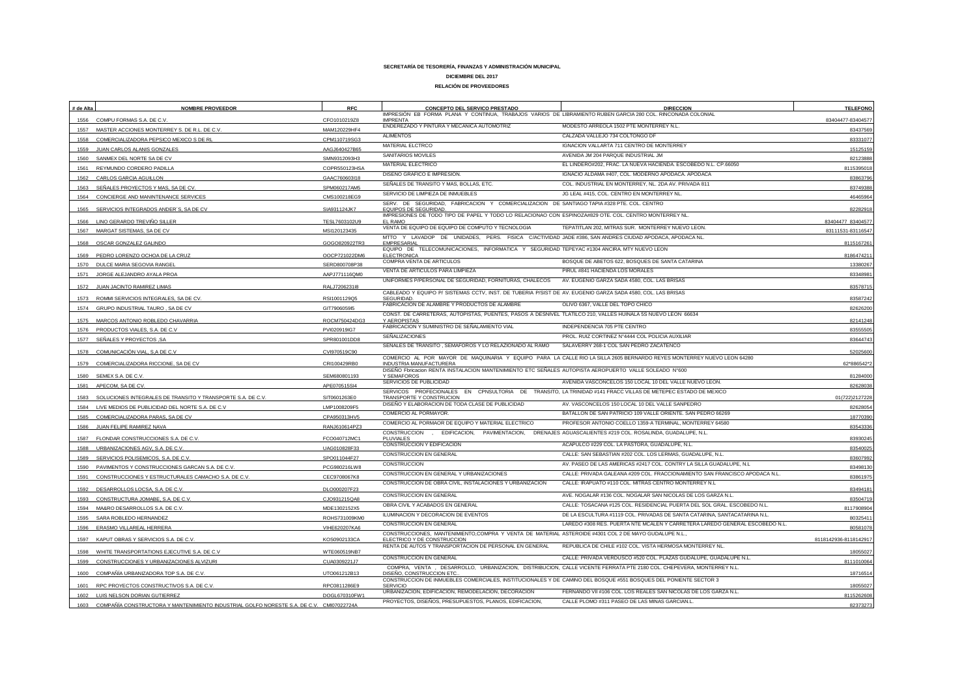| # de Alta | <b>NOMBRE PROVEEDOR</b>                                                     | <b>RFC</b>    | CONCEPTO DEL SERVICO PRESTADO                                                                                                   | <b>DIRECCION</b>                                                                                                       | <b>TELEFONO</b>       |
|-----------|-----------------------------------------------------------------------------|---------------|---------------------------------------------------------------------------------------------------------------------------------|------------------------------------------------------------------------------------------------------------------------|-----------------------|
| 1556      | COMPU FORMAS S.A. DE C.V.                                                   | CFO1010219Z8  | IMPRESIÓN EB FORMA PLANA Y CONTINUA, TRABAJOS VARIOS DE LIBRAMIENTO RUBEN GARCIA 280 COL. RINCONADA COLONIAL<br><b>IMPRENTA</b> |                                                                                                                        | 83404477-83404577     |
| 1557      | MASTER ACCIONES MONTERREY S. DE R.L. DE C.V.                                | MAM120229HF4  | ENDEREZADO Y PINTURA Y MECANICA AUTOMOTRIZ                                                                                      | MODESTO ARREOLA 1502 PTE MONTERREY N.L.                                                                                | 83437569              |
| 1558      | COMERCIALIZADORA PEPSICO MEXICO S DE RL                                     | CPM110719SG3  | <b>ALIMENTOS</b>                                                                                                                | CALZADA VALLEJO 734 COLTONGO DF                                                                                        | 83331077              |
|           | 1559 JUAN CARLOS ALANIS GONZALES                                            | AAGJ640427B65 | MATERIAL ELCTRCO                                                                                                                | IGNACION VALLARTA 711 CENTRO DE MONTERREY                                                                              | 15125159              |
| 1560      | SANMEX DEL NORTE SA DE CV                                                   | SMN9312093H3  | SANITARIOS MOVILES                                                                                                              | AVENIDA JM 204 PARQUE INDUSTRIAL JM                                                                                    | 82123888              |
| 1561      | REYMUNDO CORDERO PADILLA                                                    | COPR550123HSA | MATERIAL ELECTRICO                                                                                                              | EL LINDERO#202, FRAC. LA NUEVA HACIENDA. ESCOBEDO N.L. CP.66050                                                        | 8115395018            |
| 1562      | CARLOS GARCIA AGUILLON                                                      | GAAC760603l18 | DISEÑO GRAFICO E IMPRESIÓN.                                                                                                     | IGNACIO ALDAMA #407, COL. MODERNO APODACA. APODACA                                                                     | 83863796              |
|           | SEÑALES PROYECTOS Y MAS, SA DE CV                                           | SPM060217AM5  | SEÑALES DE TRANSITO Y MAS, BOLLAS, ETC.                                                                                         | COL. INDUSTRIAL EN MONTERREY, NL. 2DA AV. PRIVADA 811                                                                  | 83749388              |
| 1564      | CONCIERGE AND MANINTENANCE SERVICES                                         | CMS100218EG9  | SERVICIO DE LIMPIEZA DE INMUEBLES                                                                                               | JG LEAL #415, COL. CENTRO EN MONTERREY NL.                                                                             | 46465964              |
| 1565      | SERVICIOS INTEGRADOS ANDER'S, SA DE CV                                      | SIA931124JK7  | SERV. DE SEGURIDAD, FABRICACION Y COMERCIALIZACION DE SANTIAGO TAPIA #328 PTE. COL. CENTRO<br><b>EQUIPOS DE SEGURIDAD</b>       |                                                                                                                        | 82282918              |
|           |                                                                             |               | IMPRESIONES DE TODO TIPO DE PAPEL Y TODO LO RELACIONAO CON ESPINOZA#829 OTE. COL. CENTRO MONTERREY NL                           |                                                                                                                        |                       |
|           | LINO GERARDO TREVIÑO SILLER                                                 | TESL7603102U9 | FI RAMC<br>VENTA DE EQUIPO DE EQUIPO DE COMPUTO Y TECNOLOGIA                                                                    | TEPATITLAN 202, MITRAS SUR. MONTERREY NUEVO LEON.                                                                      | 83404477 83404577     |
|           | 1567 MARGAT SISTEMAS, SA DE CV                                              | MSI120123435  | MTTO Y LAVADOP DE UNIDADES, PERS. FISICA C/ACTIVIDAD JADE #386, SAN ANDRES CIUDAD APODACA, APODACA NL                           |                                                                                                                        | 83111531-83116547     |
|           | 1568 OSCAR GONZALEZ GALINDO                                                 | GOGO820922TR: | EMPRESARIAL                                                                                                                     |                                                                                                                        | 8115167261            |
| 1569      | PEDRO LORENZO OCHOA DE LA CRUZ                                              | OOCP721022DM6 | EQUIPO DE TELECOMUNICACIONES, INFORMATICA Y SEGURIDAD TEPEYAC #1304 ANCIRA. MTY NUEVO LEON<br>ELECTRONICA                       |                                                                                                                        | 8186474211            |
| 1570      | DULCE MARIA SEGOVIA RANGEL                                                  | SERD800708P38 | COMPRA VENTA DE ARTICULOS                                                                                                       | BOSQUE DE ABETOS 622, BOSQUES DE SANTA CATARINA                                                                        | 13380267              |
| 1571      | JORGE ALEJANDRO AYALA PROA                                                  | AAPJ771116QM0 | VENTA DE ARTICULOS PARA LIMPIEZA                                                                                                | PIRUL #841 HACIENDA LOS MORALES                                                                                        | 83348981              |
|           |                                                                             |               | UNIFORMES P/PERSONAL DE SEGURIDAD, FORNITURAS, CHALECOS                                                                         | AV. EUGENIO GARZA SADA 4580, COL. LAS BRISAS                                                                           |                       |
| 1572      | JUAN JACINTO RAMIREZ LIMAS                                                  | RALJ72062318  | CABLEADO Y EQUIPO P/ SISTEMAS CCTV, INST. DE TUBERIA P/SIST DE AV. EUGENIO GARZA SADA 4580, COL. LAS BRISAS                     |                                                                                                                        | 83578715              |
| 1573      | ROMMI SERVICIOS INTEGRALES, SA DE CV.                                       | RSI1001129Q5  | SEGURIDAD.<br>FABRICACION DE ALAMBRE Y PRODUCTOS DE ALAMBRE                                                                     | OLIVO 6367, VALLE DEL TOPO CHICO                                                                                       | 83587242              |
| 1574      | GRUPO INDUSTRIAL TAURO, SA DE CV                                            | GIT7906059I5  | CONST. DE CARRETERAS, AUTOPISTAS, PUENTES, PASOS A DESNIVEL TLATILCO 210, VALLES HUINALA 5S NUEVO LEON 66634                    |                                                                                                                        | 82626200              |
| 1575      | MARCOS ANTONIO ROBLEDO CHAVARRIA                                            | ROCM750424DG3 | Y AEROPISTAS                                                                                                                    |                                                                                                                        | 82141248              |
| 1576      | PRODUCTOS VIALES, S.A. DE C.V                                               | PVI020919IG7  | FABRICACION Y SUMINISTRO DE SEÑALAMIENTO VIAL                                                                                   | INDEPENDENCIA 705 PTE CENTRO                                                                                           | 83555505              |
| 1577      | SEÑALES Y PROYECTOS ,SA                                                     | SPR801001DD8  | <b>SEÑALIZACIONES</b>                                                                                                           | PROL. RUIZ CORTINEZ N°4444 COL POLICIA AUXILIAR                                                                        | 83644743              |
| 1578      | COMUNICACIÓN VIAL, S,A DE C.V                                               | CVI970519C90  | SEÑALES DE TRANSITO, SEMAFOROS Y LO RELAZIONADO AL RAMO                                                                         | SALAVERRY 268-1 COL SAN PEDRO ZACATENCO                                                                                | 52025600              |
| 1579      | COMERCIALIZADORA RICCIONE, SA DE CV                                         | CRI100429RB0  | INDUSTRIA MANUFACTURERA                                                                                                         | COMERCIO AL POR MAYOR DE MAQUINARIA Y EQUIPO PARA LA CALLE RIO LA SILLA 2605 BERNARDO REYES MONTERREY NUEVO LEON 64280 | 62*886542*2           |
| 1580      | SEMEX S.A. DE C.V                                                           | SEM680801193  | DISEÑO Fbricacion RENTA INSTALACION MANTENIMIENTO ETC SEÑALES AUTOPISTA AEROPUERTO VALLE SOLEADO N°600<br>Y SEMAFOROS           |                                                                                                                        | 81284000              |
|           | 1581 APECOM, SA DE CV.                                                      | APE070515SI4  | SERVICIOS DE PUBLICIDAD                                                                                                         | AVENIDA VASCONCELOS 150 LOCAL 10 DEL VALLE NUEVO LEON.                                                                 | 82628038              |
|           |                                                                             |               | SERVICOS PROFECIONALES EN CPNSULTORIA DE TRANSITO, LA TRINIDAD #141 FRACC VILLAS DE METEPEC ESTADO DE MEXICO                    |                                                                                                                        |                       |
| 1583      | SOLUCIONES INTEGRALES DE TRANSITO Y TRANSPORTE S.A. DE C.V                  | SIT0601263E0  | TRANSPORTE Y CONSTRUCION<br>DISEÑO Y ELABORACION DE TODA CLASE DE PUBLICIDAD                                                    | AV. VASCONCELOS 150 LOCAL 10 DEL VALLE SANPEDRO                                                                        | 01(722)2127228        |
| 1584      | LIVE MEDIOS DE PUBLICIDAD DEL NORTE S.A. DE C.V                             | LMP1008209F5  | COMERCIO AL PORMAYOR                                                                                                            | BATALLON DE SAN PATRICIO 109 VALLE ORIENTE. SAN PEDRO 66269                                                            | 82628054              |
| 1585      | COMERCIALIZADORA PARAS. SA DE CV                                            | CPA950313HV5  | COMERCIO AL PORMAOR DE EQUIPO Y MATERIAL ELECTRICO                                                                              | PROFESOR ANTONIO COELLO 1359-A TERMINAL, MONTERREY 64580                                                               | 18770390              |
| 1586      | JUAN FELIPE RAMIREZ NAVA                                                    | RANJ610614PZ3 | CONSTRUCCION , EDIFICACION, PAVIMENTACION,                                                                                      | DRENAJES AGUASCALIENTES #219 COL. ROSALINDA. GUADALUPE. N.L.                                                           | 83543336              |
| 1587      | FLONDAR CONSTRUCCIONES S.A. DE C.V.                                         | FCO040712MC1  | PLUVIALES                                                                                                                       |                                                                                                                        | 83930245              |
| 1588      | URBANIZACIONES AGV, S.A. DE C.V                                             | UAG010828F33  | CONSTRUCCION Y EDIFICACION                                                                                                      | ACAPULCO #229 COL. LA PASTORA, GUADALUPE, N.L.                                                                         | 83540025              |
| 1589      | SERVICIOS POLISEMICOS, S.A. DE C.V.                                         | SPO011044F27  | CONSTRUCCION EN GENERAL                                                                                                         | CALLE: SAN SEBASTIAN #202 COL. LOS LERMAS, GUADALUPE, N.L.                                                             | 83607992              |
| 1590      | PAVIMENTOS Y CONSTRUCCIONES GARCAN S.A. DE C.V.                             | PCG980216LW8  | CONSTRUCCION                                                                                                                    | AV. PASEO DE LAS AMERICAS #2417 COL. CONTRY LA SILLA GUADALUPE, N.L.                                                   | 83498130              |
| 1591      | CONSTRUCCIONES Y ESTRUCTURALES CAMACHO S.A. DE C.V.                         | CEC9708067K8  | CONSTRUCCION EN GENERAL Y URBANIZACIONES                                                                                        | CALLE: PRIVADA GALEANA #209 COL. FRACCIONAMIENTO SAN FRANCISCO APODACA N.L.                                            | 83861975              |
| 1592      | DESARROLLOS LOCSA, S.A. DE C.V                                              | DLO000207F23  | CONSTRUCCION DE OBRA CIVIL. INSTALACIONES Y URBANIZACION                                                                        | CALLE: IRAPUATO #110 COL. MITRAS CENTRO MONTERREY N.L                                                                  | 83494181              |
| 1593      | CONSTRUCTURA JOMABE, S.A. DE C.V                                            | CJO931215QA8  | <b>CONSTRUCCION EN GENERAL</b>                                                                                                  | AVE. NOGALAR #136 COL. NOGALAR SAN NICOLAS DE LOS GARZA N.L.                                                           | 83504719              |
| 1594      | MA&RO DESARROLLOS S.A. DE C.V                                               | MDE1302152X5  | OBRA CIVIL Y ACABADOS EN GENERAL                                                                                                | CALLE: TOSACANA #125 COL. RESIDENCIAL PUERTA DEL SOL GRAL. ESCOBEDO N.L.                                               | 8117908904            |
| 1595      | SARA ROBLEDO HERNANDEZ                                                      | ROHS731009KM0 | ILUMINACION Y DECORACION DE EVENTOS                                                                                             | DE LA ESCULTURA #1119 COL. PRIVADAS DE SANTA CATARINA, SANTACATARINA N.L.                                              | 80325411              |
|           | 1596 ERASMO VILLAREAL HERRERA                                               | VIHE620207KA6 | CONSTRUCCION EN GENERAL                                                                                                         | LAREDO #308 RES. PUERTA NTE MCALEN Y CARRETERA LAREDO GENERAL ESCOBEDO N.L.                                            | 80581078              |
|           |                                                                             |               | CONSTRUCCIONES, MANTENIMIENTO,COMPRA Y VENTA DE MATERIAL ASTEROIDE #4301 COL 2 DE MAYO GUDALUPE N.L.,                           |                                                                                                                        |                       |
| 1597      | KAPUT OBRAS Y SERVICIOS S.A. DE C.V                                         | KOS0902133C/  | ELECTRICO Y DE CONSTRUCCION<br>RENTA DE AUTOS Y TRANSPORTACION DE PERSONAL EN GENERAL                                           | REPUBLICA DE CHILE #102 COL. VISTA HERMOSA MONTERREY NL.                                                               | 8118142936-8118142917 |
| 1598      | WHITE TRANSPORTATIONS EJECUTIVE S.A. DE C.V                                 | WTE060519NB7  | CONSTRUCCION EN GENERAL                                                                                                         | CALLE: PRIVADA VERDUSCO #520 COL. PLAZAS GUDALUPE, GUADALUPE N.L.                                                      | 18055027              |
| 1599      | CONSTRUCCIONES Y URBANIZACIONES ALVIZURI                                    | CUA0309221J7  |                                                                                                                                 | COMPRA, VENTA, DESARROLLO, URBANIZACION, DISTRIBUCION, CALLE VICENTE FERRATA PTE 2180 COL. CHEPEVERA, MONTERREY N.L.   | 8111010064            |
| 1600      | COMPAÑÍA URBANIZADORA TOP S.A. DE C.V                                       | UTO061212B13  | DISEÑO, CONSTRUCCION ETC                                                                                                        |                                                                                                                        | 18716514              |
| 1601      | RPC PROYECTOS CONSTRUCTIVOS S.A. DE C.V.                                    | RPC0811286E9  | CONSTRUCCION DE INMUEBLES COMERCIALES, INSTITUCIONALES Y DE CAMINO DEL BOSQUE #551 BOSQUES DEL PONIENTE SECTOR 3<br>SERVICIO    |                                                                                                                        | 18055027              |
|           | 1602 LUIS NELSON DORIAN GUTIERREZ                                           | DOGL670310FW1 | URBANIZACION, EDIFICACION, REMODELACION, DECORACION                                                                             | FERNANDO VII #106 COL. LOS REALES SAN NICOLAS DE LOS GARZA N.L.                                                        | 8115262608            |
| 1603      | COMPAÑÍA CONSTRUCTORA Y MANTENIMIENTO INDUSTRIAL GOLFO NORESTE S.A. DE C.V. | CMI07022724A  | PROYECTOS, DISEÑOS, PRESUPUESTOS, PLANOS, EDIFICACION,                                                                          | CALLE PLOMO #311 PASEO DE LAS MINAS GARCIAN.L                                                                          | 82373273              |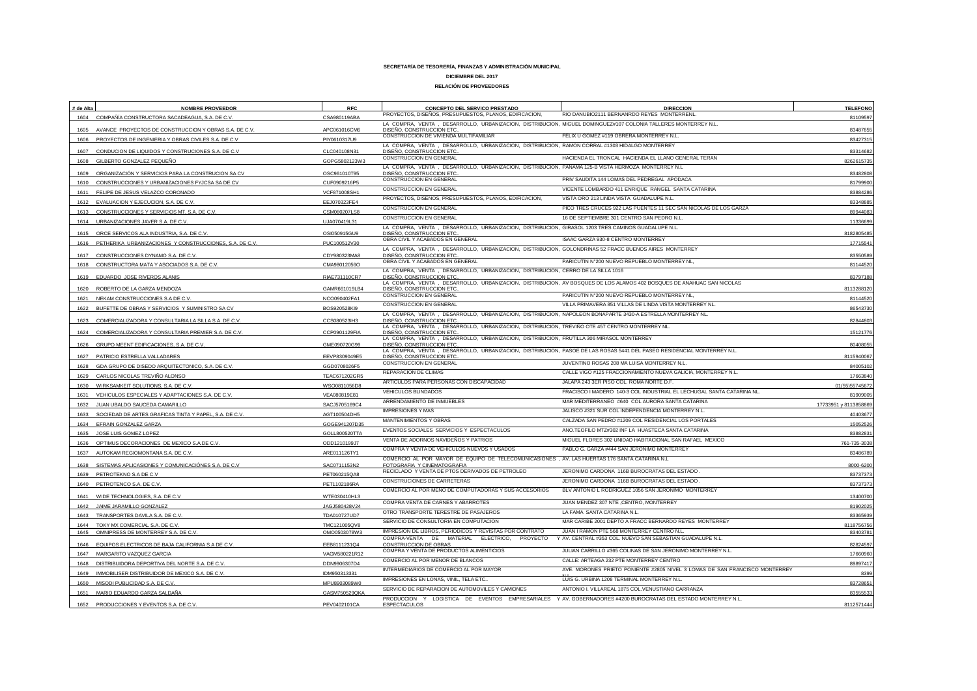| # de Alta | <b>NOMBRE PROVEEDOR</b>                                      | <b>RFC</b>    | CONCEPTO DEL SERVICO PRESTADO                                                                                                                       | <b>DIRECCION</b>                                                                                                      | <b>TELEFONO</b>      |
|-----------|--------------------------------------------------------------|---------------|-----------------------------------------------------------------------------------------------------------------------------------------------------|-----------------------------------------------------------------------------------------------------------------------|----------------------|
|           | 1604 COMPAÑÍA CONSTRUCTORA SACADEAGUA, S.A. DE C.V.          | CSA980119ABA  | PROYECTOS, DISEÑOS, PRESUPUESTOS, PLANOS, EDIFICACION,                                                                                              | RIO DANUBIO2111 BERNANRDO REYES MONTERRENL                                                                            | 81109597             |
|           | AVANCE PROYECTOS DE CONSTRUCCION Y OBRAS S.A. DE C.V.        | APC061016CM6  | LA COMPRA, VENTA, DESARROLLO, URBANIZACION, DISTRIBUCION, MIGUEL DOMINGUEZ#107 COLONIA TALLERES MONTERREY N.L.<br>DISEÑO, CONSTRUCCION ETC          |                                                                                                                       | 8348785              |
| 1606      | PROYECTOS DE INGENIERIA Y OBRAS CIVILES S.A. DE C.V          | PIY0610317U9  | CONSTRUCCION DE VIVIENDA MULTIFAMILIAR                                                                                                              | FELIX U GOMEZ #119 OBRERA MONTERREY N.L.                                                                              | 8342731              |
| 1607      | CONDUCION DE LIQUIDOS Y CONSTRUCIONES S.A. DE C.V            | CLC040108N31  | LA COMPRA, VENTA, DESARROLLO, URBANIZACION, DISTRIBUCION, RAMON CORRAL #1303 HIDALGO MONTERREY<br>DISEÑO, CONSTRUCCION ETC                          |                                                                                                                       | 8331468              |
| 1608      | GILBERTO GONZALEZ PEQUEÑO                                    | GOPG5802123W3 | CONSTRUCCION EN GENERAL                                                                                                                             | HACIENDA EL TRONCAL HACIENDA EL LLANO GENERAL TERAN                                                                   | 826261573            |
| 1609      | ORGANIZACIÓN Y SERVICIOS PARA LA CONSTRUCION SA CV           | OSC961010T95  | LA COMPRA, VENTA, DESARROLLO, URBANIZACION, DISTRIBUCION, PANAMA 125-B VISTA HERMOZA MONTERREY N.L<br>DISEÑO, CONSTRUCCION ETC                      |                                                                                                                       | 83482808             |
|           | 1610 CONSTRUCCIONES Y URBANIZACIONES FYJCSA SA DE CV         | CUF0909216P5  | CONSTRUCCION EN GENERAL                                                                                                                             | PRIV SAUDITA 144 LOMAS DEL PEDREGAL APODACA                                                                           | 81799900             |
|           | 1611 FELIPE DE JESUS VELAZCO CORONADO                        | VCF871008SH1  | CONSTRUCCION EN GENERAL                                                                                                                             | VICENTE LOMBARDO 411 ENRIQUE RANGEL SANTA CATARINA                                                                    | 83884286             |
|           | 1612 EVALUACION Y EJECUCION, S.A. DE C.V.                    | EEJ070323FE4  | PROYECTOS, DISEÑOS, PRESUPUESTOS, PLANOS, EDIFICACION,                                                                                              | VISTA ORO 213 LINDA VISTA GUADALUPE N.L.                                                                              | 8334888              |
|           | 1613 CONSTRUCCIONES Y SERVICIOS MT, S.A. DE C.V.             | CSM080207LS8  | CONSTRUCCION EN GENERAL                                                                                                                             | PICO TRES CRUCES 922 LAS PUENTES 11 SEC SAN NICOLAS DE LOS GARZA                                                      | 89944083             |
| 1614      | URBANIZACIONES JAVER S.A. DE C.V.                            | UJA070419L31  | CONSTRUCCION EN GENERAL                                                                                                                             | 16 DE SEPTIEMBRE 301 CENTRO SAN PEDRO N.L.                                                                            | 1133669              |
|           | 1615 ORCE SERVICOS ALA INDUSTRIA, S.A. DE C.V.               | OSI050915GU9  | LA COMPRA, VENTA, DESARROLLO, URBANIZACION, DISTRIBUCION, GIRASOL 1203 TRES CAMINOS GUADALUPE N.L.<br>DISEÑO, CONSTRUCCION ETC                      |                                                                                                                       | 818280548            |
|           | 1616 PETHERIKA URBANIZACIONES Y CONSTRUCCIONES, S.A. DE C.V. | PUC100512V30  | OBRA CIVIL Y ACABADOS EN GENERAL                                                                                                                    | ISAAC GARZA 930-8 CENTRO MONTERREY                                                                                    | 1771554              |
|           |                                                              |               | LA COMPRA, VENTA, DESARROLLO, URBANIZACION, DISTRIBUCION, GOLONDRINAS 52 FRACC BUENOS AIRES MONTERREY                                               |                                                                                                                       |                      |
|           | 1617 CONSTRUCCIONES DYNAMO S.A. DE C.V                       | CDY980323MA8  | DISEÑO, CONSTRUCCION ETC<br>OBRA CIVIL Y ACABADOS EN GENERAL                                                                                        | PARICUTIN N°200 NUEVO REPUEBLO MONTERREY NL                                                                           | 8355058              |
|           | 1618 CONSTRUCTORA MATA Y ASOCIADOS S.A. DE C.V               | CMA98012056C  | LA COMPRA, VENTA, DESARROLLO, URBANIZACION, DISTRIBUCION, CERRO DE LA SILLA 1016                                                                    |                                                                                                                       | 8114452              |
| 1619      | EDUARDO JOSE RIVEROS ALANIS                                  | RIAE731110CR7 | DISEÑO, CONSTRUCCION ETC                                                                                                                            | LA COMPRA, VENTA, DESARROLLO, URBANIZACION, DISTRIBUCION, AV BOSQUES DE LOS ALAMOS 402 BOSQUES DE ANAHUAC SAN NICOLAS | 8379718              |
| 1620      | ROBERTO DE LA GARZA MENDOZA                                  | GAMR661019LB4 | DISEÑO, CONSTRUCCION ETC                                                                                                                            |                                                                                                                       | 8113288120           |
| 1621      | NEKAM CONSTRUCCIONES S.A DE C.V.                             | NCO090402FA1  | CONSTRUCCION EN GENERAL                                                                                                                             | PARICUTIN N°200 NUEVO REPUEBLO MONTERREY NL                                                                           | 81144520             |
| 1622      | BUFETTE DE OBRAS Y SERVICIOS Y SUMINISTRO SA CV              | BOS920528KI9  | CONSTRUCCION EN GENERAL                                                                                                                             | VILLA PRIMAVERA 851 VILLAS DE LINDA VISTA MONTERREY NL                                                                | 86543730             |
| 1623      | COMERCIALIZADORA Y CONSULTARIA LA SILLA S.A. DE C.V.         | CCS080523IH3  | LA COMPRA, VENTA, DESARROLLO, URBANIZACION, DISTRIBUCION, NAPOLEON BONAPARTE 3430-A ESTRELLA MONTERREY NL.<br>DISEÑO, CONSTRUCCION ETC              |                                                                                                                       | 82844803             |
|           |                                                              |               | LA COMPRA, VENTA, DESARROLLO, URBANIZACION, DISTRIBUCION, TREVIÑO OTE 457 CENTRO MONTERREY NL.                                                      |                                                                                                                       |                      |
| 1624      | COMERCIALIZADORA Y CONSULTARIA PREMIER S.A. DE C.V           | CCP0901129FIA | DISEÑO, CONSTRUCCION ETC.<br>LA COMPRA, VENTA, DESARROLLO, URBANIZACION, DISTRIBUCION, FRUTILLA 306 MIRASOL MONTERREY                               |                                                                                                                       | 15121776             |
| 1626      | GRUPO MEENT EDIFICACIONES, S.A. DE C.V                       | GME090720G99  | DISEÑO, CONSTRUCCION ETC.<br>LA COMPRA, VENTA, DESARROLLO, URBANIZACION, DISTRIBUCION, PASOE DE LAS ROSAS 5441 DEL PASEO RESIDENCIAL MONTERREY N.L. |                                                                                                                       | 8040805              |
| 1627      | PATRICIO ESTRELLA VALLADARES                                 | EEVP8309049E5 | DISEÑO, CONSTRUCCION ETC                                                                                                                            |                                                                                                                       | 811594006            |
| 1628      | GDA GRUPO DE DISEDO ARQUITECTONICO, S.A. DE C.V.             | GGD0708026F5  | CONSTRUCCION EN GENERAL                                                                                                                             | JUVENTINO ROSAS 208 MA LUISA MONTERREY N.L.                                                                           | 84005102             |
| 1629      | CARLOS NICOLAS TREVIÑO ALONSO                                | TEAC671202GR5 | REPARACION DE CLIMAS                                                                                                                                | CALLE VIGO #125 FRACCIONAMIENTO NUEVA GALICIA, MONTERREY N.L.                                                         | 17663840             |
| 1630      | WIRKSAMKEIT SOLUTIONS, S.A. DE C.V.                          | WSO0811056D8  | ARTICULOS PARA PERSONAS CON DISCAPACIDAD                                                                                                            | JALAPA 243 3ER PISO COL. ROMA NORTE D.F.                                                                              | 01(55)5574567        |
| 1631      | VEHICULOS ESPECIALES Y ADAPTACIONES S.A. DE C.V.             | VEA080819E81  | VEHICULOS BLINDADOS                                                                                                                                 | FRACISCO I MADERO 140-3 COL INDUSTRIAL EL LECHUGAL SANTA CATARINA NL                                                  | 8190900              |
| 1632      | JUAN UBALDO SAUCEDA CAMARILLO                                | SACJ5705169C4 | ARRENDAMIENTO DE INMUEBLES                                                                                                                          | MAR MEDITERRANEO #640 COL AURORA SANTA CATARINA                                                                       | 17733951 y 811385886 |
| 1633      | SOCIEDAD DE ARTES GRAFICAS TINTA Y PAPEL, S.A. DE C.V.       | AGT100504DH5  | <b>IMPRESIONES Y MAS</b>                                                                                                                            | JALISCO #321 SUR COL INDEPENDENCIA MONTERREY N.L.                                                                     | 40403677             |
|           | 1634 EFRAIN GONZALEZ GARZA                                   | GOGE941207D35 | MANTENIMIENTOS Y OBRAS                                                                                                                              | CALZADA SAN PEDRO #1209 COL RESIDENCIAL LOS PORTALES                                                                  | 1505252              |
|           | 1635 JOSE LUIS GOMEZ LOPEZ                                   | GOLL800520TT/ | EVENTOS SOCIALES SERVICIOS Y ESPECTACULOS                                                                                                           | ANO.TEOFILO MTZ#302 INF LA HUASTECA SANTA CATARINA                                                                    | 8388283              |
|           | 1636 OPTIMUS DECORACIONES DE MEXICO S.A.DE C.V.              | ODD1210199J7  | VENTA DE ADORNOS NAVIDEÑOS Y PATRIOS                                                                                                                | MIGUEL FLORES 302 UNIDAD HABITACIONAL SAN RAFAEL MEXICO                                                               | 761-735-303          |
|           | 1637 AUTOKAM REGIOMONTANA S.A. DE C.V.                       | ARE011126TY1  | COMPRA Y VENTA DE VEHICULOS NUEVOS Y USADOS                                                                                                         | PABLO G. GARZA #444 SAN JERONIMO MONTERREY                                                                            | 8348678              |
| 1638      | SISTEMAS APLICASIONES Y COMUNICACIÓNES S.A. DE C.V           | SAC0711153N2  | COMERCIO AL POR MAYOR DE EQUIPO DE TELECOMUNICASIONES , AV. LAS HUERTAS 176 SANTA CATARINA N.L<br>FOTOGRAFIA Y CINEMATOGRAFIA                       |                                                                                                                       | 8000-620             |
|           | 1639 PETROTEKNO S.A DE C.V                                   | PET060215QA8  | RECICLADO Y VENTA DE PTOS DERIVADOS DE PETROLEO                                                                                                     | JERONIMO CARDONA 116B BUROCRATAS DEL ESTADO                                                                           | 83737373             |
|           | 1640 PETROTENCO S.A. DE C.V.                                 | PET1102186RA  | CONSTRUCIONES DE CARRETERAS                                                                                                                         | JERONIMO CARDONA 116B BUROCRATAS DEL ESTADO                                                                           | 83737373             |
|           | 1641 WIDE TECHNOLOGIES, S.A. DE C.V.                         | WTE030410HL3  | COMERCIO AL POR MENO DE COMPUTADORAS Y SUS ACCESORIOS                                                                                               | BLV ANTONIO L RODRIGUEZ 1056 SAN JERONIMO MONTERREY                                                                   | 1340070              |
| 1642      | JAIME JARAMILLO GONZALEZ                                     | JAGJ580428V24 | COMPRA VENTA DE CARNES Y ABARROTES                                                                                                                  | JUAN MENDEZ 307 NTE ,CENTRO, MONTERREY                                                                                | 8190202              |
| 1643      | TRANSPORTES DAVILA S.A. DE C.V.                              | TDA010727UD7  | OTRO TRANSPORTE TERESTRE DE PASAJEROS                                                                                                               | LA FAMA SANTA CATARINA N.L.                                                                                           | 83365939             |
| 1644      | TOKY MX COMERCIAL S.A. DE C.V.                               | TMC121005QV8  | SERVICIO DE CONSULTORIA EN COMPUTACION                                                                                                              | MAR CARIBE 2001 DEPTO A FRACC BERNARDO REYES MONTERREY                                                                | 8118756756           |
| 1645      | OMNIPRESS DE MONTERREY S.A. DE C.V.                          | OMO0503078W3  | IMPRESIÓN DE LIBROS, PERIODICOS Y REVISTAS POR CONTRATO                                                                                             | JUAN I RAMON PTE 568 MONTERREY CENTRO N.L.                                                                            | 8340378              |
| 1646      | EQUIPOS ELECTRICOS DE BAJA CALIFORNIA S.A DE C.V.            | EEB8111231Q4  | COMPRA-VENTA DE MATERIAL ELECTRICO,<br>PROYECTO<br><b>CONSTRUCCION DE OBRAS</b>                                                                     | Y AV. CENTRAL #353 COL. NUEVO SAN SEBASTIAN GUADALUPE N.L.                                                            | 8282459              |
|           | 1647 MARGARITO VAZQUEZ GARCIA                                | VAGM580221R12 | COMPRA Y VENTA DE PRODUCTOS ALIMENTICIOS                                                                                                            | JULIAN CARRILLO #365 COLINAS DE SAN JERONIMO MONTERREY N.L                                                            | 1766096              |
| 1648      | DISTRIBUIDORA DEPORTIVA DEL NORTE S.A. DE C.V.               | DDN9906307D4  | COMERCIO AL POR MENOR DE BLANCOS                                                                                                                    | CALLE: ARTEAGA 232 PTE MONTERREY CENTRO                                                                               | 8989741              |
| 1649      | IMMOBILISER DISTRIBUIDOR DE MEXICO S.A. DE C.V.              | IDM950313331  | INTERMEDIARIOS DE COMERCIO AL POR MAYOR                                                                                                             | AVE. MORONES PRIETO PONIENTE #2805 NIVEL 3 LOMAS DE SAN FRANCISCO MONTERREY                                           | 8399                 |
|           | 1650 MISODI PUBLICIDAD S.A. DE C.V                           | MPU8903089W0  | IMPRESIONES EN LONAS, VINIL, TELA ETC.                                                                                                              | LUIS G. URBINA 1208 TERMINAL MONTERREY N.L.                                                                           | 83728651             |
|           | 1651 MARIO EDUARDO GARZA SALDAÑA                             | GASM750529QKA | SERVICIO DE REPARACION DE AUTOMOVILES Y CAMIONES                                                                                                    | ANTONIO I. VILLAREAL 1875 COL. VENUSTIANO CARRANZA                                                                    | 8355553              |
| 1652      | PRODUCCIONES Y EVENTOS S.A. DE C.V                           | PEV0402101CA  | ESPECTACULOS                                                                                                                                        | PRODUCCION Y LOGISTICA DE EVENTOS EMPRESARIALES Y AV. GOBERNADORES #4200 BUROCRATAS DEL ESTADO MONTERREY N.L          | 8112571444           |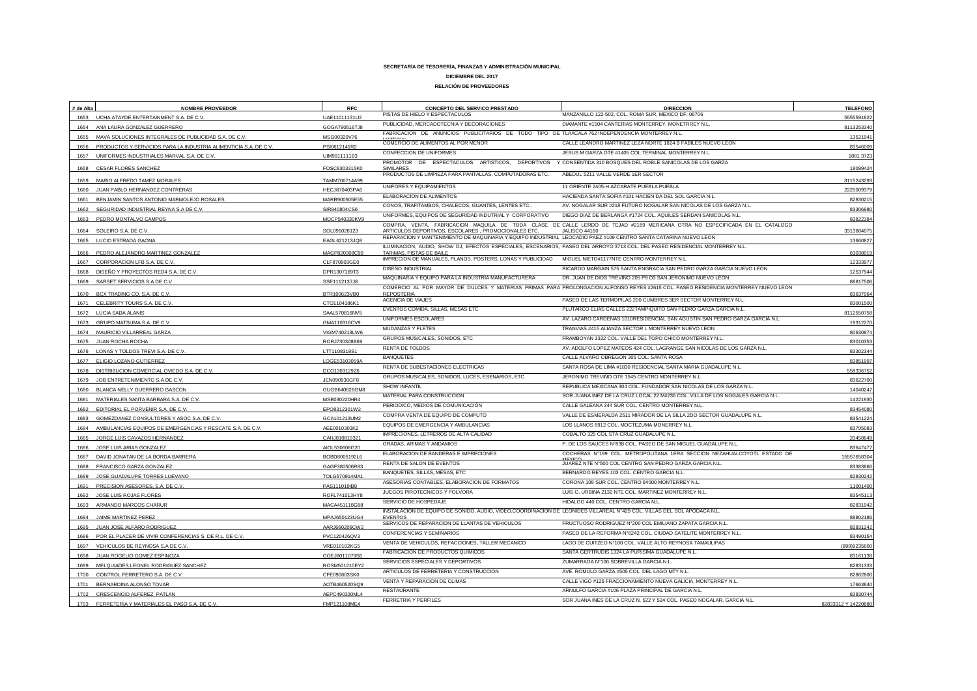| PISTAS DE HIELO Y ESPECTACULOS<br>MANZANILLO 122-502, COL. ROMA SUR, MEXICO DF. 06706<br>1653 UCHA ATAYDE ENTERTAINMENT S.A. DE C.V.<br>UAE11011131U2<br>5555591822<br>PUBLICIDAD, MERCADOTECNIA Y DECORACIONES<br>DIAMANTE #1504 CANTERIAS MONTERREY, MONETRREY N.L.<br>1654 ANA LAURA GONZALEZ GUERRERO<br>811325334<br>GOGA7905167J8<br>FABRICACION DE ANUNCIOS PUBLICITARIOS DE TODO TIPO DE TLAXCALA 762 INDEPENDENCIA MONTERREY N.L.<br>1655 MAVA SOLUCIONES INTEGRALES DE PUBLICIDAD S.A. DE C.V.<br>MSI100320V76<br>1352194<br>COMERCIO DE ALIMENTOS AL POR MENOR<br>CALLE LEANDRO MARTINEZ LEZA NORTE 1824 B FABILES NUEVO LEON<br>PRODUCTOS Y SERVICIOS PARA LA INDUSTRIA ALIMENTICIA S.A. DE C.V.<br>PSI0612141R2<br>8354600<br>1656<br><b>CONFECCION DE UNIFORMES</b><br>JESUS M GARZA OTE #1405 COL.TERMINAL MONTERREY N.L.<br>UNIFORMES INDUSTRIALES MARVAL S.A. DE C.V.<br>UIM9911111B3<br>1881 372<br>1657<br>PROMOTOR DE ESPECTACULOS ARTISTICOS, DEPORTIVOS Y CONSENTIDA 310 BOSQUES DEL ROBLE SANICOLAS DE LOS GARZA<br>CESAR FLORES SANCHEZ<br>FOSC8303315K0<br>1809942<br>1658<br>PRODUCTOS DE LIMPIEZA PARA PANTALLAS, COMPUTADORAS ETC.<br>ABEDUL 5211 VALLE VERDE 1ER SECTOR<br>1659 MARIO ALFREDO TAMEZ MORALES<br>TAMM700714A99<br>8115243293<br>11 ORIENTE 2405-H AZCARATE PUEBLA PUEBLA<br>UNIFORES Y EQUIPAMIENTOS<br>JUAN PABLO HERNANDEZ CONTRERAS<br>HECJ870403PA6<br>1660<br>222500937<br>ELABORACION DE ALIMENTOS<br>HACIENDA SANTA SOFIA #101 HACIEN DA DEL SOL GARCIA N.L.<br>1661 BENJAMIN SANTOS ANTONIO MARMOLEJO ROSALES<br>MARB900505E55<br>8283021<br>CONOS, TRAFITAMBOS, CHALECOS, GUANTES, LENTES ETC.<br>AV. NOGALAR SUR #218 FUTURO NOGALAR SAN NICOLAS DE LOS GARZA N.L.<br>SEGURIDAD INDUSTRIAL REYNA S.A DE C.V<br>SIR940804CS6<br>8330698<br>UNIFORMES, EQUIPOS DE SEGURIDAD INDUTRIAL Y CORPORATIVO<br>DIEGO DIAZ DE BERLANGA #1724 COL. AQUILES SERDAN SANICOLAS N.L.<br>1663 PEDRO MONTALVO CAMPOS<br>MOCP540330KV9<br>8382238<br>COMPRA, VENTA, FABRICACION MAQUILA DE TODA CLASE DE CALLE LERDO DE TEJAD #2189 MERICANA OTRA NO ESPECIFICADA EN EL CATALOGO<br>1664 SOLEIRO S.A. DE C.V<br>SOL091028123<br>ARTICULOS DEPORTIVOS, ESCOLARES, PROMOCIONALES ETC.<br>JALISCO 44160<br>3313684075<br>REPARACION Y MANTENIMIENTO DE MAQUINARIA Y EQUIPO INDUSTRIAL LEOCADIO PAEZ #109 CENTRO SANTA CATARINA NUEVO LEON<br>LUCIO ESTRADA GAONA<br>EAGL621213JQ8<br>1366082<br>1665<br>ILUMINACION, AUDIO, SHOW DJ, EFECTOS ESPECIALES, ESCENARIOS, PASEO DEL ARROYO 3713 COL. DEL PASEO RESIDENCIAL MONTERREY N.L.<br>1666 PEDRO ALEJANDRO MARTINEZ GONZALEZ<br>MAGP820308C90<br>TARIMAS, PISTAS DE BAILE<br>8103801<br>IMPRECION DE MANUALES, PLANOS, POSTERS, LONAS Y PUBLICIDAD<br>MIGUEL NIETO#1177NTE CENTRO MONTERREY N.L.<br>1233397<br>CORPORACION LFB S.A. DE C.V.<br>CLF870903GE0<br>1667<br>DISEÑO INDUSTRIAL<br>RICARDO MARGAIN 575 SANTA ENGRACIA SAN PEDRO GARZA GARCIA NUEVO LEON<br>DISEÑO Y PROYECTOS RED4 S.A. DE C.V<br>1253794<br>DPR1307169T3<br>1668<br>MAQUINARIA Y EQUIPO PARA LA INDUSTRIA MANUFACTURERA<br>DR. JUAN DE DIOS TREVIÑO 205 P9 D3 SAN JERONIMO NUEVO LEON<br>SARSET SERVICIOS S.A DE C.V<br>SSE1112137J8<br>88817506<br>1669<br>COMERCIO AL POR MAYOR DE DULCES Y MATERIAS PRIMAS PARA PROLONGACION ALFONSO REYES #2615 COL. PASEO RESIDENCIA MONTERREY NUEVO LEON<br>BCX TRADING CO, S.A. DE C.V.<br><b>REPOSTERIA</b><br>BTR100623VB0<br>83637964<br>1670<br>AGENCIA DE VIAJES<br>PASEO DE LAS TERMOPILAS 200 CUMBRES 3ER SECTOR MONTERREY N.L.<br>CELEBRITY TOURS S.A. DE C.V.<br>CTO1104186K1<br>8300150<br>1671<br>EVENTOS COMIDA, SILLAS, MESAS ETC<br>PLUTARCO ELIAS CALLES 222TAMPIQUITO SAN PEDRO GARZA GARCIA N.L.<br>LUCIA SADA ALANIS<br>SAAL570816NV5<br>811255075<br>1672<br>UNIFORMES ESCOLARES<br>AV. LAZARO CARDENAS 1010RESIDENCIAL SAN AGUSTIN SAN PEDRO GARZA GARCIA N.L<br>GMA110316CV9<br>1931227<br>1673<br>GRUPO MATSUMA S.A. DE C.V.<br>MUDANZAS Y FLETES<br>TRANVIAS #415 ALIANZA SECTOR L MONTERREY NUEVO LEON<br>1674 MAURICIO VILLARREAL GARZA<br>VIGM740213LW6<br>8063087<br>GRUPOS MUSICALES, SONIDOS, ETC<br>FRAMBOYAN 3332 COL. VALLE DEL TOPO CHICO MONTERREY N.L<br>1675<br>JUAN ROCHA ROCHA<br>RORJ730308B69<br>83010353<br>RENTA DE TOLDOS<br>AV. ADOLFO LOPEZ MATEOS 424 COL. LAGRANGE SAN NICOLAS DE LOS GARZA N.L.<br>1676 LONAS Y TOLDOS TREVI S.A. DE C.V.<br>LTT1108319S1<br>8330234<br><b>BANQUETES</b><br>CALLE ALVARO OBREGON 305 COL. SANTA ROSA<br>ELIGIO LOZANO GUTIERREZ<br>LOGE53103059/<br>83851997<br>1677<br>RENTA DE SUBESTACIONES ELECTRICAS<br>SANTA ROSA DE LIMA #1830 RESIDENCIAL SANTA MARIA GUADALUPE N.L.<br>DISTRIBUCION COMERCIAL OVIEDO S.A. DE C.V.<br>DCO1303129Z6<br>55833675<br>1678<br>GRUPOS MUSICALES, SONIDOS, LUCES, ESENARIOS, ETC.<br>JERONIMO TREVIÑO OTE 1545 CENTRO MONTERREY N.L.<br>JOB ENTRETENIMIENTO S.A DE C.V<br>8362270<br>1679<br>JEN090930GF8<br>REPUBLICA MEXICANA 304 COL. FUNDADOR SAN NICOLAS DE LOS GARZA N.L.<br>SHOW INFANTIL<br>BLANCA NELLY GUERRERO GASCON<br>1404024<br>GUGB640626GM8<br>1680<br>MATERIAL PARA CONSTRUCCION<br>SOR JUANA INEZ DE LA CRUZ LOCAL 22 M#236 COL. VILLA DE LOS NOGALES GARCIA N.L.<br>MATERIALES SANTA BARBARA S.A. DE C.V.<br>14221930<br>MSB030220HR4<br>1681<br>PERIODICO, MEDIOS DE COMUNICACIÓN<br>CALLE GALEANA 344 SUR COL. CENTRO MONTERREY N.L.<br>EDITORIAL EL PORVENIR S.A. DE C.V.<br>1682<br>EPO8312301W2<br>83454080<br>COMPRA VENTA DE EQUIPO DE COMPUTO<br>VALLE DE ESMERALDA 2511 MIRADOR DE LA SILLA 2DO SECTOR GUADALUPE N.L.<br>GOMEZDANEZ CONSULTORES Y ASOC S.A. DE C.V.<br>GCA101213UM2<br>83541224<br>1683<br>EQUIPOS DE EMERGENCIA Y AMBULANCIAS<br>LOS LLANOS 6912 COL. MOCTEZUMA MONERREY N.L.<br>AMBULANCIAS EQUIPOS DE EMERGENCIAS Y RESCATE S.A. DE C.V.<br>AEE0010303K2<br>83705083<br>IMPRECIONES, LETREROS DE ALTA CALIDAD<br>COBALTO 325 COL STA CRUZ GUADALUPE N.L.<br>2045864<br>1685<br>JORGE LUIS CAVAZOS HERNANDEZ<br>CAHJ810819321<br>P. DE LOS SAUCES N°838 COL. PASEO DE SAN MIGUEL GUADALUPE N.L.<br>GRADAS, ARIMAS Y ANDAMIOS<br>JOSE LUIS ARIAS GONZALEZ<br>AIGL530608G20<br>8364747<br>1686<br>ELABORACION DE BANDERAS E IMPRECIONES<br>COCHERAS Nº199 COL. METROPOLITANA 1ERA SECCION NEZAHUALCOYOTL ESTADO DE<br>1687<br>DAVID JONATAN DE LA BORDA BARRERA<br>BOBD8005192L6<br>1555765830<br>JUAREZ NTE N°500 COL CENTRO SAN PEDRO GARZA GARCIA N.L.<br>RENTA DE SALON DE EVENTOS<br>FRANCISCO GARZA GONZALEZ<br>GAGF380506R83<br>8338386<br>1688<br>BANQUETES, SILLAS, MESAS, ETC<br>BERNARDO REYES 103 COL. CENTRO GARCIA N.L.<br>JOSE GUADALUPE TORRES LUEVANO<br>TOLG670914MA1<br>82830242<br>1689<br>ASESORIAS CONTABLES, ELABORACION DE FORMATOS<br>CORONA 108 SUR COL. CENTRO 64000 MONTERREY N.L.<br>PRECISION ASESORES, S.A. DE C.V.<br>PAS111019IB8<br>1100140<br>1691<br>JUEGOS PIROTECNICOS Y POLVORA<br>LUIS G. URBINA 2132 NTE COL. MARTINEZ MONTERREY N.L.<br>JOSE LUIS ROJAS FLORES<br>ROFL741013HY8<br>8354511<br>1692<br>SERVICIO DE HOSPEDAJE<br>HIDALGO 440 COL. CENTRO GARCIA N.L<br>82831942<br>ARMANDO MARCOS CHARUR<br>MACA451118G88<br>1693<br>INSTALACION DE EQUIPO DE SONIDO, AUDIO, VIDEO,COORDINACIÓN DE LEONIDES VILLAREAL N°429 COL. VILLAS DEL SOL APODACA N.L.<br>JAIME MARTINEZ PEREZ<br>MPAJ650123UG4<br><b>FVENTOS</b><br>88802186<br>1694<br>SERVICOS DE REPARACION DE LLANTAS DE VEHICULOS<br>FRUCTUOSO RODRIGUEZ N°200 COL.EMILIANO ZAPATA GARCIA N.L<br>JUAN JOSE ALFARO RODRIGUEZ<br>AARJ660206CW2<br>82831242<br>1695<br>CONFERENCIAS Y SEMINARIOS<br>PASEO DE LA REFORMA Nº6242 COL. CIUDAD SATELITE MONTERREY N.L.<br>POR EL PLACER DE VIVIR CONFERENCIAS S. DE R.L. DE C.V.<br>PVC120426QV3<br>8349015<br>1696<br>VENTA DE VEHICULOS, REFACCIONES, TALLER MECANICO<br>LAGO DE CUITZEO N°100 COL. VALLE ALTO REYNOSA TAMAULIPAS<br>VEHICULOS DE REYNOSA S.A DE C.V<br>VRE010102KG5<br>(899)923560<br>1697<br>FABRICACION DE PRODUCTOS QUIMICOS<br>SANTA GERTRUDIS 1324 LA PURISIMA GUADALUPE N.L<br>JUAN ROGELIO GOMEZ ESPINOZA<br>GOEJ8011079S6<br>8316113<br>1698<br>SERVICIOS ESPECIALES Y DEPORTIVOS<br>ZUMARRAGA N°106 SOBREVILLA GARCIA N.L<br>8283133<br>MELQUIADES LEONEL RODRIGUEZ SANCHEZ<br>ROSM501210EY2<br>1699<br>ARTICULOS DE FERRETERIA Y CONSTRUCCION<br>AVE. ROMULO GARZA #505 COL. DEL LAGO MTY N.L.<br>CONTROL FERRETERO S.A. DE C.V<br>CFE090603SK0<br>8286280<br>1700<br>VENTA Y REPARACION DE CLIMAS<br>CALLE VIGO #125 FRACCIONAMIENTO NUEVA GALICIA, MONTERREY N.L.<br>1701 BERNARDINA ALONSO TOVAR<br>AOTB460520SQ9<br>17663840<br>ARNULFO GARCIA #106 PLAZA PRINCIPAL DE GARCIA N.L<br>RESTAURANTE<br>1702 CRESCENCIO ALFEREZ PATLAN<br>AEPC490330ML4<br>82830744<br><b>FERRETRIA Y PERFILES</b><br>SOR JUANA INES DE LA CRUZ N. 522 Y 524 COL. PASEO NOGALAR, GARCIA N.L.<br>FERRETERIA Y MATERIALES EL PASO S.A. DE C.V.<br>FMP121108ME4<br>1703<br>82833312 Y 14220880 | # de Alta | <b>NOMBRE PROVEEDOR</b> | <b>RFC</b> | CONCEPTO DEL SERVICO PRESTADO | <b>DIRECCION</b> | <b>TELEFONO</b> |
|------------------------------------------------------------------------------------------------------------------------------------------------------------------------------------------------------------------------------------------------------------------------------------------------------------------------------------------------------------------------------------------------------------------------------------------------------------------------------------------------------------------------------------------------------------------------------------------------------------------------------------------------------------------------------------------------------------------------------------------------------------------------------------------------------------------------------------------------------------------------------------------------------------------------------------------------------------------------------------------------------------------------------------------------------------------------------------------------------------------------------------------------------------------------------------------------------------------------------------------------------------------------------------------------------------------------------------------------------------------------------------------------------------------------------------------------------------------------------------------------------------------------------------------------------------------------------------------------------------------------------------------------------------------------------------------------------------------------------------------------------------------------------------------------------------------------------------------------------------------------------------------------------------------------------------------------------------------------------------------------------------------------------------------------------------------------------------------------------------------------------------------------------------------------------------------------------------------------------------------------------------------------------------------------------------------------------------------------------------------------------------------------------------------------------------------------------------------------------------------------------------------------------------------------------------------------------------------------------------------------------------------------------------------------------------------------------------------------------------------------------------------------------------------------------------------------------------------------------------------------------------------------------------------------------------------------------------------------------------------------------------------------------------------------------------------------------------------------------------------------------------------------------------------------------------------------------------------------------------------------------------------------------------------------------------------------------------------------------------------------------------------------------------------------------------------------------------------------------------------------------------------------------------------------------------------------------------------------------------------------------------------------------------------------------------------------------------------------------------------------------------------------------------------------------------------------------------------------------------------------------------------------------------------------------------------------------------------------------------------------------------------------------------------------------------------------------------------------------------------------------------------------------------------------------------------------------------------------------------------------------------------------------------------------------------------------------------------------------------------------------------------------------------------------------------------------------------------------------------------------------------------------------------------------------------------------------------------------------------------------------------------------------------------------------------------------------------------------------------------------------------------------------------------------------------------------------------------------------------------------------------------------------------------------------------------------------------------------------------------------------------------------------------------------------------------------------------------------------------------------------------------------------------------------------------------------------------------------------------------------------------------------------------------------------------------------------------------------------------------------------------------------------------------------------------------------------------------------------------------------------------------------------------------------------------------------------------------------------------------------------------------------------------------------------------------------------------------------------------------------------------------------------------------------------------------------------------------------------------------------------------------------------------------------------------------------------------------------------------------------------------------------------------------------------------------------------------------------------------------------------------------------------------------------------------------------------------------------------------------------------------------------------------------------------------------------------------------------------------------------------------------------------------------------------------------------------------------------------------------------------------------------------------------------------------------------------------------------------------------------------------------------------------------------------------------------------------------------------------------------------------------------------------------------------------------------------------------------------------------------------------------------------------------------------------------------------------------------------------------------------------------------------------------------------------------------------------------------------------------------------------------------------------------------------------------------------------------------------------------------------------------------------------------------------------------------------------------------------------------------------------------------------------------------------------------------------------------------------------------------------------------------------------------------------------------------------------------------------------------------------------------------------------------------------------------------------------------------------------------------------------------------------------------------------------------------------------------------------------------------------------------------------------------------------------------------------------------------------------------------------------------------------------------------------------------------------------------------------------------------------------------------------------------------------------------------------------------------------------------------------------------------------------------------------------------------------------------------------------------------------------------------------------------------------------------------------------------------------------------------------------------------------------------------------------------------------------------------------------------------------------------------------------------------------------------------------------------------------------------------------------------------------------------------------------------------------------------------------------------------------------------------------------------------|-----------|-------------------------|------------|-------------------------------|------------------|-----------------|
|                                                                                                                                                                                                                                                                                                                                                                                                                                                                                                                                                                                                                                                                                                                                                                                                                                                                                                                                                                                                                                                                                                                                                                                                                                                                                                                                                                                                                                                                                                                                                                                                                                                                                                                                                                                                                                                                                                                                                                                                                                                                                                                                                                                                                                                                                                                                                                                                                                                                                                                                                                                                                                                                                                                                                                                                                                                                                                                                                                                                                                                                                                                                                                                                                                                                                                                                                                                                                                                                                                                                                                                                                                                                                                                                                                                                                                                                                                                                                                                                                                                                                                                                                                                                                                                                                                                                                                                                                                                                                                                                                                                                                                                                                                                                                                                                                                                                                                                                                                                                                                                                                                                                                                                                                                                                                                                                                                                                                                                                                                                                                                                                                                                                                                                                                                                                                                                                                                                                                                                                                                                                                                                                                                                                                                                                                                                                                                                                                                                                                                                                                                                                                                                                                                                                                                                                                                                                                                                                                                                                                                                                                                                                                                                                                                                                                                                                                                                                                                                                                                                                                                                                                                                                                                                                                                                                                                                                                                                                                                                                                                                                                                                                                                                                                                                                                                                                                                                                                                                                                                                                                                                                                                                                                                                                                                                                                                                                                                                        |           |                         |            |                               |                  |                 |
|                                                                                                                                                                                                                                                                                                                                                                                                                                                                                                                                                                                                                                                                                                                                                                                                                                                                                                                                                                                                                                                                                                                                                                                                                                                                                                                                                                                                                                                                                                                                                                                                                                                                                                                                                                                                                                                                                                                                                                                                                                                                                                                                                                                                                                                                                                                                                                                                                                                                                                                                                                                                                                                                                                                                                                                                                                                                                                                                                                                                                                                                                                                                                                                                                                                                                                                                                                                                                                                                                                                                                                                                                                                                                                                                                                                                                                                                                                                                                                                                                                                                                                                                                                                                                                                                                                                                                                                                                                                                                                                                                                                                                                                                                                                                                                                                                                                                                                                                                                                                                                                                                                                                                                                                                                                                                                                                                                                                                                                                                                                                                                                                                                                                                                                                                                                                                                                                                                                                                                                                                                                                                                                                                                                                                                                                                                                                                                                                                                                                                                                                                                                                                                                                                                                                                                                                                                                                                                                                                                                                                                                                                                                                                                                                                                                                                                                                                                                                                                                                                                                                                                                                                                                                                                                                                                                                                                                                                                                                                                                                                                                                                                                                                                                                                                                                                                                                                                                                                                                                                                                                                                                                                                                                                                                                                                                                                                                                                                                        |           |                         |            |                               |                  |                 |
|                                                                                                                                                                                                                                                                                                                                                                                                                                                                                                                                                                                                                                                                                                                                                                                                                                                                                                                                                                                                                                                                                                                                                                                                                                                                                                                                                                                                                                                                                                                                                                                                                                                                                                                                                                                                                                                                                                                                                                                                                                                                                                                                                                                                                                                                                                                                                                                                                                                                                                                                                                                                                                                                                                                                                                                                                                                                                                                                                                                                                                                                                                                                                                                                                                                                                                                                                                                                                                                                                                                                                                                                                                                                                                                                                                                                                                                                                                                                                                                                                                                                                                                                                                                                                                                                                                                                                                                                                                                                                                                                                                                                                                                                                                                                                                                                                                                                                                                                                                                                                                                                                                                                                                                                                                                                                                                                                                                                                                                                                                                                                                                                                                                                                                                                                                                                                                                                                                                                                                                                                                                                                                                                                                                                                                                                                                                                                                                                                                                                                                                                                                                                                                                                                                                                                                                                                                                                                                                                                                                                                                                                                                                                                                                                                                                                                                                                                                                                                                                                                                                                                                                                                                                                                                                                                                                                                                                                                                                                                                                                                                                                                                                                                                                                                                                                                                                                                                                                                                                                                                                                                                                                                                                                                                                                                                                                                                                                                                                        |           |                         |            |                               |                  |                 |
|                                                                                                                                                                                                                                                                                                                                                                                                                                                                                                                                                                                                                                                                                                                                                                                                                                                                                                                                                                                                                                                                                                                                                                                                                                                                                                                                                                                                                                                                                                                                                                                                                                                                                                                                                                                                                                                                                                                                                                                                                                                                                                                                                                                                                                                                                                                                                                                                                                                                                                                                                                                                                                                                                                                                                                                                                                                                                                                                                                                                                                                                                                                                                                                                                                                                                                                                                                                                                                                                                                                                                                                                                                                                                                                                                                                                                                                                                                                                                                                                                                                                                                                                                                                                                                                                                                                                                                                                                                                                                                                                                                                                                                                                                                                                                                                                                                                                                                                                                                                                                                                                                                                                                                                                                                                                                                                                                                                                                                                                                                                                                                                                                                                                                                                                                                                                                                                                                                                                                                                                                                                                                                                                                                                                                                                                                                                                                                                                                                                                                                                                                                                                                                                                                                                                                                                                                                                                                                                                                                                                                                                                                                                                                                                                                                                                                                                                                                                                                                                                                                                                                                                                                                                                                                                                                                                                                                                                                                                                                                                                                                                                                                                                                                                                                                                                                                                                                                                                                                                                                                                                                                                                                                                                                                                                                                                                                                                                                                                        |           |                         |            |                               |                  |                 |
|                                                                                                                                                                                                                                                                                                                                                                                                                                                                                                                                                                                                                                                                                                                                                                                                                                                                                                                                                                                                                                                                                                                                                                                                                                                                                                                                                                                                                                                                                                                                                                                                                                                                                                                                                                                                                                                                                                                                                                                                                                                                                                                                                                                                                                                                                                                                                                                                                                                                                                                                                                                                                                                                                                                                                                                                                                                                                                                                                                                                                                                                                                                                                                                                                                                                                                                                                                                                                                                                                                                                                                                                                                                                                                                                                                                                                                                                                                                                                                                                                                                                                                                                                                                                                                                                                                                                                                                                                                                                                                                                                                                                                                                                                                                                                                                                                                                                                                                                                                                                                                                                                                                                                                                                                                                                                                                                                                                                                                                                                                                                                                                                                                                                                                                                                                                                                                                                                                                                                                                                                                                                                                                                                                                                                                                                                                                                                                                                                                                                                                                                                                                                                                                                                                                                                                                                                                                                                                                                                                                                                                                                                                                                                                                                                                                                                                                                                                                                                                                                                                                                                                                                                                                                                                                                                                                                                                                                                                                                                                                                                                                                                                                                                                                                                                                                                                                                                                                                                                                                                                                                                                                                                                                                                                                                                                                                                                                                                                                        |           |                         |            |                               |                  |                 |
|                                                                                                                                                                                                                                                                                                                                                                                                                                                                                                                                                                                                                                                                                                                                                                                                                                                                                                                                                                                                                                                                                                                                                                                                                                                                                                                                                                                                                                                                                                                                                                                                                                                                                                                                                                                                                                                                                                                                                                                                                                                                                                                                                                                                                                                                                                                                                                                                                                                                                                                                                                                                                                                                                                                                                                                                                                                                                                                                                                                                                                                                                                                                                                                                                                                                                                                                                                                                                                                                                                                                                                                                                                                                                                                                                                                                                                                                                                                                                                                                                                                                                                                                                                                                                                                                                                                                                                                                                                                                                                                                                                                                                                                                                                                                                                                                                                                                                                                                                                                                                                                                                                                                                                                                                                                                                                                                                                                                                                                                                                                                                                                                                                                                                                                                                                                                                                                                                                                                                                                                                                                                                                                                                                                                                                                                                                                                                                                                                                                                                                                                                                                                                                                                                                                                                                                                                                                                                                                                                                                                                                                                                                                                                                                                                                                                                                                                                                                                                                                                                                                                                                                                                                                                                                                                                                                                                                                                                                                                                                                                                                                                                                                                                                                                                                                                                                                                                                                                                                                                                                                                                                                                                                                                                                                                                                                                                                                                                                                        |           |                         |            |                               |                  |                 |
|                                                                                                                                                                                                                                                                                                                                                                                                                                                                                                                                                                                                                                                                                                                                                                                                                                                                                                                                                                                                                                                                                                                                                                                                                                                                                                                                                                                                                                                                                                                                                                                                                                                                                                                                                                                                                                                                                                                                                                                                                                                                                                                                                                                                                                                                                                                                                                                                                                                                                                                                                                                                                                                                                                                                                                                                                                                                                                                                                                                                                                                                                                                                                                                                                                                                                                                                                                                                                                                                                                                                                                                                                                                                                                                                                                                                                                                                                                                                                                                                                                                                                                                                                                                                                                                                                                                                                                                                                                                                                                                                                                                                                                                                                                                                                                                                                                                                                                                                                                                                                                                                                                                                                                                                                                                                                                                                                                                                                                                                                                                                                                                                                                                                                                                                                                                                                                                                                                                                                                                                                                                                                                                                                                                                                                                                                                                                                                                                                                                                                                                                                                                                                                                                                                                                                                                                                                                                                                                                                                                                                                                                                                                                                                                                                                                                                                                                                                                                                                                                                                                                                                                                                                                                                                                                                                                                                                                                                                                                                                                                                                                                                                                                                                                                                                                                                                                                                                                                                                                                                                                                                                                                                                                                                                                                                                                                                                                                                                                        |           |                         |            |                               |                  |                 |
|                                                                                                                                                                                                                                                                                                                                                                                                                                                                                                                                                                                                                                                                                                                                                                                                                                                                                                                                                                                                                                                                                                                                                                                                                                                                                                                                                                                                                                                                                                                                                                                                                                                                                                                                                                                                                                                                                                                                                                                                                                                                                                                                                                                                                                                                                                                                                                                                                                                                                                                                                                                                                                                                                                                                                                                                                                                                                                                                                                                                                                                                                                                                                                                                                                                                                                                                                                                                                                                                                                                                                                                                                                                                                                                                                                                                                                                                                                                                                                                                                                                                                                                                                                                                                                                                                                                                                                                                                                                                                                                                                                                                                                                                                                                                                                                                                                                                                                                                                                                                                                                                                                                                                                                                                                                                                                                                                                                                                                                                                                                                                                                                                                                                                                                                                                                                                                                                                                                                                                                                                                                                                                                                                                                                                                                                                                                                                                                                                                                                                                                                                                                                                                                                                                                                                                                                                                                                                                                                                                                                                                                                                                                                                                                                                                                                                                                                                                                                                                                                                                                                                                                                                                                                                                                                                                                                                                                                                                                                                                                                                                                                                                                                                                                                                                                                                                                                                                                                                                                                                                                                                                                                                                                                                                                                                                                                                                                                                                                        |           |                         |            |                               |                  |                 |
|                                                                                                                                                                                                                                                                                                                                                                                                                                                                                                                                                                                                                                                                                                                                                                                                                                                                                                                                                                                                                                                                                                                                                                                                                                                                                                                                                                                                                                                                                                                                                                                                                                                                                                                                                                                                                                                                                                                                                                                                                                                                                                                                                                                                                                                                                                                                                                                                                                                                                                                                                                                                                                                                                                                                                                                                                                                                                                                                                                                                                                                                                                                                                                                                                                                                                                                                                                                                                                                                                                                                                                                                                                                                                                                                                                                                                                                                                                                                                                                                                                                                                                                                                                                                                                                                                                                                                                                                                                                                                                                                                                                                                                                                                                                                                                                                                                                                                                                                                                                                                                                                                                                                                                                                                                                                                                                                                                                                                                                                                                                                                                                                                                                                                                                                                                                                                                                                                                                                                                                                                                                                                                                                                                                                                                                                                                                                                                                                                                                                                                                                                                                                                                                                                                                                                                                                                                                                                                                                                                                                                                                                                                                                                                                                                                                                                                                                                                                                                                                                                                                                                                                                                                                                                                                                                                                                                                                                                                                                                                                                                                                                                                                                                                                                                                                                                                                                                                                                                                                                                                                                                                                                                                                                                                                                                                                                                                                                                                                        |           |                         |            |                               |                  |                 |
|                                                                                                                                                                                                                                                                                                                                                                                                                                                                                                                                                                                                                                                                                                                                                                                                                                                                                                                                                                                                                                                                                                                                                                                                                                                                                                                                                                                                                                                                                                                                                                                                                                                                                                                                                                                                                                                                                                                                                                                                                                                                                                                                                                                                                                                                                                                                                                                                                                                                                                                                                                                                                                                                                                                                                                                                                                                                                                                                                                                                                                                                                                                                                                                                                                                                                                                                                                                                                                                                                                                                                                                                                                                                                                                                                                                                                                                                                                                                                                                                                                                                                                                                                                                                                                                                                                                                                                                                                                                                                                                                                                                                                                                                                                                                                                                                                                                                                                                                                                                                                                                                                                                                                                                                                                                                                                                                                                                                                                                                                                                                                                                                                                                                                                                                                                                                                                                                                                                                                                                                                                                                                                                                                                                                                                                                                                                                                                                                                                                                                                                                                                                                                                                                                                                                                                                                                                                                                                                                                                                                                                                                                                                                                                                                                                                                                                                                                                                                                                                                                                                                                                                                                                                                                                                                                                                                                                                                                                                                                                                                                                                                                                                                                                                                                                                                                                                                                                                                                                                                                                                                                                                                                                                                                                                                                                                                                                                                                                                        |           |                         |            |                               |                  |                 |
|                                                                                                                                                                                                                                                                                                                                                                                                                                                                                                                                                                                                                                                                                                                                                                                                                                                                                                                                                                                                                                                                                                                                                                                                                                                                                                                                                                                                                                                                                                                                                                                                                                                                                                                                                                                                                                                                                                                                                                                                                                                                                                                                                                                                                                                                                                                                                                                                                                                                                                                                                                                                                                                                                                                                                                                                                                                                                                                                                                                                                                                                                                                                                                                                                                                                                                                                                                                                                                                                                                                                                                                                                                                                                                                                                                                                                                                                                                                                                                                                                                                                                                                                                                                                                                                                                                                                                                                                                                                                                                                                                                                                                                                                                                                                                                                                                                                                                                                                                                                                                                                                                                                                                                                                                                                                                                                                                                                                                                                                                                                                                                                                                                                                                                                                                                                                                                                                                                                                                                                                                                                                                                                                                                                                                                                                                                                                                                                                                                                                                                                                                                                                                                                                                                                                                                                                                                                                                                                                                                                                                                                                                                                                                                                                                                                                                                                                                                                                                                                                                                                                                                                                                                                                                                                                                                                                                                                                                                                                                                                                                                                                                                                                                                                                                                                                                                                                                                                                                                                                                                                                                                                                                                                                                                                                                                                                                                                                                                                        |           |                         |            |                               |                  |                 |
|                                                                                                                                                                                                                                                                                                                                                                                                                                                                                                                                                                                                                                                                                                                                                                                                                                                                                                                                                                                                                                                                                                                                                                                                                                                                                                                                                                                                                                                                                                                                                                                                                                                                                                                                                                                                                                                                                                                                                                                                                                                                                                                                                                                                                                                                                                                                                                                                                                                                                                                                                                                                                                                                                                                                                                                                                                                                                                                                                                                                                                                                                                                                                                                                                                                                                                                                                                                                                                                                                                                                                                                                                                                                                                                                                                                                                                                                                                                                                                                                                                                                                                                                                                                                                                                                                                                                                                                                                                                                                                                                                                                                                                                                                                                                                                                                                                                                                                                                                                                                                                                                                                                                                                                                                                                                                                                                                                                                                                                                                                                                                                                                                                                                                                                                                                                                                                                                                                                                                                                                                                                                                                                                                                                                                                                                                                                                                                                                                                                                                                                                                                                                                                                                                                                                                                                                                                                                                                                                                                                                                                                                                                                                                                                                                                                                                                                                                                                                                                                                                                                                                                                                                                                                                                                                                                                                                                                                                                                                                                                                                                                                                                                                                                                                                                                                                                                                                                                                                                                                                                                                                                                                                                                                                                                                                                                                                                                                                                                        |           |                         |            |                               |                  |                 |
|                                                                                                                                                                                                                                                                                                                                                                                                                                                                                                                                                                                                                                                                                                                                                                                                                                                                                                                                                                                                                                                                                                                                                                                                                                                                                                                                                                                                                                                                                                                                                                                                                                                                                                                                                                                                                                                                                                                                                                                                                                                                                                                                                                                                                                                                                                                                                                                                                                                                                                                                                                                                                                                                                                                                                                                                                                                                                                                                                                                                                                                                                                                                                                                                                                                                                                                                                                                                                                                                                                                                                                                                                                                                                                                                                                                                                                                                                                                                                                                                                                                                                                                                                                                                                                                                                                                                                                                                                                                                                                                                                                                                                                                                                                                                                                                                                                                                                                                                                                                                                                                                                                                                                                                                                                                                                                                                                                                                                                                                                                                                                                                                                                                                                                                                                                                                                                                                                                                                                                                                                                                                                                                                                                                                                                                                                                                                                                                                                                                                                                                                                                                                                                                                                                                                                                                                                                                                                                                                                                                                                                                                                                                                                                                                                                                                                                                                                                                                                                                                                                                                                                                                                                                                                                                                                                                                                                                                                                                                                                                                                                                                                                                                                                                                                                                                                                                                                                                                                                                                                                                                                                                                                                                                                                                                                                                                                                                                                                                        |           |                         |            |                               |                  |                 |
|                                                                                                                                                                                                                                                                                                                                                                                                                                                                                                                                                                                                                                                                                                                                                                                                                                                                                                                                                                                                                                                                                                                                                                                                                                                                                                                                                                                                                                                                                                                                                                                                                                                                                                                                                                                                                                                                                                                                                                                                                                                                                                                                                                                                                                                                                                                                                                                                                                                                                                                                                                                                                                                                                                                                                                                                                                                                                                                                                                                                                                                                                                                                                                                                                                                                                                                                                                                                                                                                                                                                                                                                                                                                                                                                                                                                                                                                                                                                                                                                                                                                                                                                                                                                                                                                                                                                                                                                                                                                                                                                                                                                                                                                                                                                                                                                                                                                                                                                                                                                                                                                                                                                                                                                                                                                                                                                                                                                                                                                                                                                                                                                                                                                                                                                                                                                                                                                                                                                                                                                                                                                                                                                                                                                                                                                                                                                                                                                                                                                                                                                                                                                                                                                                                                                                                                                                                                                                                                                                                                                                                                                                                                                                                                                                                                                                                                                                                                                                                                                                                                                                                                                                                                                                                                                                                                                                                                                                                                                                                                                                                                                                                                                                                                                                                                                                                                                                                                                                                                                                                                                                                                                                                                                                                                                                                                                                                                                                                                        |           |                         |            |                               |                  |                 |
|                                                                                                                                                                                                                                                                                                                                                                                                                                                                                                                                                                                                                                                                                                                                                                                                                                                                                                                                                                                                                                                                                                                                                                                                                                                                                                                                                                                                                                                                                                                                                                                                                                                                                                                                                                                                                                                                                                                                                                                                                                                                                                                                                                                                                                                                                                                                                                                                                                                                                                                                                                                                                                                                                                                                                                                                                                                                                                                                                                                                                                                                                                                                                                                                                                                                                                                                                                                                                                                                                                                                                                                                                                                                                                                                                                                                                                                                                                                                                                                                                                                                                                                                                                                                                                                                                                                                                                                                                                                                                                                                                                                                                                                                                                                                                                                                                                                                                                                                                                                                                                                                                                                                                                                                                                                                                                                                                                                                                                                                                                                                                                                                                                                                                                                                                                                                                                                                                                                                                                                                                                                                                                                                                                                                                                                                                                                                                                                                                                                                                                                                                                                                                                                                                                                                                                                                                                                                                                                                                                                                                                                                                                                                                                                                                                                                                                                                                                                                                                                                                                                                                                                                                                                                                                                                                                                                                                                                                                                                                                                                                                                                                                                                                                                                                                                                                                                                                                                                                                                                                                                                                                                                                                                                                                                                                                                                                                                                                                                        |           |                         |            |                               |                  |                 |
|                                                                                                                                                                                                                                                                                                                                                                                                                                                                                                                                                                                                                                                                                                                                                                                                                                                                                                                                                                                                                                                                                                                                                                                                                                                                                                                                                                                                                                                                                                                                                                                                                                                                                                                                                                                                                                                                                                                                                                                                                                                                                                                                                                                                                                                                                                                                                                                                                                                                                                                                                                                                                                                                                                                                                                                                                                                                                                                                                                                                                                                                                                                                                                                                                                                                                                                                                                                                                                                                                                                                                                                                                                                                                                                                                                                                                                                                                                                                                                                                                                                                                                                                                                                                                                                                                                                                                                                                                                                                                                                                                                                                                                                                                                                                                                                                                                                                                                                                                                                                                                                                                                                                                                                                                                                                                                                                                                                                                                                                                                                                                                                                                                                                                                                                                                                                                                                                                                                                                                                                                                                                                                                                                                                                                                                                                                                                                                                                                                                                                                                                                                                                                                                                                                                                                                                                                                                                                                                                                                                                                                                                                                                                                                                                                                                                                                                                                                                                                                                                                                                                                                                                                                                                                                                                                                                                                                                                                                                                                                                                                                                                                                                                                                                                                                                                                                                                                                                                                                                                                                                                                                                                                                                                                                                                                                                                                                                                                                                        |           |                         |            |                               |                  |                 |
|                                                                                                                                                                                                                                                                                                                                                                                                                                                                                                                                                                                                                                                                                                                                                                                                                                                                                                                                                                                                                                                                                                                                                                                                                                                                                                                                                                                                                                                                                                                                                                                                                                                                                                                                                                                                                                                                                                                                                                                                                                                                                                                                                                                                                                                                                                                                                                                                                                                                                                                                                                                                                                                                                                                                                                                                                                                                                                                                                                                                                                                                                                                                                                                                                                                                                                                                                                                                                                                                                                                                                                                                                                                                                                                                                                                                                                                                                                                                                                                                                                                                                                                                                                                                                                                                                                                                                                                                                                                                                                                                                                                                                                                                                                                                                                                                                                                                                                                                                                                                                                                                                                                                                                                                                                                                                                                                                                                                                                                                                                                                                                                                                                                                                                                                                                                                                                                                                                                                                                                                                                                                                                                                                                                                                                                                                                                                                                                                                                                                                                                                                                                                                                                                                                                                                                                                                                                                                                                                                                                                                                                                                                                                                                                                                                                                                                                                                                                                                                                                                                                                                                                                                                                                                                                                                                                                                                                                                                                                                                                                                                                                                                                                                                                                                                                                                                                                                                                                                                                                                                                                                                                                                                                                                                                                                                                                                                                                                                                        |           |                         |            |                               |                  |                 |
|                                                                                                                                                                                                                                                                                                                                                                                                                                                                                                                                                                                                                                                                                                                                                                                                                                                                                                                                                                                                                                                                                                                                                                                                                                                                                                                                                                                                                                                                                                                                                                                                                                                                                                                                                                                                                                                                                                                                                                                                                                                                                                                                                                                                                                                                                                                                                                                                                                                                                                                                                                                                                                                                                                                                                                                                                                                                                                                                                                                                                                                                                                                                                                                                                                                                                                                                                                                                                                                                                                                                                                                                                                                                                                                                                                                                                                                                                                                                                                                                                                                                                                                                                                                                                                                                                                                                                                                                                                                                                                                                                                                                                                                                                                                                                                                                                                                                                                                                                                                                                                                                                                                                                                                                                                                                                                                                                                                                                                                                                                                                                                                                                                                                                                                                                                                                                                                                                                                                                                                                                                                                                                                                                                                                                                                                                                                                                                                                                                                                                                                                                                                                                                                                                                                                                                                                                                                                                                                                                                                                                                                                                                                                                                                                                                                                                                                                                                                                                                                                                                                                                                                                                                                                                                                                                                                                                                                                                                                                                                                                                                                                                                                                                                                                                                                                                                                                                                                                                                                                                                                                                                                                                                                                                                                                                                                                                                                                                                                        |           |                         |            |                               |                  |                 |
|                                                                                                                                                                                                                                                                                                                                                                                                                                                                                                                                                                                                                                                                                                                                                                                                                                                                                                                                                                                                                                                                                                                                                                                                                                                                                                                                                                                                                                                                                                                                                                                                                                                                                                                                                                                                                                                                                                                                                                                                                                                                                                                                                                                                                                                                                                                                                                                                                                                                                                                                                                                                                                                                                                                                                                                                                                                                                                                                                                                                                                                                                                                                                                                                                                                                                                                                                                                                                                                                                                                                                                                                                                                                                                                                                                                                                                                                                                                                                                                                                                                                                                                                                                                                                                                                                                                                                                                                                                                                                                                                                                                                                                                                                                                                                                                                                                                                                                                                                                                                                                                                                                                                                                                                                                                                                                                                                                                                                                                                                                                                                                                                                                                                                                                                                                                                                                                                                                                                                                                                                                                                                                                                                                                                                                                                                                                                                                                                                                                                                                                                                                                                                                                                                                                                                                                                                                                                                                                                                                                                                                                                                                                                                                                                                                                                                                                                                                                                                                                                                                                                                                                                                                                                                                                                                                                                                                                                                                                                                                                                                                                                                                                                                                                                                                                                                                                                                                                                                                                                                                                                                                                                                                                                                                                                                                                                                                                                                                                        |           |                         |            |                               |                  |                 |
|                                                                                                                                                                                                                                                                                                                                                                                                                                                                                                                                                                                                                                                                                                                                                                                                                                                                                                                                                                                                                                                                                                                                                                                                                                                                                                                                                                                                                                                                                                                                                                                                                                                                                                                                                                                                                                                                                                                                                                                                                                                                                                                                                                                                                                                                                                                                                                                                                                                                                                                                                                                                                                                                                                                                                                                                                                                                                                                                                                                                                                                                                                                                                                                                                                                                                                                                                                                                                                                                                                                                                                                                                                                                                                                                                                                                                                                                                                                                                                                                                                                                                                                                                                                                                                                                                                                                                                                                                                                                                                                                                                                                                                                                                                                                                                                                                                                                                                                                                                                                                                                                                                                                                                                                                                                                                                                                                                                                                                                                                                                                                                                                                                                                                                                                                                                                                                                                                                                                                                                                                                                                                                                                                                                                                                                                                                                                                                                                                                                                                                                                                                                                                                                                                                                                                                                                                                                                                                                                                                                                                                                                                                                                                                                                                                                                                                                                                                                                                                                                                                                                                                                                                                                                                                                                                                                                                                                                                                                                                                                                                                                                                                                                                                                                                                                                                                                                                                                                                                                                                                                                                                                                                                                                                                                                                                                                                                                                                                                        |           |                         |            |                               |                  |                 |
|                                                                                                                                                                                                                                                                                                                                                                                                                                                                                                                                                                                                                                                                                                                                                                                                                                                                                                                                                                                                                                                                                                                                                                                                                                                                                                                                                                                                                                                                                                                                                                                                                                                                                                                                                                                                                                                                                                                                                                                                                                                                                                                                                                                                                                                                                                                                                                                                                                                                                                                                                                                                                                                                                                                                                                                                                                                                                                                                                                                                                                                                                                                                                                                                                                                                                                                                                                                                                                                                                                                                                                                                                                                                                                                                                                                                                                                                                                                                                                                                                                                                                                                                                                                                                                                                                                                                                                                                                                                                                                                                                                                                                                                                                                                                                                                                                                                                                                                                                                                                                                                                                                                                                                                                                                                                                                                                                                                                                                                                                                                                                                                                                                                                                                                                                                                                                                                                                                                                                                                                                                                                                                                                                                                                                                                                                                                                                                                                                                                                                                                                                                                                                                                                                                                                                                                                                                                                                                                                                                                                                                                                                                                                                                                                                                                                                                                                                                                                                                                                                                                                                                                                                                                                                                                                                                                                                                                                                                                                                                                                                                                                                                                                                                                                                                                                                                                                                                                                                                                                                                                                                                                                                                                                                                                                                                                                                                                                                                                        |           |                         |            |                               |                  |                 |
|                                                                                                                                                                                                                                                                                                                                                                                                                                                                                                                                                                                                                                                                                                                                                                                                                                                                                                                                                                                                                                                                                                                                                                                                                                                                                                                                                                                                                                                                                                                                                                                                                                                                                                                                                                                                                                                                                                                                                                                                                                                                                                                                                                                                                                                                                                                                                                                                                                                                                                                                                                                                                                                                                                                                                                                                                                                                                                                                                                                                                                                                                                                                                                                                                                                                                                                                                                                                                                                                                                                                                                                                                                                                                                                                                                                                                                                                                                                                                                                                                                                                                                                                                                                                                                                                                                                                                                                                                                                                                                                                                                                                                                                                                                                                                                                                                                                                                                                                                                                                                                                                                                                                                                                                                                                                                                                                                                                                                                                                                                                                                                                                                                                                                                                                                                                                                                                                                                                                                                                                                                                                                                                                                                                                                                                                                                                                                                                                                                                                                                                                                                                                                                                                                                                                                                                                                                                                                                                                                                                                                                                                                                                                                                                                                                                                                                                                                                                                                                                                                                                                                                                                                                                                                                                                                                                                                                                                                                                                                                                                                                                                                                                                                                                                                                                                                                                                                                                                                                                                                                                                                                                                                                                                                                                                                                                                                                                                                                                        |           |                         |            |                               |                  |                 |
|                                                                                                                                                                                                                                                                                                                                                                                                                                                                                                                                                                                                                                                                                                                                                                                                                                                                                                                                                                                                                                                                                                                                                                                                                                                                                                                                                                                                                                                                                                                                                                                                                                                                                                                                                                                                                                                                                                                                                                                                                                                                                                                                                                                                                                                                                                                                                                                                                                                                                                                                                                                                                                                                                                                                                                                                                                                                                                                                                                                                                                                                                                                                                                                                                                                                                                                                                                                                                                                                                                                                                                                                                                                                                                                                                                                                                                                                                                                                                                                                                                                                                                                                                                                                                                                                                                                                                                                                                                                                                                                                                                                                                                                                                                                                                                                                                                                                                                                                                                                                                                                                                                                                                                                                                                                                                                                                                                                                                                                                                                                                                                                                                                                                                                                                                                                                                                                                                                                                                                                                                                                                                                                                                                                                                                                                                                                                                                                                                                                                                                                                                                                                                                                                                                                                                                                                                                                                                                                                                                                                                                                                                                                                                                                                                                                                                                                                                                                                                                                                                                                                                                                                                                                                                                                                                                                                                                                                                                                                                                                                                                                                                                                                                                                                                                                                                                                                                                                                                                                                                                                                                                                                                                                                                                                                                                                                                                                                                                                        |           |                         |            |                               |                  |                 |
|                                                                                                                                                                                                                                                                                                                                                                                                                                                                                                                                                                                                                                                                                                                                                                                                                                                                                                                                                                                                                                                                                                                                                                                                                                                                                                                                                                                                                                                                                                                                                                                                                                                                                                                                                                                                                                                                                                                                                                                                                                                                                                                                                                                                                                                                                                                                                                                                                                                                                                                                                                                                                                                                                                                                                                                                                                                                                                                                                                                                                                                                                                                                                                                                                                                                                                                                                                                                                                                                                                                                                                                                                                                                                                                                                                                                                                                                                                                                                                                                                                                                                                                                                                                                                                                                                                                                                                                                                                                                                                                                                                                                                                                                                                                                                                                                                                                                                                                                                                                                                                                                                                                                                                                                                                                                                                                                                                                                                                                                                                                                                                                                                                                                                                                                                                                                                                                                                                                                                                                                                                                                                                                                                                                                                                                                                                                                                                                                                                                                                                                                                                                                                                                                                                                                                                                                                                                                                                                                                                                                                                                                                                                                                                                                                                                                                                                                                                                                                                                                                                                                                                                                                                                                                                                                                                                                                                                                                                                                                                                                                                                                                                                                                                                                                                                                                                                                                                                                                                                                                                                                                                                                                                                                                                                                                                                                                                                                                                                        |           |                         |            |                               |                  |                 |
|                                                                                                                                                                                                                                                                                                                                                                                                                                                                                                                                                                                                                                                                                                                                                                                                                                                                                                                                                                                                                                                                                                                                                                                                                                                                                                                                                                                                                                                                                                                                                                                                                                                                                                                                                                                                                                                                                                                                                                                                                                                                                                                                                                                                                                                                                                                                                                                                                                                                                                                                                                                                                                                                                                                                                                                                                                                                                                                                                                                                                                                                                                                                                                                                                                                                                                                                                                                                                                                                                                                                                                                                                                                                                                                                                                                                                                                                                                                                                                                                                                                                                                                                                                                                                                                                                                                                                                                                                                                                                                                                                                                                                                                                                                                                                                                                                                                                                                                                                                                                                                                                                                                                                                                                                                                                                                                                                                                                                                                                                                                                                                                                                                                                                                                                                                                                                                                                                                                                                                                                                                                                                                                                                                                                                                                                                                                                                                                                                                                                                                                                                                                                                                                                                                                                                                                                                                                                                                                                                                                                                                                                                                                                                                                                                                                                                                                                                                                                                                                                                                                                                                                                                                                                                                                                                                                                                                                                                                                                                                                                                                                                                                                                                                                                                                                                                                                                                                                                                                                                                                                                                                                                                                                                                                                                                                                                                                                                                                                        |           |                         |            |                               |                  |                 |
|                                                                                                                                                                                                                                                                                                                                                                                                                                                                                                                                                                                                                                                                                                                                                                                                                                                                                                                                                                                                                                                                                                                                                                                                                                                                                                                                                                                                                                                                                                                                                                                                                                                                                                                                                                                                                                                                                                                                                                                                                                                                                                                                                                                                                                                                                                                                                                                                                                                                                                                                                                                                                                                                                                                                                                                                                                                                                                                                                                                                                                                                                                                                                                                                                                                                                                                                                                                                                                                                                                                                                                                                                                                                                                                                                                                                                                                                                                                                                                                                                                                                                                                                                                                                                                                                                                                                                                                                                                                                                                                                                                                                                                                                                                                                                                                                                                                                                                                                                                                                                                                                                                                                                                                                                                                                                                                                                                                                                                                                                                                                                                                                                                                                                                                                                                                                                                                                                                                                                                                                                                                                                                                                                                                                                                                                                                                                                                                                                                                                                                                                                                                                                                                                                                                                                                                                                                                                                                                                                                                                                                                                                                                                                                                                                                                                                                                                                                                                                                                                                                                                                                                                                                                                                                                                                                                                                                                                                                                                                                                                                                                                                                                                                                                                                                                                                                                                                                                                                                                                                                                                                                                                                                                                                                                                                                                                                                                                                                                        |           |                         |            |                               |                  |                 |
|                                                                                                                                                                                                                                                                                                                                                                                                                                                                                                                                                                                                                                                                                                                                                                                                                                                                                                                                                                                                                                                                                                                                                                                                                                                                                                                                                                                                                                                                                                                                                                                                                                                                                                                                                                                                                                                                                                                                                                                                                                                                                                                                                                                                                                                                                                                                                                                                                                                                                                                                                                                                                                                                                                                                                                                                                                                                                                                                                                                                                                                                                                                                                                                                                                                                                                                                                                                                                                                                                                                                                                                                                                                                                                                                                                                                                                                                                                                                                                                                                                                                                                                                                                                                                                                                                                                                                                                                                                                                                                                                                                                                                                                                                                                                                                                                                                                                                                                                                                                                                                                                                                                                                                                                                                                                                                                                                                                                                                                                                                                                                                                                                                                                                                                                                                                                                                                                                                                                                                                                                                                                                                                                                                                                                                                                                                                                                                                                                                                                                                                                                                                                                                                                                                                                                                                                                                                                                                                                                                                                                                                                                                                                                                                                                                                                                                                                                                                                                                                                                                                                                                                                                                                                                                                                                                                                                                                                                                                                                                                                                                                                                                                                                                                                                                                                                                                                                                                                                                                                                                                                                                                                                                                                                                                                                                                                                                                                                                                        |           |                         |            |                               |                  |                 |
|                                                                                                                                                                                                                                                                                                                                                                                                                                                                                                                                                                                                                                                                                                                                                                                                                                                                                                                                                                                                                                                                                                                                                                                                                                                                                                                                                                                                                                                                                                                                                                                                                                                                                                                                                                                                                                                                                                                                                                                                                                                                                                                                                                                                                                                                                                                                                                                                                                                                                                                                                                                                                                                                                                                                                                                                                                                                                                                                                                                                                                                                                                                                                                                                                                                                                                                                                                                                                                                                                                                                                                                                                                                                                                                                                                                                                                                                                                                                                                                                                                                                                                                                                                                                                                                                                                                                                                                                                                                                                                                                                                                                                                                                                                                                                                                                                                                                                                                                                                                                                                                                                                                                                                                                                                                                                                                                                                                                                                                                                                                                                                                                                                                                                                                                                                                                                                                                                                                                                                                                                                                                                                                                                                                                                                                                                                                                                                                                                                                                                                                                                                                                                                                                                                                                                                                                                                                                                                                                                                                                                                                                                                                                                                                                                                                                                                                                                                                                                                                                                                                                                                                                                                                                                                                                                                                                                                                                                                                                                                                                                                                                                                                                                                                                                                                                                                                                                                                                                                                                                                                                                                                                                                                                                                                                                                                                                                                                                                                        |           |                         |            |                               |                  |                 |
|                                                                                                                                                                                                                                                                                                                                                                                                                                                                                                                                                                                                                                                                                                                                                                                                                                                                                                                                                                                                                                                                                                                                                                                                                                                                                                                                                                                                                                                                                                                                                                                                                                                                                                                                                                                                                                                                                                                                                                                                                                                                                                                                                                                                                                                                                                                                                                                                                                                                                                                                                                                                                                                                                                                                                                                                                                                                                                                                                                                                                                                                                                                                                                                                                                                                                                                                                                                                                                                                                                                                                                                                                                                                                                                                                                                                                                                                                                                                                                                                                                                                                                                                                                                                                                                                                                                                                                                                                                                                                                                                                                                                                                                                                                                                                                                                                                                                                                                                                                                                                                                                                                                                                                                                                                                                                                                                                                                                                                                                                                                                                                                                                                                                                                                                                                                                                                                                                                                                                                                                                                                                                                                                                                                                                                                                                                                                                                                                                                                                                                                                                                                                                                                                                                                                                                                                                                                                                                                                                                                                                                                                                                                                                                                                                                                                                                                                                                                                                                                                                                                                                                                                                                                                                                                                                                                                                                                                                                                                                                                                                                                                                                                                                                                                                                                                                                                                                                                                                                                                                                                                                                                                                                                                                                                                                                                                                                                                                                                        |           |                         |            |                               |                  |                 |
|                                                                                                                                                                                                                                                                                                                                                                                                                                                                                                                                                                                                                                                                                                                                                                                                                                                                                                                                                                                                                                                                                                                                                                                                                                                                                                                                                                                                                                                                                                                                                                                                                                                                                                                                                                                                                                                                                                                                                                                                                                                                                                                                                                                                                                                                                                                                                                                                                                                                                                                                                                                                                                                                                                                                                                                                                                                                                                                                                                                                                                                                                                                                                                                                                                                                                                                                                                                                                                                                                                                                                                                                                                                                                                                                                                                                                                                                                                                                                                                                                                                                                                                                                                                                                                                                                                                                                                                                                                                                                                                                                                                                                                                                                                                                                                                                                                                                                                                                                                                                                                                                                                                                                                                                                                                                                                                                                                                                                                                                                                                                                                                                                                                                                                                                                                                                                                                                                                                                                                                                                                                                                                                                                                                                                                                                                                                                                                                                                                                                                                                                                                                                                                                                                                                                                                                                                                                                                                                                                                                                                                                                                                                                                                                                                                                                                                                                                                                                                                                                                                                                                                                                                                                                                                                                                                                                                                                                                                                                                                                                                                                                                                                                                                                                                                                                                                                                                                                                                                                                                                                                                                                                                                                                                                                                                                                                                                                                                                                        |           |                         |            |                               |                  |                 |
|                                                                                                                                                                                                                                                                                                                                                                                                                                                                                                                                                                                                                                                                                                                                                                                                                                                                                                                                                                                                                                                                                                                                                                                                                                                                                                                                                                                                                                                                                                                                                                                                                                                                                                                                                                                                                                                                                                                                                                                                                                                                                                                                                                                                                                                                                                                                                                                                                                                                                                                                                                                                                                                                                                                                                                                                                                                                                                                                                                                                                                                                                                                                                                                                                                                                                                                                                                                                                                                                                                                                                                                                                                                                                                                                                                                                                                                                                                                                                                                                                                                                                                                                                                                                                                                                                                                                                                                                                                                                                                                                                                                                                                                                                                                                                                                                                                                                                                                                                                                                                                                                                                                                                                                                                                                                                                                                                                                                                                                                                                                                                                                                                                                                                                                                                                                                                                                                                                                                                                                                                                                                                                                                                                                                                                                                                                                                                                                                                                                                                                                                                                                                                                                                                                                                                                                                                                                                                                                                                                                                                                                                                                                                                                                                                                                                                                                                                                                                                                                                                                                                                                                                                                                                                                                                                                                                                                                                                                                                                                                                                                                                                                                                                                                                                                                                                                                                                                                                                                                                                                                                                                                                                                                                                                                                                                                                                                                                                                                        |           |                         |            |                               |                  |                 |
|                                                                                                                                                                                                                                                                                                                                                                                                                                                                                                                                                                                                                                                                                                                                                                                                                                                                                                                                                                                                                                                                                                                                                                                                                                                                                                                                                                                                                                                                                                                                                                                                                                                                                                                                                                                                                                                                                                                                                                                                                                                                                                                                                                                                                                                                                                                                                                                                                                                                                                                                                                                                                                                                                                                                                                                                                                                                                                                                                                                                                                                                                                                                                                                                                                                                                                                                                                                                                                                                                                                                                                                                                                                                                                                                                                                                                                                                                                                                                                                                                                                                                                                                                                                                                                                                                                                                                                                                                                                                                                                                                                                                                                                                                                                                                                                                                                                                                                                                                                                                                                                                                                                                                                                                                                                                                                                                                                                                                                                                                                                                                                                                                                                                                                                                                                                                                                                                                                                                                                                                                                                                                                                                                                                                                                                                                                                                                                                                                                                                                                                                                                                                                                                                                                                                                                                                                                                                                                                                                                                                                                                                                                                                                                                                                                                                                                                                                                                                                                                                                                                                                                                                                                                                                                                                                                                                                                                                                                                                                                                                                                                                                                                                                                                                                                                                                                                                                                                                                                                                                                                                                                                                                                                                                                                                                                                                                                                                                                                        |           |                         |            |                               |                  |                 |
|                                                                                                                                                                                                                                                                                                                                                                                                                                                                                                                                                                                                                                                                                                                                                                                                                                                                                                                                                                                                                                                                                                                                                                                                                                                                                                                                                                                                                                                                                                                                                                                                                                                                                                                                                                                                                                                                                                                                                                                                                                                                                                                                                                                                                                                                                                                                                                                                                                                                                                                                                                                                                                                                                                                                                                                                                                                                                                                                                                                                                                                                                                                                                                                                                                                                                                                                                                                                                                                                                                                                                                                                                                                                                                                                                                                                                                                                                                                                                                                                                                                                                                                                                                                                                                                                                                                                                                                                                                                                                                                                                                                                                                                                                                                                                                                                                                                                                                                                                                                                                                                                                                                                                                                                                                                                                                                                                                                                                                                                                                                                                                                                                                                                                                                                                                                                                                                                                                                                                                                                                                                                                                                                                                                                                                                                                                                                                                                                                                                                                                                                                                                                                                                                                                                                                                                                                                                                                                                                                                                                                                                                                                                                                                                                                                                                                                                                                                                                                                                                                                                                                                                                                                                                                                                                                                                                                                                                                                                                                                                                                                                                                                                                                                                                                                                                                                                                                                                                                                                                                                                                                                                                                                                                                                                                                                                                                                                                                                                        |           |                         |            |                               |                  |                 |
|                                                                                                                                                                                                                                                                                                                                                                                                                                                                                                                                                                                                                                                                                                                                                                                                                                                                                                                                                                                                                                                                                                                                                                                                                                                                                                                                                                                                                                                                                                                                                                                                                                                                                                                                                                                                                                                                                                                                                                                                                                                                                                                                                                                                                                                                                                                                                                                                                                                                                                                                                                                                                                                                                                                                                                                                                                                                                                                                                                                                                                                                                                                                                                                                                                                                                                                                                                                                                                                                                                                                                                                                                                                                                                                                                                                                                                                                                                                                                                                                                                                                                                                                                                                                                                                                                                                                                                                                                                                                                                                                                                                                                                                                                                                                                                                                                                                                                                                                                                                                                                                                                                                                                                                                                                                                                                                                                                                                                                                                                                                                                                                                                                                                                                                                                                                                                                                                                                                                                                                                                                                                                                                                                                                                                                                                                                                                                                                                                                                                                                                                                                                                                                                                                                                                                                                                                                                                                                                                                                                                                                                                                                                                                                                                                                                                                                                                                                                                                                                                                                                                                                                                                                                                                                                                                                                                                                                                                                                                                                                                                                                                                                                                                                                                                                                                                                                                                                                                                                                                                                                                                                                                                                                                                                                                                                                                                                                                                                                        |           |                         |            |                               |                  |                 |
|                                                                                                                                                                                                                                                                                                                                                                                                                                                                                                                                                                                                                                                                                                                                                                                                                                                                                                                                                                                                                                                                                                                                                                                                                                                                                                                                                                                                                                                                                                                                                                                                                                                                                                                                                                                                                                                                                                                                                                                                                                                                                                                                                                                                                                                                                                                                                                                                                                                                                                                                                                                                                                                                                                                                                                                                                                                                                                                                                                                                                                                                                                                                                                                                                                                                                                                                                                                                                                                                                                                                                                                                                                                                                                                                                                                                                                                                                                                                                                                                                                                                                                                                                                                                                                                                                                                                                                                                                                                                                                                                                                                                                                                                                                                                                                                                                                                                                                                                                                                                                                                                                                                                                                                                                                                                                                                                                                                                                                                                                                                                                                                                                                                                                                                                                                                                                                                                                                                                                                                                                                                                                                                                                                                                                                                                                                                                                                                                                                                                                                                                                                                                                                                                                                                                                                                                                                                                                                                                                                                                                                                                                                                                                                                                                                                                                                                                                                                                                                                                                                                                                                                                                                                                                                                                                                                                                                                                                                                                                                                                                                                                                                                                                                                                                                                                                                                                                                                                                                                                                                                                                                                                                                                                                                                                                                                                                                                                                                                        |           |                         |            |                               |                  |                 |
|                                                                                                                                                                                                                                                                                                                                                                                                                                                                                                                                                                                                                                                                                                                                                                                                                                                                                                                                                                                                                                                                                                                                                                                                                                                                                                                                                                                                                                                                                                                                                                                                                                                                                                                                                                                                                                                                                                                                                                                                                                                                                                                                                                                                                                                                                                                                                                                                                                                                                                                                                                                                                                                                                                                                                                                                                                                                                                                                                                                                                                                                                                                                                                                                                                                                                                                                                                                                                                                                                                                                                                                                                                                                                                                                                                                                                                                                                                                                                                                                                                                                                                                                                                                                                                                                                                                                                                                                                                                                                                                                                                                                                                                                                                                                                                                                                                                                                                                                                                                                                                                                                                                                                                                                                                                                                                                                                                                                                                                                                                                                                                                                                                                                                                                                                                                                                                                                                                                                                                                                                                                                                                                                                                                                                                                                                                                                                                                                                                                                                                                                                                                                                                                                                                                                                                                                                                                                                                                                                                                                                                                                                                                                                                                                                                                                                                                                                                                                                                                                                                                                                                                                                                                                                                                                                                                                                                                                                                                                                                                                                                                                                                                                                                                                                                                                                                                                                                                                                                                                                                                                                                                                                                                                                                                                                                                                                                                                                                                        |           |                         |            |                               |                  |                 |
|                                                                                                                                                                                                                                                                                                                                                                                                                                                                                                                                                                                                                                                                                                                                                                                                                                                                                                                                                                                                                                                                                                                                                                                                                                                                                                                                                                                                                                                                                                                                                                                                                                                                                                                                                                                                                                                                                                                                                                                                                                                                                                                                                                                                                                                                                                                                                                                                                                                                                                                                                                                                                                                                                                                                                                                                                                                                                                                                                                                                                                                                                                                                                                                                                                                                                                                                                                                                                                                                                                                                                                                                                                                                                                                                                                                                                                                                                                                                                                                                                                                                                                                                                                                                                                                                                                                                                                                                                                                                                                                                                                                                                                                                                                                                                                                                                                                                                                                                                                                                                                                                                                                                                                                                                                                                                                                                                                                                                                                                                                                                                                                                                                                                                                                                                                                                                                                                                                                                                                                                                                                                                                                                                                                                                                                                                                                                                                                                                                                                                                                                                                                                                                                                                                                                                                                                                                                                                                                                                                                                                                                                                                                                                                                                                                                                                                                                                                                                                                                                                                                                                                                                                                                                                                                                                                                                                                                                                                                                                                                                                                                                                                                                                                                                                                                                                                                                                                                                                                                                                                                                                                                                                                                                                                                                                                                                                                                                                                                        |           |                         |            |                               |                  |                 |
|                                                                                                                                                                                                                                                                                                                                                                                                                                                                                                                                                                                                                                                                                                                                                                                                                                                                                                                                                                                                                                                                                                                                                                                                                                                                                                                                                                                                                                                                                                                                                                                                                                                                                                                                                                                                                                                                                                                                                                                                                                                                                                                                                                                                                                                                                                                                                                                                                                                                                                                                                                                                                                                                                                                                                                                                                                                                                                                                                                                                                                                                                                                                                                                                                                                                                                                                                                                                                                                                                                                                                                                                                                                                                                                                                                                                                                                                                                                                                                                                                                                                                                                                                                                                                                                                                                                                                                                                                                                                                                                                                                                                                                                                                                                                                                                                                                                                                                                                                                                                                                                                                                                                                                                                                                                                                                                                                                                                                                                                                                                                                                                                                                                                                                                                                                                                                                                                                                                                                                                                                                                                                                                                                                                                                                                                                                                                                                                                                                                                                                                                                                                                                                                                                                                                                                                                                                                                                                                                                                                                                                                                                                                                                                                                                                                                                                                                                                                                                                                                                                                                                                                                                                                                                                                                                                                                                                                                                                                                                                                                                                                                                                                                                                                                                                                                                                                                                                                                                                                                                                                                                                                                                                                                                                                                                                                                                                                                                                                        |           |                         |            |                               |                  |                 |
|                                                                                                                                                                                                                                                                                                                                                                                                                                                                                                                                                                                                                                                                                                                                                                                                                                                                                                                                                                                                                                                                                                                                                                                                                                                                                                                                                                                                                                                                                                                                                                                                                                                                                                                                                                                                                                                                                                                                                                                                                                                                                                                                                                                                                                                                                                                                                                                                                                                                                                                                                                                                                                                                                                                                                                                                                                                                                                                                                                                                                                                                                                                                                                                                                                                                                                                                                                                                                                                                                                                                                                                                                                                                                                                                                                                                                                                                                                                                                                                                                                                                                                                                                                                                                                                                                                                                                                                                                                                                                                                                                                                                                                                                                                                                                                                                                                                                                                                                                                                                                                                                                                                                                                                                                                                                                                                                                                                                                                                                                                                                                                                                                                                                                                                                                                                                                                                                                                                                                                                                                                                                                                                                                                                                                                                                                                                                                                                                                                                                                                                                                                                                                                                                                                                                                                                                                                                                                                                                                                                                                                                                                                                                                                                                                                                                                                                                                                                                                                                                                                                                                                                                                                                                                                                                                                                                                                                                                                                                                                                                                                                                                                                                                                                                                                                                                                                                                                                                                                                                                                                                                                                                                                                                                                                                                                                                                                                                                                                        |           |                         |            |                               |                  |                 |
|                                                                                                                                                                                                                                                                                                                                                                                                                                                                                                                                                                                                                                                                                                                                                                                                                                                                                                                                                                                                                                                                                                                                                                                                                                                                                                                                                                                                                                                                                                                                                                                                                                                                                                                                                                                                                                                                                                                                                                                                                                                                                                                                                                                                                                                                                                                                                                                                                                                                                                                                                                                                                                                                                                                                                                                                                                                                                                                                                                                                                                                                                                                                                                                                                                                                                                                                                                                                                                                                                                                                                                                                                                                                                                                                                                                                                                                                                                                                                                                                                                                                                                                                                                                                                                                                                                                                                                                                                                                                                                                                                                                                                                                                                                                                                                                                                                                                                                                                                                                                                                                                                                                                                                                                                                                                                                                                                                                                                                                                                                                                                                                                                                                                                                                                                                                                                                                                                                                                                                                                                                                                                                                                                                                                                                                                                                                                                                                                                                                                                                                                                                                                                                                                                                                                                                                                                                                                                                                                                                                                                                                                                                                                                                                                                                                                                                                                                                                                                                                                                                                                                                                                                                                                                                                                                                                                                                                                                                                                                                                                                                                                                                                                                                                                                                                                                                                                                                                                                                                                                                                                                                                                                                                                                                                                                                                                                                                                                                                        |           |                         |            |                               |                  |                 |
|                                                                                                                                                                                                                                                                                                                                                                                                                                                                                                                                                                                                                                                                                                                                                                                                                                                                                                                                                                                                                                                                                                                                                                                                                                                                                                                                                                                                                                                                                                                                                                                                                                                                                                                                                                                                                                                                                                                                                                                                                                                                                                                                                                                                                                                                                                                                                                                                                                                                                                                                                                                                                                                                                                                                                                                                                                                                                                                                                                                                                                                                                                                                                                                                                                                                                                                                                                                                                                                                                                                                                                                                                                                                                                                                                                                                                                                                                                                                                                                                                                                                                                                                                                                                                                                                                                                                                                                                                                                                                                                                                                                                                                                                                                                                                                                                                                                                                                                                                                                                                                                                                                                                                                                                                                                                                                                                                                                                                                                                                                                                                                                                                                                                                                                                                                                                                                                                                                                                                                                                                                                                                                                                                                                                                                                                                                                                                                                                                                                                                                                                                                                                                                                                                                                                                                                                                                                                                                                                                                                                                                                                                                                                                                                                                                                                                                                                                                                                                                                                                                                                                                                                                                                                                                                                                                                                                                                                                                                                                                                                                                                                                                                                                                                                                                                                                                                                                                                                                                                                                                                                                                                                                                                                                                                                                                                                                                                                                                                        |           |                         |            |                               |                  |                 |
|                                                                                                                                                                                                                                                                                                                                                                                                                                                                                                                                                                                                                                                                                                                                                                                                                                                                                                                                                                                                                                                                                                                                                                                                                                                                                                                                                                                                                                                                                                                                                                                                                                                                                                                                                                                                                                                                                                                                                                                                                                                                                                                                                                                                                                                                                                                                                                                                                                                                                                                                                                                                                                                                                                                                                                                                                                                                                                                                                                                                                                                                                                                                                                                                                                                                                                                                                                                                                                                                                                                                                                                                                                                                                                                                                                                                                                                                                                                                                                                                                                                                                                                                                                                                                                                                                                                                                                                                                                                                                                                                                                                                                                                                                                                                                                                                                                                                                                                                                                                                                                                                                                                                                                                                                                                                                                                                                                                                                                                                                                                                                                                                                                                                                                                                                                                                                                                                                                                                                                                                                                                                                                                                                                                                                                                                                                                                                                                                                                                                                                                                                                                                                                                                                                                                                                                                                                                                                                                                                                                                                                                                                                                                                                                                                                                                                                                                                                                                                                                                                                                                                                                                                                                                                                                                                                                                                                                                                                                                                                                                                                                                                                                                                                                                                                                                                                                                                                                                                                                                                                                                                                                                                                                                                                                                                                                                                                                                                                                        |           |                         |            |                               |                  |                 |
|                                                                                                                                                                                                                                                                                                                                                                                                                                                                                                                                                                                                                                                                                                                                                                                                                                                                                                                                                                                                                                                                                                                                                                                                                                                                                                                                                                                                                                                                                                                                                                                                                                                                                                                                                                                                                                                                                                                                                                                                                                                                                                                                                                                                                                                                                                                                                                                                                                                                                                                                                                                                                                                                                                                                                                                                                                                                                                                                                                                                                                                                                                                                                                                                                                                                                                                                                                                                                                                                                                                                                                                                                                                                                                                                                                                                                                                                                                                                                                                                                                                                                                                                                                                                                                                                                                                                                                                                                                                                                                                                                                                                                                                                                                                                                                                                                                                                                                                                                                                                                                                                                                                                                                                                                                                                                                                                                                                                                                                                                                                                                                                                                                                                                                                                                                                                                                                                                                                                                                                                                                                                                                                                                                                                                                                                                                                                                                                                                                                                                                                                                                                                                                                                                                                                                                                                                                                                                                                                                                                                                                                                                                                                                                                                                                                                                                                                                                                                                                                                                                                                                                                                                                                                                                                                                                                                                                                                                                                                                                                                                                                                                                                                                                                                                                                                                                                                                                                                                                                                                                                                                                                                                                                                                                                                                                                                                                                                                                                        |           |                         |            |                               |                  |                 |
|                                                                                                                                                                                                                                                                                                                                                                                                                                                                                                                                                                                                                                                                                                                                                                                                                                                                                                                                                                                                                                                                                                                                                                                                                                                                                                                                                                                                                                                                                                                                                                                                                                                                                                                                                                                                                                                                                                                                                                                                                                                                                                                                                                                                                                                                                                                                                                                                                                                                                                                                                                                                                                                                                                                                                                                                                                                                                                                                                                                                                                                                                                                                                                                                                                                                                                                                                                                                                                                                                                                                                                                                                                                                                                                                                                                                                                                                                                                                                                                                                                                                                                                                                                                                                                                                                                                                                                                                                                                                                                                                                                                                                                                                                                                                                                                                                                                                                                                                                                                                                                                                                                                                                                                                                                                                                                                                                                                                                                                                                                                                                                                                                                                                                                                                                                                                                                                                                                                                                                                                                                                                                                                                                                                                                                                                                                                                                                                                                                                                                                                                                                                                                                                                                                                                                                                                                                                                                                                                                                                                                                                                                                                                                                                                                                                                                                                                                                                                                                                                                                                                                                                                                                                                                                                                                                                                                                                                                                                                                                                                                                                                                                                                                                                                                                                                                                                                                                                                                                                                                                                                                                                                                                                                                                                                                                                                                                                                                                                        |           |                         |            |                               |                  |                 |
|                                                                                                                                                                                                                                                                                                                                                                                                                                                                                                                                                                                                                                                                                                                                                                                                                                                                                                                                                                                                                                                                                                                                                                                                                                                                                                                                                                                                                                                                                                                                                                                                                                                                                                                                                                                                                                                                                                                                                                                                                                                                                                                                                                                                                                                                                                                                                                                                                                                                                                                                                                                                                                                                                                                                                                                                                                                                                                                                                                                                                                                                                                                                                                                                                                                                                                                                                                                                                                                                                                                                                                                                                                                                                                                                                                                                                                                                                                                                                                                                                                                                                                                                                                                                                                                                                                                                                                                                                                                                                                                                                                                                                                                                                                                                                                                                                                                                                                                                                                                                                                                                                                                                                                                                                                                                                                                                                                                                                                                                                                                                                                                                                                                                                                                                                                                                                                                                                                                                                                                                                                                                                                                                                                                                                                                                                                                                                                                                                                                                                                                                                                                                                                                                                                                                                                                                                                                                                                                                                                                                                                                                                                                                                                                                                                                                                                                                                                                                                                                                                                                                                                                                                                                                                                                                                                                                                                                                                                                                                                                                                                                                                                                                                                                                                                                                                                                                                                                                                                                                                                                                                                                                                                                                                                                                                                                                                                                                                                                        |           |                         |            |                               |                  |                 |
|                                                                                                                                                                                                                                                                                                                                                                                                                                                                                                                                                                                                                                                                                                                                                                                                                                                                                                                                                                                                                                                                                                                                                                                                                                                                                                                                                                                                                                                                                                                                                                                                                                                                                                                                                                                                                                                                                                                                                                                                                                                                                                                                                                                                                                                                                                                                                                                                                                                                                                                                                                                                                                                                                                                                                                                                                                                                                                                                                                                                                                                                                                                                                                                                                                                                                                                                                                                                                                                                                                                                                                                                                                                                                                                                                                                                                                                                                                                                                                                                                                                                                                                                                                                                                                                                                                                                                                                                                                                                                                                                                                                                                                                                                                                                                                                                                                                                                                                                                                                                                                                                                                                                                                                                                                                                                                                                                                                                                                                                                                                                                                                                                                                                                                                                                                                                                                                                                                                                                                                                                                                                                                                                                                                                                                                                                                                                                                                                                                                                                                                                                                                                                                                                                                                                                                                                                                                                                                                                                                                                                                                                                                                                                                                                                                                                                                                                                                                                                                                                                                                                                                                                                                                                                                                                                                                                                                                                                                                                                                                                                                                                                                                                                                                                                                                                                                                                                                                                                                                                                                                                                                                                                                                                                                                                                                                                                                                                                                                        |           |                         |            |                               |                  |                 |
|                                                                                                                                                                                                                                                                                                                                                                                                                                                                                                                                                                                                                                                                                                                                                                                                                                                                                                                                                                                                                                                                                                                                                                                                                                                                                                                                                                                                                                                                                                                                                                                                                                                                                                                                                                                                                                                                                                                                                                                                                                                                                                                                                                                                                                                                                                                                                                                                                                                                                                                                                                                                                                                                                                                                                                                                                                                                                                                                                                                                                                                                                                                                                                                                                                                                                                                                                                                                                                                                                                                                                                                                                                                                                                                                                                                                                                                                                                                                                                                                                                                                                                                                                                                                                                                                                                                                                                                                                                                                                                                                                                                                                                                                                                                                                                                                                                                                                                                                                                                                                                                                                                                                                                                                                                                                                                                                                                                                                                                                                                                                                                                                                                                                                                                                                                                                                                                                                                                                                                                                                                                                                                                                                                                                                                                                                                                                                                                                                                                                                                                                                                                                                                                                                                                                                                                                                                                                                                                                                                                                                                                                                                                                                                                                                                                                                                                                                                                                                                                                                                                                                                                                                                                                                                                                                                                                                                                                                                                                                                                                                                                                                                                                                                                                                                                                                                                                                                                                                                                                                                                                                                                                                                                                                                                                                                                                                                                                                                                        |           |                         |            |                               |                  |                 |
|                                                                                                                                                                                                                                                                                                                                                                                                                                                                                                                                                                                                                                                                                                                                                                                                                                                                                                                                                                                                                                                                                                                                                                                                                                                                                                                                                                                                                                                                                                                                                                                                                                                                                                                                                                                                                                                                                                                                                                                                                                                                                                                                                                                                                                                                                                                                                                                                                                                                                                                                                                                                                                                                                                                                                                                                                                                                                                                                                                                                                                                                                                                                                                                                                                                                                                                                                                                                                                                                                                                                                                                                                                                                                                                                                                                                                                                                                                                                                                                                                                                                                                                                                                                                                                                                                                                                                                                                                                                                                                                                                                                                                                                                                                                                                                                                                                                                                                                                                                                                                                                                                                                                                                                                                                                                                                                                                                                                                                                                                                                                                                                                                                                                                                                                                                                                                                                                                                                                                                                                                                                                                                                                                                                                                                                                                                                                                                                                                                                                                                                                                                                                                                                                                                                                                                                                                                                                                                                                                                                                                                                                                                                                                                                                                                                                                                                                                                                                                                                                                                                                                                                                                                                                                                                                                                                                                                                                                                                                                                                                                                                                                                                                                                                                                                                                                                                                                                                                                                                                                                                                                                                                                                                                                                                                                                                                                                                                                                                        |           |                         |            |                               |                  |                 |
|                                                                                                                                                                                                                                                                                                                                                                                                                                                                                                                                                                                                                                                                                                                                                                                                                                                                                                                                                                                                                                                                                                                                                                                                                                                                                                                                                                                                                                                                                                                                                                                                                                                                                                                                                                                                                                                                                                                                                                                                                                                                                                                                                                                                                                                                                                                                                                                                                                                                                                                                                                                                                                                                                                                                                                                                                                                                                                                                                                                                                                                                                                                                                                                                                                                                                                                                                                                                                                                                                                                                                                                                                                                                                                                                                                                                                                                                                                                                                                                                                                                                                                                                                                                                                                                                                                                                                                                                                                                                                                                                                                                                                                                                                                                                                                                                                                                                                                                                                                                                                                                                                                                                                                                                                                                                                                                                                                                                                                                                                                                                                                                                                                                                                                                                                                                                                                                                                                                                                                                                                                                                                                                                                                                                                                                                                                                                                                                                                                                                                                                                                                                                                                                                                                                                                                                                                                                                                                                                                                                                                                                                                                                                                                                                                                                                                                                                                                                                                                                                                                                                                                                                                                                                                                                                                                                                                                                                                                                                                                                                                                                                                                                                                                                                                                                                                                                                                                                                                                                                                                                                                                                                                                                                                                                                                                                                                                                                                                                        |           |                         |            |                               |                  |                 |
|                                                                                                                                                                                                                                                                                                                                                                                                                                                                                                                                                                                                                                                                                                                                                                                                                                                                                                                                                                                                                                                                                                                                                                                                                                                                                                                                                                                                                                                                                                                                                                                                                                                                                                                                                                                                                                                                                                                                                                                                                                                                                                                                                                                                                                                                                                                                                                                                                                                                                                                                                                                                                                                                                                                                                                                                                                                                                                                                                                                                                                                                                                                                                                                                                                                                                                                                                                                                                                                                                                                                                                                                                                                                                                                                                                                                                                                                                                                                                                                                                                                                                                                                                                                                                                                                                                                                                                                                                                                                                                                                                                                                                                                                                                                                                                                                                                                                                                                                                                                                                                                                                                                                                                                                                                                                                                                                                                                                                                                                                                                                                                                                                                                                                                                                                                                                                                                                                                                                                                                                                                                                                                                                                                                                                                                                                                                                                                                                                                                                                                                                                                                                                                                                                                                                                                                                                                                                                                                                                                                                                                                                                                                                                                                                                                                                                                                                                                                                                                                                                                                                                                                                                                                                                                                                                                                                                                                                                                                                                                                                                                                                                                                                                                                                                                                                                                                                                                                                                                                                                                                                                                                                                                                                                                                                                                                                                                                                                                                        |           |                         |            |                               |                  |                 |
|                                                                                                                                                                                                                                                                                                                                                                                                                                                                                                                                                                                                                                                                                                                                                                                                                                                                                                                                                                                                                                                                                                                                                                                                                                                                                                                                                                                                                                                                                                                                                                                                                                                                                                                                                                                                                                                                                                                                                                                                                                                                                                                                                                                                                                                                                                                                                                                                                                                                                                                                                                                                                                                                                                                                                                                                                                                                                                                                                                                                                                                                                                                                                                                                                                                                                                                                                                                                                                                                                                                                                                                                                                                                                                                                                                                                                                                                                                                                                                                                                                                                                                                                                                                                                                                                                                                                                                                                                                                                                                                                                                                                                                                                                                                                                                                                                                                                                                                                                                                                                                                                                                                                                                                                                                                                                                                                                                                                                                                                                                                                                                                                                                                                                                                                                                                                                                                                                                                                                                                                                                                                                                                                                                                                                                                                                                                                                                                                                                                                                                                                                                                                                                                                                                                                                                                                                                                                                                                                                                                                                                                                                                                                                                                                                                                                                                                                                                                                                                                                                                                                                                                                                                                                                                                                                                                                                                                                                                                                                                                                                                                                                                                                                                                                                                                                                                                                                                                                                                                                                                                                                                                                                                                                                                                                                                                                                                                                                                                        |           |                         |            |                               |                  |                 |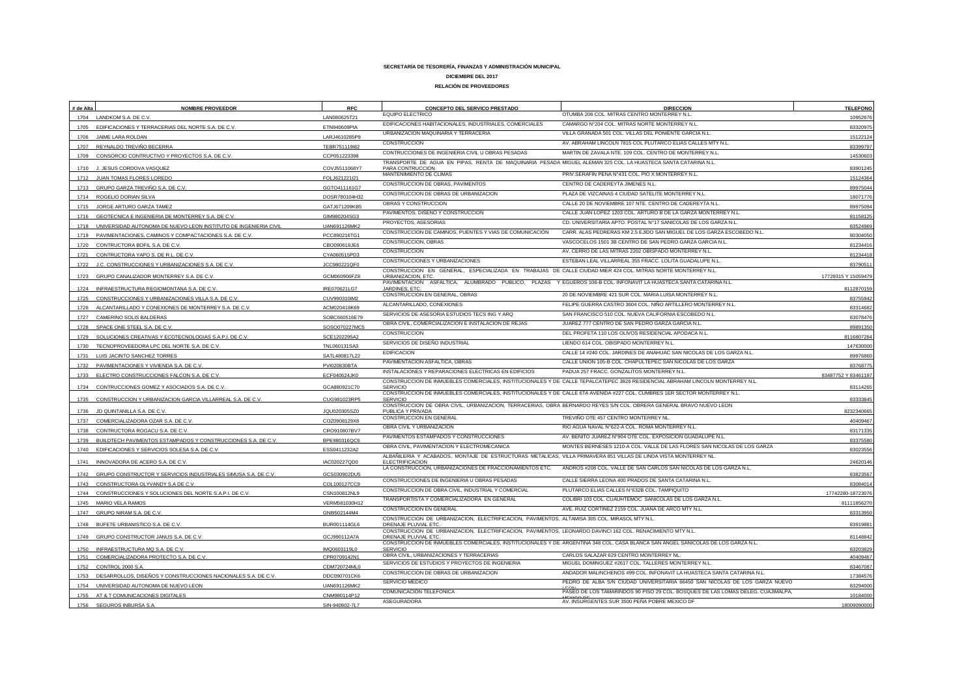| # de Alta    | <b>NOMBRE PROVEEDOR</b>                                                  | <b>RFC</b>                   | CONCEPTO DEL SERVICO PRESTADO                                                                                                             | <b>DIRECCION</b>                                                                                                                 | <b>TELEFONO</b>      |
|--------------|--------------------------------------------------------------------------|------------------------------|-------------------------------------------------------------------------------------------------------------------------------------------|----------------------------------------------------------------------------------------------------------------------------------|----------------------|
|              | 1704 LANDKOM S.A. DE C.V.                                                | LAN080625T21                 | EQUIPO ELECTRICO                                                                                                                          | OTUMBA 206 COL. MITRAS CENTRO MONTERREY N.L.                                                                                     | 10952676             |
| 1705         | EDIFICACIONES Y TERRACERIAS DEL NORTE S.A. DE C.V.                       | ETN940609PIA                 | EDIFICACIONES HABITACIONALES, INDUSTRIALES, COMERCIALES                                                                                   | CAMARGO N°204 COL. MITRAS NORTE MONTERREY N.L.                                                                                   | 8332097              |
| 1706         | JAIME LARA ROLDAN                                                        | LARJ4610285P9                | URBANIZACION MAQUINARIA Y TERRACERIA                                                                                                      | VILLA GRANADA 501 COL, VILLAS DEL PONIENTE GARCIA N.L.                                                                           | 15122124             |
|              | 1707 REYNALDO TREVIÑO BECERRA                                            | TEBR751119l82                | CONSTRUCCION                                                                                                                              | AV. ABRAHAM LINCOLN 7815 COL PLUTARCO ELIAS CALLES MTY N.L.                                                                      | 83399797             |
| 1709         | CONSORCIO CONTRUCTIVO Y PROYECTOS S.A. DE C.V.                           | CCP051223398                 | CONTRUCCIONES DE INGENIERIA CIVIL U OBRAS PESADAS                                                                                         | MARTIN DE ZAVALA NTE. 109 COL. CENTRO DE MONTERREY N.L.                                                                          | 1453060              |
| 1710         | J. JESUS CORDOVA VASQUEZ                                                 | COVJ5511068Y7                | TRANSPORTE DE AGUA EN PIPAS, RENTA DE MAQUINARIA PESADA MIGUEL ALEMAN 325 COL. LA HUASTECA SANTA CATARINA N.L.<br><b>PARA CONTRUCCION</b> |                                                                                                                                  | 83901245             |
| 1712         | JUAN TOMAS FLORES LOREDO                                                 | FOLJ621221l21                | MANTENIMIENTO DE CLIMAS                                                                                                                   | PRIV.SERAFIN PEÑA Nº431 COL. PIO X MONTERREY N.L.                                                                                | 15124364             |
| 1713         | GRUPO GARZA TREVIÑO S.A. DE C.V                                          | GGTO411161G7                 | CONSTRUCCION DE OBRAS, PAVIMENTOS                                                                                                         | CENTRO DE CADEREYTA JIMENES N.L.                                                                                                 | 89975044             |
|              | 1714 ROGELIO DORIAN SILVA                                                | DOSR780104H32                | CONSTRUCCION DE OBRAS DE URBANIZACION                                                                                                     | PLAZA DE VIZCAINAS 4 CIUDAD SATELITE MONTERREY N.L.                                                                              | 18071776             |
| 1715         | JORGE ARTURO GARZA TAMEZ                                                 | GATJ671209KB5                | OBRAS Y CONSTRUCCION                                                                                                                      | CALLE 20 DE NOVIEMBRE 107 NTE, CENTRO DE CADEREYTA N.L.                                                                          | 89975094             |
|              | 1716 GEOTECNICA E INGENIERIA DE MONTERREY S.A. DE C.V.                   | GIM980204SG3                 | PAVIMENTOS, DISEÑO Y CONSTRUCCION                                                                                                         | CALLE JUAN LOPEZ 1203 COL. ARTURO B DE LA GARZA MONTERREY N.L.                                                                   | 81158125             |
| 1718         | UNIVERSIDAD AUTONOMA DE NUEVO LEON INSTITUTO DE INGENIERIA CIVIL         | UAN691126MK2                 | PROYECTOS, ASESORIAS                                                                                                                      | CD. UNIVERSITARIA APTO. POSTAL Nº17 SANICOLAS DE LOS GARZA N.L.                                                                  | 83524969             |
| 1719         | PAVIMENTACIONES, CAMINOS Y COMPACTACIONES S.A. DE C.V                    | PCC890216TG1                 | CONSTRUCCION DE CAMINOS, PUENTES Y VIAS DE COMUNICACIÓN                                                                                   | CARR. ALAS PEDRERAS KM 2.5 EJIDO SAN MIGUEL DE LOS GARZA ESCOBEDO N.L.                                                           | 8030405              |
| 1720         | CONTRUCTORA BOFIL S.A. DE C.V                                            | CBO090618JE6                 | CONSTRUCCION, OBRAS                                                                                                                       | VASCOCELOS 1501 3B CENTRO DE SAN PEDRO GARZA GARCIA N.L.                                                                         | 81234416             |
| 1721         | CONTRUCTORA YAPO S. DE R.L. DE C.V.                                      | CYA060515PD3                 | CONSTRUCCION                                                                                                                              | AV. CERRO DE LAS MITRAS 2202 OBISPADO MONTERREY N.L.                                                                             | 81234418             |
| 1722         | J.C. CONSTRUCCIONES Y URBANIZACIONES S.A. DE C.V.                        | JCC980221QF0                 | CONSTRUCCIONES Y URBANIZACIONES                                                                                                           | ESTEBAN LEAL VILLARREAL 355 FRACC. LOLITA GUADALUPE N.L                                                                          | 8379051              |
| 1723         | GRUPO CANALIZADOR MONTERREY S.A. DE C.V.                                 | GCM060906FZ8                 | CONSTRUCCION EN GENERAL, ESPECIALIZADA EN TRABAJAS DE CALLE CIUDAD MIER 424 COL. MITRAS NORTE MONTERREY N.L.<br>URBANIZACION, ETC         |                                                                                                                                  | 17729315 Y 15059479  |
|              |                                                                          |                              | PAVIMENTACION ASFALTICA, ALUMBRADO PUBLICO, PLAZAS Y EGUEROS 106-B COL. INFONAVIT LA HUASTECA SANTA CATARINA N.L.                         |                                                                                                                                  |                      |
| 1724         | INFRAESTRUCTURA REGIOMONTANA S.A. DE C.V.                                | IRE070621LG7                 | JARDINES, ETC<br>CONSTRUCCION EN GENERAL, OBRAS                                                                                           | 20 DE NOVIEMBRE 421 SUR COL. MARIA LUISA MONTERREY N.L                                                                           | 8112870159           |
|              | 1725 CONSTRUCCIONES Y URBANIZACIONES VILLA S.A. DE C.V.                  | CUV990310IM2                 | ALCANTARILLADO, CONEXIONES                                                                                                                | FELIPE GUERRA CASTRO 3604 COL. NIÑO ARTILLERO MONTERREY N.L.                                                                     | 83755942             |
| 1726         | ALCANTARILLADO Y CONEXIONES DE MONTERREY S.A. DE C.V.                    | ACM020418K69                 | SERVICIOS DE ASESORIA ESTUDIOS TECS ING Y ARQ                                                                                             | SAN FRANCISCO 510 COL. NUEVA CALIFORNIA ESCOBEDO N.L                                                                             | 83314682             |
| 1727         | CAMERINO SOLIS BALDERAS                                                  | SOBC660516E79                | OBRA CIVIL, COMERCIALIZACION E INSTALACION DE REJAS                                                                                       | JUAREZ 777 CENTRO DE SAN PEDRO GARZA GARCIA N.L.                                                                                 | 83078476             |
| 1728         | SPACE ONE STEEL S.A. DE C.V.                                             | SOSO070227MC5                | CONSTRUCCION                                                                                                                              | DEL PROFETA 110 LOS OLIVOS RESIDENCIAL APODACA N.L.                                                                              | 8989135              |
| 1729         | SOLUCIONES CREATIVAS Y ECOTECNOLOGIAS S.A.P.I. DE C.V                    | SCE1202295A2                 | SERVICIOS DE DISEÑO INDUSTRIAL                                                                                                            | LIENDO 614 COL. OBISPADO MONTERREY N.L.                                                                                          | 811680728            |
| 1730         | TECNOPROVEEDORA LPC DEL NORTE S.A. DE C.V.                               | TNL060131SA3                 | <b>EDIFICACION</b>                                                                                                                        | CALLE 14 #240 COL. JARDINES DE ANAHUAC SAN NICOLAS DE LOS GARZA N.L.                                                             | 14763000             |
|              | 1731 LUIS JACINTO SANCHEZ TORRES                                         | SATL480817L22                | PAVIMENTACION ASFALTICA, OBRAS                                                                                                            | CALLE UNION 105-B COL. CHAPULTEPEC SAN NICOLAS DE LOS GARZA                                                                      | 89976860             |
|              | 1732 PAVIMENTACIONES Y VIVIENDA S.A. DE C.V.                             | PVI020830BTA                 | INSTALACIONES Y REPARACIONES ELECTRICAS EN EDIFICIOS                                                                                      | PADUA 257 FRACC, GONZALITOS MONTERREY N.L.                                                                                       | 8376877              |
| 1733         | ELECTRO CONSTRUCCIONES FALCON S.A. DE C.V.                               | ECF040624JK0                 |                                                                                                                                           | CONSTRUCCION DE INMUEBLES COMERCIALES, INSTITUCIONALES Y DE CALLE TEPALCATEPEC 3826 RESIDENCIAL ABRAHAM LINCOLN MONTERREY N.L.   | 83487752 Y 83461197  |
| 1734         | CONTRUCCIONES GOMEZ Y ASOCIADOS S.A. DE C.V.                             | GCA880921C70                 | <b>SERVICIO</b>                                                                                                                           |                                                                                                                                  | 8311426              |
| 1735         | CONSTRUCCION Y URBANIZACION GARCIA VILLARREAL S.A. DE C.V.               | CUG981023RP5                 | SERVICIO                                                                                                                                  | CONSTRUCCION DE INMUEBLES COMERCIALES, INSTITUCIONALES Y DE CALLE 6TA AVENIDA #227 COL. CUMBRES 1ER SECTOR MONTERREY N.L.        | 8333384              |
|              | JD QUINTANILLA S.A. DE C.V.                                              | JQU020305SZ0                 | CONSTRUCCION DE OBRA CIVIL, URBANIZACION, TERRACERIAS, OBRA BERNARDO REYES S/N COL. OBRERA GENERAL BRAVO NUEVO LEON<br>PUBLICA Y PRIVADA  |                                                                                                                                  | 823234066            |
| 1737         | COMERCIALIZADORA OZAR S.A. DE C.V.                                       | COZ0908129X8                 | CONSTRUCCION EN GENERAL                                                                                                                   | TREVIÑO OTE 457 CENTRO MONTERREY NL                                                                                              | 4040946              |
| 1738         | CONTRUCTORA ROGACU S.A. DE C.V.                                          | CRO910807BV7                 | OBRA CIVIL Y URBANIZACION                                                                                                                 | RIO AGUA NAVAL N°622-A COL. ROMA MONTERREY N.L                                                                                   | 83171335             |
| 1739         | BUILDTECH PAVIMENTOS ESTAMPADOS Y CONSTRUCCIONES S.A. DE C.V.            | BPE980316QC6                 | PAVIMENTOS ESTAMPADOS Y CONSTRUCCIONES                                                                                                    | AV. BENITO JUAREZ N°904 OTE COL. EXPOSICION GUADALUPE N.L.                                                                       | 83375580             |
| 1740         | EDIFICACIONES Y SERVICIOS SOLESA S.A. DE C.V.                            | ESS0411232A2                 | OBRA CIVIL. PAVIMENTACION Y ELECTROMECANICA                                                                                               | MONTES BERNESES 1210-A COL. VALLE DE LAS FLORES SAN NICOLAS DE LOS GARZA                                                         | 8302355              |
|              |                                                                          |                              | ALBAÑILERIA Y ACABADOS, MONTAJE DE ESTRUCTURAS METALICAS, VILLA PRIMAVERA 851 VILLAS DE LINDA VISTA MONTERREY NL                          |                                                                                                                                  |                      |
| 1741         | INNOVADORA DE ACERO S.A. DE C.V.                                         | IAC020227QD0                 | <b>ELECTRIFICACION</b><br>LA CONSTRUCCION, URBANIZACIONES DE FRACCIONAMIENTOS ETC.                                                        | ANDROS #208 COL. VALLE DE SAN CARLOS SAN NICOLAS DE LOS GARZA N.L.                                                               | 2462014              |
| 1742         | GRUPO CONSTRUCTOR Y SERVICIOS INDUSTRIALES SIMUSA S.A. DE C.V            | GCS030902DU5                 | CONSTRUCCIONES DE INGENIERIA U OBRAS PESADAS                                                                                              | CALLE SIERRA LEONA 400 PRADOS DE SANTA CATARINA N.L.                                                                             | 83823567             |
| 1743         | CONSTRUCTORA OLYVANDY S.A DE C.V.                                        | COL100127CC9                 | CONSTRUCCION DE OBRA CIVIL. INDUSTRIAL Y COMERCIAL                                                                                        | PLUTARCO ELIAS CALLES N°632B COL. TAMPIQUITO                                                                                     | 83084014             |
| 1744         | CONSTRUCCIONES Y SOLUCIONES DEL NORTE S.A.P.I. DE C.V.                   | CSN100812NL9                 | TRANSPORTISTA Y COMERCIALIZADORA EN GENERAL                                                                                               | COLIBRI 103 COL. CUAUHTEMOC SANICOLAS DE LOS GARZA N.L.                                                                          | 17742280-1872307     |
| 1745         | MARIO VELA RAMOS                                                         | VERM581030H12                | CONSTRUCCION EN GENERAL                                                                                                                   | AVE. RUIZ CORTINEZ 2159 COL. JUANA DE ARCO MTY N.L                                                                               | 81111856270          |
| 1747         | GRUPO NIRAM S.A. DE C.V.                                                 | GNI9502144M4                 | CONSTRUCCION DE URBANIZACION, ELECTRIFICACION, PAVIMENTOS, ALTAMISA 305 COL. MIRASOL MTY N.L.                                             |                                                                                                                                  | 8331395              |
| 1748         | BUFETE URBANISTICO S.A. DE C.V.                                          | BUR001114GL6                 | DRENAJE PLUVIAL ETC                                                                                                                       |                                                                                                                                  | 8391988              |
| 1749         | GRUPO CONSTRUCTOR JANUS S.A. DE C.V.                                     | GCJ990112A7A                 | CONSTRUCCION DE URBANIZACION, ELECTRIFICACION, PAVIMENTOS, LEONARDO DAVINCI 162 COL. RENACIMIENTO MTY N.L.<br>DRENAJE PLUVIAL ETC         |                                                                                                                                  | 81148842             |
|              |                                                                          |                              |                                                                                                                                           | CONSTRUCCION DE INMUEBLES COMERCIALES, INSTITUCIONALES Y DE ARGENTINA 348 COL. CASA BLANCA SAN ANGEL SANICOLAS DE LOS GARZA N.L. |                      |
| 1750<br>1751 | INFRAESTRUCTURA MQ S.A. DE C.V<br>COMERCIALIZADORA PROTECTO S.A. DE C.V. | IMQ0603119L0<br>CPR0709142N1 | <b>SERVICIO</b><br>OBRA CIVIL, URBANIZACIONES Y TERRACERIAS                                                                               | CARLOS SALAZAR 629 CENTRO MONTERREY NL.                                                                                          | 83203829<br>40409467 |
| 1752         | CONTROL 2000 S.A.                                                        | CDM720724ML0                 | SERVICIOS DE ESTUDIOS Y PROYECTOS DE INGENIERIA                                                                                           | MIGUEL DOMINGUEZ #2617 COL. TALLERES MONTERREY N.L.                                                                              | 8346708              |
| 1753         | DESARROLLOS, DISEÑOS Y CONSTRUCCIONES NACIONALES S.A. DE C.V.            | DDC090701CK6                 | CONSTRUCCION DE OBRAS DE URBANIZACION                                                                                                     | ANDADOR MALINCHENOS #99 COL. INFONAVIT LA HUASTECA SANTA CATARINA N.L.                                                           | 17384576             |
|              | 1754 UNIVERSIDAD AUTONOMA DE NUEVO LEON                                  | UAN691126MK2                 | SERVICIO MEDICO                                                                                                                           | PEDRO DE ALBA S/N CIUDAD UNIVERSITARIA 66450 SAN NICOLAS DE LOS GARZA NUEVO                                                      | 83294000             |
|              | 1755 AT & T COMUNICACIONES DIGITALES                                     | CNM980114P12                 | COMUNICACIÓN TELEFONICA                                                                                                                   | PASEO DE LOS TAMARINDOS 90 PISO 29 COL. BOSQUES DE LAS LOMAS DELEG. CUAJIMALPA.<br>MEVICO DE                                     | 10184000             |
| 1756         | SEGUROS INBURSA S.A                                                      | SIN-940802-71                | ASEGURADORA                                                                                                                               | AV. INSURGENTES SUR 3500 PEÑA POBRE MEXICO DF                                                                                    | 1800909000           |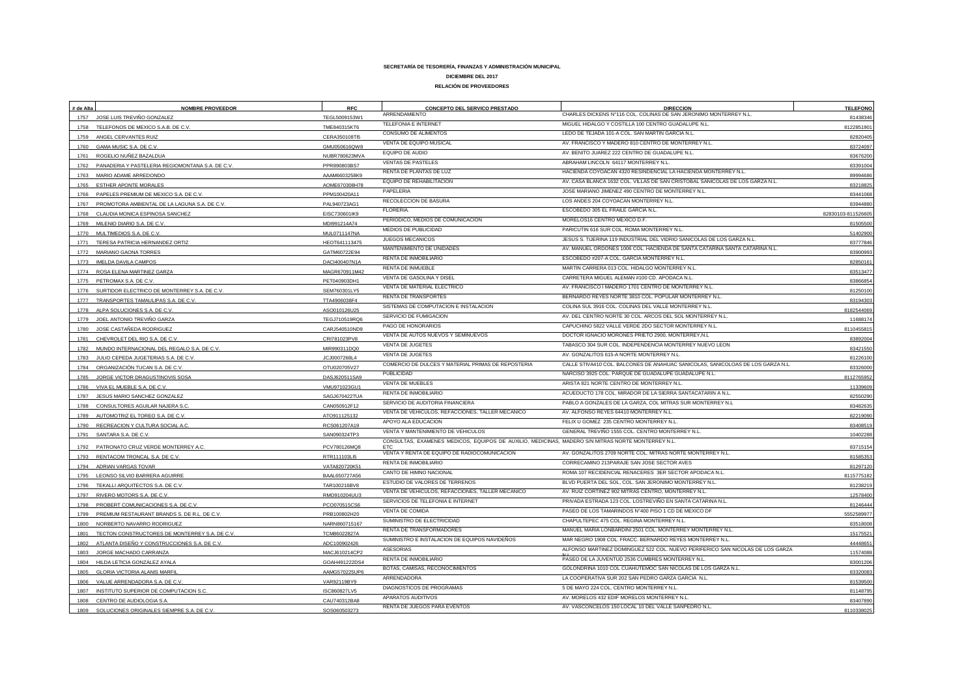| # de Alta | <b>NOMBRE PROVEEDOR</b>                               | <b>RFC</b>    | CONCEPTO DEL SERVICO PRESTADO                                                                      | <b>DIRECCION</b>                                                                | <b>TELEFONO</b>    |
|-----------|-------------------------------------------------------|---------------|----------------------------------------------------------------------------------------------------|---------------------------------------------------------------------------------|--------------------|
|           | 1757 JOSE LUIS TREVIÑO GONZALEZ                       | TEGL5009153W1 | ARRENDAMIENTO                                                                                      | CHARLES DICKENS N°116 COL. COLINAS DE SAN JERONIMO MONTERREY N.L.               | 81438346           |
|           | 1758 TELEFONOS DE MEXICO S.A.B. DE C.V.               | TME840315KT6  | TELEFONIA E INTERNET                                                                               | MIGUEL HIDALGO Y COSTILLA 100 CENTRO GUADALUPE N.L.                             | 812285190          |
|           | 1759 ANGEL CERVANTES RUIZ                             | CERA350108TI5 | CONSUMO DE ALIMENTOS                                                                               | LEDO DE TEJADA 101-A COL. SAN MARTIN GARCIA N.L.                                | 82820405           |
|           | 1760 GAMA MUSIC S.A. DE C.V.                          | GMU050616QW8  | VENTA DE EQUIPO MUSICAL                                                                            | AV. FRANCISCO Y MADERO 810 CENTRO DE MONTERREY N.L.                             | 83724097           |
|           | 1761 ROGELIO NUÑEZ BAZALDUA                           | NUBR780623MVA | EQUIPO DE AUDIO                                                                                    | AV. BENITO JUAREZ 222 CENTRO DE GUADALUPE N.L.                                  | 83676200           |
|           | 1762 PANADERIA Y PASTELERIA REGIOMONTANA S.A. DE C.V. | PPR890803BS7  | <b>VENTAS DE PASTELES</b>                                                                          | ABRAHAM LINCOLN 64117 MONTERREY N.L.                                            | 83391004           |
|           | 1763 MARIO ADAME ARREDONDO                            | AAAM6603258K9 | RENTA DE PLANTAS DE LUZ                                                                            | HACIENDA COYOACAN 4320 RESINDENCIAL LA HACIENDA MONTERREY N.L.                  | 89994686           |
|           | 1765 ESTHER APONTE MORALES                            | AOME670308H78 | EQUIPO DE REHABILITACION                                                                           | AV. CASA BLANCA 1632 COL. VILLAS DE SAN CRISTOBAL SANICOLAS DE LOS GARZA N.L.   | 83218825           |
|           | 1766 PAPELES PREMIUM DE MEXICO S.A. DE C.V.           | PPM100420A11  | PAPELERIA                                                                                          | JOSE MARIANO JIMENEZ 490 CENTRO DE MONTERREY N.L.                               | 83441068           |
|           | 1767 PROMOTORA AMBIENTAL DE LA LAGUNA S.A. DE C.V.    | PAL940723AG1  | RECOLECCION DE BASURA                                                                              | LOS ANDES 204 COYOACAN MONTERREY N.L.                                           | 83944880           |
| 1768      | CLAUDIA MONICA ESPINOSA SANCHEZ                       | EISC730601IK9 | FLORERIA.                                                                                          | ESCOBEDO 305 EL FRAILE GARCIA N.L.                                              | 82830103-811526605 |
|           | 1769 MILENIO DIARIO S.A. DE C.V.                      | MDI991214A74  | PERIODICO, MEDIOS DE COMUNICACIÓN                                                                  | MORELOS16 CENTRO MEXICO D.F.                                                    | 81505500           |
|           | 1770 MULTIMEDIOS S.A. DE C.V.                         | MUL0711147NA  | MEDIOS DE PUBLICIDAD                                                                               | PARICUTIN 616 SUR COL. ROMA MONTERREY N.L.                                      | 51402900           |
|           | 1771 TERESA PATRICIA HERNANDEZ ORTIZ                  | HEOT641113475 | JUEGOS MECANICOS                                                                                   | JESUS S. TIJERINA 119 INDUSTRIAL DEL VIDRIO SANICOLAS DE LOS GARZA N.L          | 83777846           |
|           | 1772 MARIANO GAONA TORRES                             | GATM60722E94  | MANTENIMIENTO DE UNIDADES                                                                          | AV. MANUEL ORDONES 1006 COL. HACIENDA DE SANTA CATARINA SANTA CATARINA N.L.     | 83900993           |
|           | 1773 IMELDA DAVILA CAMPOS                             | DACI400407N1A | RENTA DE INMOBILIARIO                                                                              | ESCOBEDO #207-A COL. GARCIA MONTERREY N.L.                                      | 8285016            |
|           | 1774 ROSA ELENA MARTINEZ GARZA                        | MAGR670911M42 | RENTA DE INMUEBLE                                                                                  | MARTIN CARRERA 013 COL. HIDALGO MONTERREY N.L.                                  | 83513477           |
|           | 1775 PETROMAX S.A. DE C.V.                            | PET040903DH1  | VENTA DE GASOLINA Y DISEL                                                                          | CARRETERA MIGUEL ALEMAN #100 CD. APODACA N.L.                                   | 83866854           |
| 1776      | SURTIDOR ELECTRICO DE MONTERREY S.A. DE C.V.          | SEM760301LY5  | VENTA DE MATERIAL ELECTRICO                                                                        | AV. FRANCISCO I MADERO 1701 CENTRO DE MONTERREY N.L.                            | 81250100           |
|           | 1777 TRANSPORTES TAMAULIPAS S.A. DE C.V.              | TTA4906038F4  | RENTA DE TRANSPORTES                                                                               | BERNARDO REYES NORTE 3810 COL. POPULAR MONTERREY N.L.                           | 83194303           |
|           | 1778 ALPA SOLUCIONES S.A. DE C.V.                     | ASO010126U25  | SISTEMAS DE COMPUTACION E INSTALACION                                                              | COLINA SUL 3916 COL. COLINAS DEL VALLE MONTERREY N.L.                           | 8182544069         |
| 1779      | JOEL ANTONIO TREVIÑO GARZA                            | TEGJ710519RQ6 | SERVICIO DE FUMIGACION                                                                             | AV. DEL CENTRO NORTE 30 COL. ARCOS DEL SOL MONTERREY N.L.                       | 11688174           |
| 1780      | JOSE CASTAÑEDA RODRIGUEZ                              | CARJ540510ND9 | PAGO DE HONORARIOS                                                                                 | CAPUCHINO 5822 VALLE VERDE 2DO SECTOR MONTERREY N.L.                            | 8110455815         |
| 1781      | CHEVROLET DEL RIO S.A. DE C.V.                        | CRI781023PV8  | VENTA DE AUTOS NUEVOS Y SEMINUEVOS                                                                 | DOCTOR IGNACIO MORONES PRIETO 2900, MONTERREY, N.L.                             | 8389200            |
|           | 1782 MUNDO INTERNACIONAL DEL REGALO S.A. DE C.V.      | MIR990311DQ0  | VENTA DE JUGETES                                                                                   | TABASCO 304 SUR COL. INDEPENDENCIA MONTERREY NUEVO LEON                         | 83421550           |
| 1783      | JULIO CEPEDA JUGETERIAS S.A. DE C.V.                  | JCJ0007268L4  | VENTA DE JUGETES                                                                                   | AV. GONZALITOS 615-A NORTE MONTERREY N.L.                                       | 81226100           |
|           | 1784 ORGANIZACIÓN TUCAN S.A. DE C.V.                  | OTU020705V27  | COMERCIO DE DULCES Y MATERIAL PRIMAS DE REPOSTERIA                                                 | CALLE STIVA410 COL. BALCONES DE ANAHUAC SANICOLAS, SANICOLOAS DE LOS GARZA N.L. | 83326000           |
|           | 1785 JORGE VICTOR DRAGUSTINOVIS SOSA                  | DASJ620511SA9 | PUBLICIDAD                                                                                         | NARCISO 3925 COL. PARQUE DE GUADALUPE GUADALUPE N.L.                            | 8112765952         |
|           | 1786 VIVA EL MUEBLE S.A. DE C.V.                      | VMU971023GU1  | VENTA DE MUEBLES                                                                                   | ARISTA 821 NORTE CENTRO DE MONTERREY N.L.                                       | 1133960            |
| 1787      | JESUS MARIO SANCHEZ GONZALEZ                          | SAGJ670422TUA | RENTA DE INMOBILIARIO                                                                              | ACUEDUCTO 178 COL. MIRADOR DE LA SIERRA SANTACATARIN A N.L.                     | 82550290           |
| 1788      | CONSULTORES AGUILAR NAJERA S.C.                       | CAN050912F12  | SERVICIO DE AUDITORIA FINANCIERA                                                                   | PABLO A GONZALES DE LA GARZA, COL MITRAS SUR MONTERREY N.L.                     | 83482635           |
|           | 1789 AUTOMOTRIZ EL TOREO S.A. DE C.V.                 | ATO911125132  | VENTA DE VEHICULOS, REFACCIONES, TALLER MECANICO                                                   | AV. ALFONSO REYES 64410 MONTERREY N.L.                                          | 82219090           |
|           | 1790 RECREACION Y CULTURA SOCIAL A.C.                 | RCS061207A19  | APOYO ALA EDUCACION                                                                                | FELIX U GOMEZ 235 CENTRO MONTERREY N.L                                          | 83408519           |
| 1791      | SANTARA S.A. DE C.V                                   | SAN090324TP3  | VENTA Y MANTENIMIENTO DE VEHICULOS                                                                 | GENERAL TREVIÑO 1555 COL. CENTRO MONTERREY N.L.                                 | 1040228            |
|           |                                                       |               | CONSULTAS, EXAMENES MEDICOS, EQUIPOS DE AUXILIO, MEDICINAS, MADERO S/N MITRAS NORTE MONTERREY N.L. |                                                                                 |                    |
|           | 1792 PATRONATO CRUZ VERDE MONTERREY A.C.              | PCV780126MQ8  | VENTA Y RENTA DE EQUIPO DE RADIOCOMUNICACION                                                       | AV. GONZALITOS 2709 NORTE COL. MITRAS NORTE MONTERREY N.L.                      | 83715154           |
|           | 1793 RENTACOM TRONCAL S.A. DE C.V.                    | RTR111103LI5  | RENTA DE INMOBILIARIO                                                                              | CORRECAMINO 213PARAJE SAN JOSE SECTOR AVES                                      | 81585353           |
| 1794      | ADRIAN VARGAS TOVAR                                   | VATA820720K51 | CANTO DE HIMNO NACIONAL                                                                            | ROMA 107 RECIDENCIAL RENACERES 3ER SECTOR APODACA N.L.                          | 81297120           |
| 1795      | LEONSO SILVIO BARRERA AGUIRRE                         | BAAL650727A56 | ESTUDIO DE VALORES DE TERRENOS                                                                     | BLVD PUERTA DEL SOL, COL. SAN JERONIMO MONTERREY N.L                            | 811577518          |
| 1796      | TEKALLI ARQUITECTOS S.A. DE C.V.                      | TAR100216BV8  | VENTA DE VEHICULOS, REFACCIONES, TALLER MECANICO                                                   | AV. RUIZ CORTINEZ 902 MITRAS CENTRO, MONTERREY N.L.                             | 81238219           |
|           | 1797 RIVERO MOTORS S.A. DE C.V.                       | RMO910204UU3  | SERVICIOS DE TELEFONIA E INTERNET                                                                  | PRIVADA ESTRADA 123 COL. LOSTREVIÑO EN SANTA CATARINA N.L.                      | 12578400           |
|           | 1798 PROBERT COMUNICACIONES S.A. DE C.V.              | PCO070515CS6  | VENTA DE COMIDA                                                                                    | PASEO DE LOS TAMARINDOS Nº400 PISO 1 CD DE MEXICO DF                            | 81246444           |
|           | 1799 PREMIUM RESTAURANT BRANDS S. DE R.L. DE C.V.     | PRB100802H20  | SUMINISTRO DE ELECTRICIDAD                                                                         | CHAPULTEPEC 475 COL. REGINA MONTERREY N.L.                                      | 5552589977         |
| 1800      | NORBERTO NAVARRO RODRIGUEZ                            | NARN860715167 | RENTA DE TRANSFORMADORES                                                                           | MANUEL MARIA LONBARDINI 2501 COL. MONTERREY MONTERREY N.L.                      | 83518008           |
| 1801      | TECTON CONSTRUCTORES DE MONTERREY S.A. DE C.V.        | TCM86022827A  | SUMINISTRO E INSTALACION DE EQUIPOS NAVIDEÑOS                                                      | MAR NEGRO 1908 COL. FRACC. BERNARDO REYES MONTERREY N.L.                        | 15175521           |
|           | 1802 ATLANTA DISEÑO Y CONSTRUCCIONES S.A. DE C.V.     | ADC100902426  | <b>ASESORIAS</b>                                                                                   | ALFONSO MARTINEZ DOMINGUEZ 522 COL. NUEVO PERIFERICO SAN NICOLAS DE LOS GARZA   | 44448651           |
|           | 1803 JORGE MACHADO CARRANZA                           | MACJ610214CP2 | RENTA DE INMOBILIARIO                                                                              | PASEO DE LA JUVENTUD 2536 CUMBRES MONTERREY N.L.                                | 11574088           |
|           | 1804 HILDA LETICIA GONZALEZ AYALA                     | GOAH491222DS4 | BOTAS, CAMISAS, RECONOCIMIENTOS                                                                    | GOLONDRINA 1010 COL CUAHUTEMOC SAN NICOLAS DE LOS GARZA N.L.                    | 83001206           |
| 1805      | <b>GLORIA VICTORIA ALANIS MARFI</b>                   | AAMG570225UP6 | ARRENDADORA                                                                                        | LA COOPERATIVA SUR 202 SAN PEDRO GARZA GARCIA N.L.                              | 83320083           |
|           | 1806 VALUE ARRENDADORA S.A. DE C.V                    | VAR92119BY9   | DIAGNOSTICOS DE PROGRAMAS                                                                          | 5 DE MAYO 224 COL. CENTRO MONTERREY N.L                                         | 81539500           |
|           | 1807 INSTITUTO SUPERIOR DE COMPUTACION S.C.           | ISC860827LV5  | APARATOS AUDITIVOS                                                                                 | AV. MORELOS 432 EDIF MORELOS MONTERREY N.L                                      | 81148795           |
|           | 1808 CENTRO DE AUDIOLOGIA S.A.                        | CAU740312BA8  |                                                                                                    |                                                                                 | 83407890           |
|           | 1809 SOLUCIONES ORIGINALES SIEMPRE S.A. DE C.V.       | SOS060503273  | RENTA DE JUEGOS PARA EVENTOS                                                                       | AV. VASCONCELOS 150 LOCAL 10 DEL VALLE SANPEDRO N.L.                            | 8110338025         |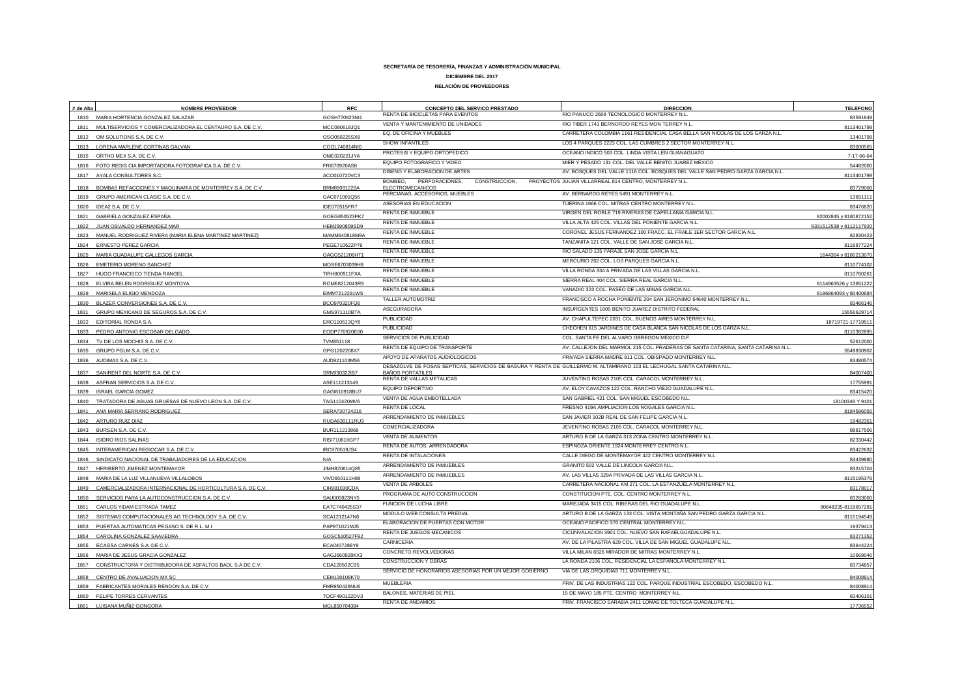| # de Alta | <b>NOMBRE PROVEEDOR</b>                                        | <b>RFC</b>                    | CONCEPTO DEL SERVICO PRESTADO                                         | <b>DIRECCION</b>                                                                                                        | <b>TELEFONO</b>         |
|-----------|----------------------------------------------------------------|-------------------------------|-----------------------------------------------------------------------|-------------------------------------------------------------------------------------------------------------------------|-------------------------|
|           | 1810 MARIA HORTENCIA GONZALEZ SALAZAR                          | GOSH770923NI1                 | RENTA DE BICICLETAS PARA EVENTOS                                      | RIO PANUCO 2609 TECNOLOGICO MONTERREY N.L.                                                                              | 83591849                |
|           | 1811 MULTISERVICIOS Y COMERCIALIZADORA EL CENTAURO S.A. DE C.V | MCC090618JQ1                  | VENTA Y MANTENIMIENTO DE UNIDADES                                     | RIO TIBER 1741 BERNORDO REYES MON TERREY N.L.                                                                           | 811340179               |
| 1812      | OM SOLUTIONS S.A. DE C.V                                       | OSO050225SX8                  | EQ. DE OFICINA Y MUEBLES                                              | CARRETERA COLOMBIA 1161 RESIDENCIAL CASA BELLA SAN NICOLAS DE LOS GARZA N.L.                                            | 13401798                |
|           | 1813 LORENA MARLENE CORTINAS GALVAN                            | COGL740814NI0                 | SHOW INFANTILES                                                       | LOS 4 PARQUES 2223 COL. LAS CUMBRES 2 SECTOR MONTERREY N.L.                                                             | 8300056                 |
|           | 1815 ORTHO MEX S.A. DE C.V.                                    | OME020221JYA                  | PROTESIS Y EQUIPO ORTOPEDICO                                          | OCEANO INDICO 503 COL. LINDA VISTA LEN GUANAGUATO                                                                       | 7-17-66-64              |
|           | 1816 FOTO REGIS CIA IMPORTADORA FOTOGRAFICA S.A. DE C.V.       | FRI670920AS8                  | EQUIPO FOTOGRAFICO Y VIDEO                                            | MIER Y PESADO 131 COL. DEL VALLE BENITO JUAREZ MEXICO                                                                   | 5448200                 |
|           | 1817 AYALA CONSULTORES S.C.                                    | ACO010720VC3                  | DISEÑO Y ELABORACION DE ARTES                                         | AV. BOSQUES DEL VALLE 1116 COL. BOSQUES DEL VALLE SAN PEDRO GARZA GARCIA N.L                                            | 8113401798              |
| 1818      | BOMBAS REFACCIONES Y MAQUINARIA DE MONTERREY S.A. DE C.V.      | BRM89091229A                  | BOMBEO.<br>PERFORACIONES,<br>CONSTRUCCION,<br><b>ELECTROMECANICOS</b> | PROYECTOS JULIAN VILLARREAL 814 CENTRO, MONTERREY N.L.                                                                  | 83729006                |
|           | 1819 GRUPO AMERICAN CLASIC S.A. DE C.V.                        | GAC071001Q56                  | PERCIANAS, ACCESORIOS, MUEBLES                                        | AV. BERNARDO REYES 5491 MONTERREY N.L                                                                                   | 13651111                |
| 1820      | IDEA2 S.A. DE C.V.                                             | IDE070515FR7                  | ASESORIAS EN EDUCACION                                                | TIJERINA 1666 COL. MITRAS CENTRO MONTERREY N.L.                                                                         | 8347682                 |
|           | 1821 GABRIELA GONZALEZ ESPAÑA                                  | GOEG850523PK7                 | RENTA DE INMUEBLE                                                     | VIRGEN DEL ROBLE 719 RIVERAS DE CAPELLANIA GARCIA N.L.                                                                  | 82002845 y 8180872152   |
| 1822      | JUAN OSVALDO HERNANDEZ MAR                                     | HEMJ590809SD9                 | RENTA DE INMUEBLE                                                     | VILLA ALTA 425 COL. VILLAS DEL PONIENTE GARCIA N.L.                                                                     | 8331512538 y 8112117920 |
| 1823      | MANUEL RODRIGUEZ RIVERA (MARIA ELENA MARTINEZ MARTINEZ)        | MAMM640818M9A                 | <b>RENTA DE INMUEBLE</b>                                              | CORONEL JESUS FERNANDEZ 100 FRACC. EL FRAILE 1ER SECTOR GARCIA N.L.                                                     | 8283042                 |
|           | 1824 ERNESTO PEREZ GARCIA                                      | PEGE710622P76                 | RENTA DE INMUEBLE                                                     | TANZANITA 121 COL. VALLE DE SAN JOSE GARCIA N.L.                                                                        | 811687722               |
|           | 1825 MARIA GUADALUPE GALLEGOS GARCIA                           | GAGG521206HT1                 | RENTA DE INMUEBLE                                                     | RIO SALADO 135 PARAJE SAN JOSE GARCIA N.L.                                                                              | 1644364 y 818021307     |
| 1826      | EMETERIO MORENO SANCHEZ                                        | MOSE6703039H8                 | <b>RENTA DE INMUEBLE</b>                                              | MERCURIO 202 COL. LOS PARQUES GARCIA N.L.                                                                               | 811077410               |
| 1827      | HUGO FRANCISCO TIENDA RANGEI                                   | TIRH800911FXA                 | <b>RENTA DE INMUEBLE</b>                                              | VILLA RONDA 334 A PRIVADA DE LAS VILLAS GARCIA N.L.                                                                     | 811076026               |
| 1828      | ELVIRA BELEN RODRIGUEZ MONTOYA                                 | ROME8212043R9                 | RENTA DE INMUEBLE                                                     | SIERRA REAL 404 COL. SIERRA REAL GARCIA N.L.                                                                            | 8114963526 y 13651222   |
|           |                                                                |                               | RENTA DE INMUEBLE                                                     | VANADIO 323 COL. PASEO DE LAS MINAS GARCIA N.L.                                                                         | 8186864093 y 8040068    |
| 1830      | MARISELA ELIGIO MENDOZA<br>BLAZER CONVERSIONES S.A. DE C.V.    | EIMM7212291W5<br>BCO970320FQ6 | TALLER AUTOMOTRIZ                                                     | FRANCISCO A ROCHA PONIENTE 204 SAN JERONIMO 64640 MONTERREY N.L                                                         | 83466146                |
| 1831      | GRUPO MEXICANO DE SEGUROS S.A. DE C.V.                         | GMS971110BTA                  | ASEGURADORA                                                           | INSURGENTES 1605 BENITO JUAREZ DISTRITO FEDERAL                                                                         | 1555662971              |
| 1832      | EDITORIAL RONDA S.A.                                           | ER0110513QY8                  | <b>PUBLICIDAD</b>                                                     | AV. CHAPULTEPEC 2031 COL. BUENOS AIRES MONTERREY N.L.                                                                   | 18719721-1771951        |
| 1833      | PEDRO ANTONIO ESCOBAR DELGADO                                  | EODP770920E60                 | <b>PUBLICIDAD</b>                                                     | CHECHEN 615 JARDINES DE CASA BLANCA SAN NICOLAS DE LOS GARZA N.L.                                                       | 811038289               |
| 1834      | TV DE LOS MOCHIS S.A. DE C.V.                                  | TVM851118                     | SERVICIOS DE PUBLICIDAD                                               | COL. SANTA FE DEL ALVARO OBREGON MEXICO D.F.                                                                            | 52612000                |
| 1835      | GRUPO PGLM S.A. DE C.V                                         | GPG1202208X7                  | RENTA DE EQUIPO DE TRANSPORTE                                         | AV. CALLEJON DEL MARMOL 215 COL. PRADERAS DE SANTA CATARINA, SANTA CATARINA N.L.                                        | 554983090               |
|           | AUDIMAX S.A. DE C.V                                            |                               | APOYO DE APARATOS AUDIOLOGICOS                                        | PRIVADA SIERRA MADRE 911 COL. OBISPADO MONTERREY N.L.                                                                   |                         |
| 1836      |                                                                | AUD921103M56                  |                                                                       | DESAZOLVE DE FOSAS SEPTICAS, SERVICIOS DE BASURA Y RENTA DE GUILLERMO M. ALTAMIRANO 103 EL LECHUGAL SANTA CATARINA N.L. | 8348057                 |
|           | 1837 SANIRENT DEL NORTE S.A. DE C.V                            | SRN930322IB7                  | <b>BAÑOS PORTATILES</b><br>RENTA DE VALLAS METALICAS                  | JUVENTINO ROSAS 2105 COL. CARACOL MONTERREY N.L.                                                                        | 84007400                |
| 1838      | ASFRAN SERVICIOS S.A. DE C.V.                                  | ASE111213149                  | EQUIPO DEPORTIVO                                                      | AV. ELOY CAVAZOS 122 COL. RANCHO VIEJO GUADALUPE N.L.                                                                   | 1775599                 |
| 1839      | <b>ISRAEL GARCIA GOMEZ</b>                                     | GAGI810918BU7                 | VENTA DE AGUA EMBOTELLADA                                             | SAN GABRIEL 421 COL. SAN MIGUEL ESCOBEDO N.L.                                                                           | 8341542                 |
| 1840      | TRATADORA DE AGUAS GRUESAS DE NUEVO LEON S.A. DE C.V           | TAG110420MV                   | RENTA DE LOCAL                                                        | FRESNO 419A AMPLIACION LOS NOGALES GARCIA N.L                                                                           | 18100348 Y 910          |
|           | 1841 ANA MARIA SERRANO RODRIGUEZ                               | SERA730724216                 | ARRENDAMIENTO DE INMUEBLES                                            | SAN JAVIER 102B REAL DE SAN FELIPE GARCIA N.L.                                                                          | 8184596055              |
|           | 1842 ARTURO RUIZ DIAZ                                          | RUDA630111RU3                 | COMERCIALIZADORA                                                      | JEVENTINO ROSAS 2105 COL. CARACOL MONTERREY N.L.                                                                        | 19482351                |
|           | 1843 BURSEN S.A. DE C.V.                                       | BUR111213868                  | VENTA DE ALIMENTOS                                                    | ARTURO B DE LA GARZA 313 ZONA CENTRO MONTERREY N.L.                                                                     | 88817506                |
|           | 1844 ISIDRO RIOS SALINAS                                       | RISI710818GP7                 | RENTA DE AUTOS, ARRENDADORA                                           | ESPINOZA ORIENTE 1924 MONTERREY CENTRO N.L                                                                              | 82330442                |
| 1845      | INTERAMERICAN REGIOCAR S.A. DE C.V.                            | IRC970519JS4                  | RENTA DE INTALACIONES                                                 | CALLE DIEGO DE MONTEMAYOR 422 CENTRO MONTERREY N.L.                                                                     | 83422632                |
| 1846      | SINDICATO NACIONAL DE TRABAJADORES DE LA EDUCACION             | N/A                           | ARRENDAMIENTO DE INMUEBLES                                            | GRANITO 502 VALLE DE LINCOLN GARCIA N.L.                                                                                | 8343988                 |
| 1847      | HERIBERTO JIMENEZ MONTEMAYOR                                   | JIMH820614Q85                 | ARRENDAMIENTO DE INMUEBLES                                            | AV. LAS VILLAS 329A PRIVADA DE LAS VILLAS GARCIA N.L.                                                                   | 83315704                |
| 1848      | MARIA DE LA LUZ VILLANUEVA VILLALOBOS                          | VIVD650111H88                 | <b>VENTA DE ARBOLES</b>                                               | CARRETERA NACIONAL KM 271 COL. LA ESTANZUELA MONTERREY N.L.                                                             | 8115195376              |
| 1849      | CAMERCIALIZADORA INTERNACIONAL DE HORTICULTURA S.A. DE C.V.    | CIH981030CDA                  |                                                                       | CONSTITUCION PTE. COL. CENTRO MONTERREY N.L.                                                                            | 83178017                |
| 1850      | SERVICIOS PARA LA AUTOCONSTRUCCION S.A. DE C.V.                | SAU000823NY5                  | PROGRAMA DE AUTO CONSTRUCCION                                         | MAREJADA 3415 COL. RIBERAS DEL RIO GUADALUPE N.L.                                                                       | 83283000                |
| 1851      | CARLOS YIDAM ESTRADA TAMEZ                                     | EATC740425S37                 | FUNCION DE LUCHA LIBRE                                                |                                                                                                                         | 80648235-811965728      |
| 1852      | SISTEMAS COMPUTACIONALES AG TECHNOLOGY S.A. DE C.V.            | SCA1212147N6                  | MODULO WEB CONSULTA PREDIAL                                           | ARTURO B DE LA GARZA 133 COL. VISTA MONTAÑA SAN PEDRO GARZA GARCIA N.L.                                                 | 8115194549              |
| 1853      | PUERTAS AUTOMATICAS PEGASO S. DE R.L. M.I                      | PAP971021MJ5                  | ELABORACION DE PUERTAS CON MOTOR                                      | OCEANO PACIFICO 370 CENTRAL MONTERREY N.L                                                                               | 1937941                 |
| 1854      | CAROLINA GONZALEZ SAAVEDRA                                     | GOSC510527F92                 | RENTA DE JUEGOS MECANICOS                                             | CICUNVALACION 3901 COL. NUEVO SAN RAFAELGUADALUPE N.L.                                                                  | 83271352                |
| 1855      | ECAGSA CARNES S.A. DE C.V.                                     | ECA0407288Y9                  | CARNICERIA                                                            | AV. DE LA PILASTRA 629 COL. VILLA DE SAN MIGUEL GUADALUPE N.L.                                                          | 83644224                |
| 1856      | MARIA DE JESUS GRACIA GONZALEZ                                 | GAGJ660928KX3                 | CONCRETO REVOLVEDORAS                                                 | VILLA MILAN 6526 MIRADOR DE MITRAS MONTERREY N.L.                                                                       | 10669046                |
| 1857      | CONSTRUCTORA Y DISTRIBUIDORA DE ASFALTOS BAOL S.A DE C.V.      | CDA120502C95                  | CONSTRUCCION Y OBRAS                                                  | LA RONDA 2106 COL. RESIDENCIAL LA ESPAÑOLA MONTERREY N.L.                                                               | 83734857                |
| 1858      | CENTRO DE AVALUACION MX SC                                     | CEM130108K70                  | SERVICIO DE HONORARIOS ASESORIAS POR UN MEJOR GOBIERNO                | VIA DE LAS ORQUIDIAS 711 MONTERREY N.L.                                                                                 | 84008914                |
| 1859      | FABRICANTES MORALES RENDON S.A. DE C.V.                        | FMR950428NU6                  | <b>MUEBLERIA</b>                                                      | PRIV. DE LAS INDUSTRIAS 122 COL. PARQUE INDUSTRIAL ESCOBEDO, ESCOBEDO N.L.                                              | 84008914                |
|           | 1860 FELIPE TORRES CERVANTES                                   | TOCF490122DV3                 | BALONES, MATERIAS DE PIEL                                             | 15 DE MAYO 185 PTE, CENTRO MONTERREY N.L.                                                                               | 83406101                |
| 1861      | LUISANA MUÑIZ GONGORA                                          | MGL850704384                  | <b>RENTA DE ANDAMIOS</b>                                              | PRIV. FRANCISCO SARABIA 2411 LOMAS DE TOLTECA GUADALUPE N.L.                                                            | 17736552                |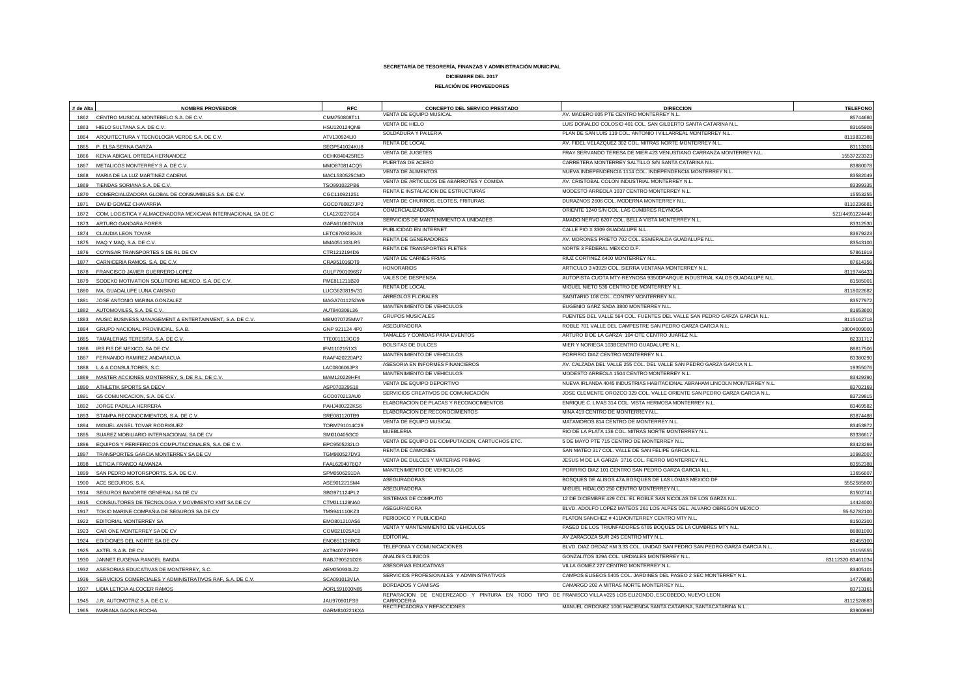| # de Alta | <b>NOMBRE PROVEEDOR</b>                                        | <b>RFC</b>     | CONCEPTO DEL SERVICO PRESTADO                  | <b>DIRECCION</b>                                                                                          | <b>TELEFONO</b>   |
|-----------|----------------------------------------------------------------|----------------|------------------------------------------------|-----------------------------------------------------------------------------------------------------------|-------------------|
|           | 1862 CENTRO MUSICAL MONTEBELO S.A. DE C.V.                     | CMM750808T11   | VENTA DE EQUIPO MUSICAL                        | AV. MADERO 605 PTE CENTRO MONTERREY N.L.                                                                  | 85744660          |
|           | 1863 HIELO SULTANA S.A. DE C.V.                                | HSU120124QN9   | VENTA DE HIELO                                 | LUIS DONALDO COLOSIO 401 COL. SAN GILBERTO SANTA CATARINA N.L.                                            | 83165908          |
|           | 1864 ARQUITECTURA Y TECNOLOGIA VERDE S.A. DE C.V.              | ATV130924LI0   | SOLDADURA Y PAILERIA                           | PLAN DE SAN LUIS 119 COL. ANTONIO I VILLARREAL MONTERREY N.L.                                             | 8119832388        |
|           | 1865 P. ELSA SERNA GARZA                                       | SEGP541024KU8  | RENTA DE LOCAL                                 | AV. FIDEL VELAZQUEZ 302 COL. MITRAS NORTE MONTERREY N.L.                                                  | 8311330           |
|           | KENIA ABIGAIL ORTEGA HERNANDEZ                                 | OEHK840425RE5  | VENTA DE JUGETES                               | FRAY SERVANDO TERESA DE MIER 423 VENUSTIANO CARRANZA MONTERREY N.L.                                       | 1553722332        |
| 1867      | METALICOS MONTERREY S.A. DE C.V                                | MMO870814CQ5   | PUERTAS DE ACERO                               | CARRETERA MONTERREY SALTILLO S/N SANTA CATARINA N.L.                                                      | 83880078          |
| 1868      | MARIA DE LA LUZ MARTINEZ CADENA                                | MACL530525CMO  | VENTA DE ALIMENTOS                             | NUEVA INDEPENDENCIA 1114 COL. INDEPENDENCIA MONTERREY N.L.                                                | 83582049          |
| 1869      | TIENDAS SORIANA S.A. DE C.V.                                   | TSO991022PB6   | VENTA DE ARTICULOS DE ABARROTES Y COMIDA       | AV. CRISTOBAL COLON INDUSTRIAL MONTERREY N.L.                                                             | 83399335          |
| 1870      | COMERCIALIZADORA GLOBAL DE CONSUMIBLES S.A. DE C.V.            | CGC110921251   | RENTA E INSTALACION DE ESTRUCTURAS             | MODESTO ARREOLA 1037 CENTRO MONTERREY N.L.                                                                | 1555325           |
| 1871      | DAVID GOMEZ CHAVARRIA                                          | GOCD760827JP2  | VENTA DE CHURROS, ELOTES, FRITURAS,            | DURAZNOS 2606 COL. MODERNA MONTERREY N.L.                                                                 | 811023668         |
| 1872      | COM, LOGISTICA Y ALMACENADORA MEXICANA INTERNACIONAL SA DE C   | CLA120227GE4   | COMERCIALIZADORA                               | ORIENTE 1240 S/N COL. LAS CUMBRES REYNOSA                                                                 | 521(449)1224446   |
| 1873      | ARTURO GANDARA FORES                                           | GAFA610607NU8  | SERVICIOS DE MANTENIMIENTO A UNIDADES          | AMADO NERVO 6207 COL. BELLA VISTA MONTERREY N.L.                                                          |                   |
|           |                                                                |                | PUBLICIDAD EN INTERNET                         | CALLE PIO X 3309 GUADALUPE N.L.                                                                           | 8331253           |
|           | 1874 CLAUDIA LEON TOVAR                                        | LETC670923GJ3  | RENTA DE GENERADORES                           | AV. MORONES PRIETO 702 COL. ESMERALDA GUADALUPE N.L.                                                      | 83679223          |
|           | 1875 MAQ Y MAQ, S.A. DE C.V.                                   | MMA051103LR5   | RENTA DE TRANSPORTES FLETES                    | NORTE 3 FEDERAL MEXICO D.F.                                                                               | 83543100          |
|           | 1876 COYNSAR TRANSPORTES S DE RL DE CV                         | CTR1212194D6   | VENTA DE CARNES FRIAS                          | RIUZ CORTINEZ 6400 MONTERREY N.L.                                                                         | 57861919          |
|           | 1877 CARNICERIA RAMOS, S.A. DE C.V.                            | CRA951016DT9   | <b>HONORARIOS</b>                              | ARTICULO 3 #3929 COL. SIERRA VENTANA MONTERREY N.L.                                                       | 8761435           |
| 1878      | FRANCISCO JAVIER GUERRERO LOPEZ                                | GULF7901096S7  | VALES DE DESPENSA                              | AUTOPISTA CUOTA MTY-REYNOSA 9350DPARQUE INDUSTRIAL KALOS GUADALUPE N.L.                                   | 811974643         |
|           | 1879 SODEXO MOTIVATION SOLUTIONS MEXICO, S.A. DE C.V.          | PME811211B20   | RENTA DE LOCAL                                 | MIGUEL NIETO 536 CENTRO DE MONTERREY N.L.                                                                 | 8158500           |
|           | 1880 MA. GUADALUPE LUNA CANSINO                                | LUCG620819V31  | ARREGLOS FLORALES                              | SAGITARIO 108 COL. CONTRY MONTERREY N.L.                                                                  | 8118022682        |
| 1881      | JOSE ANTONIO MARINA GONZALEZ                                   | MAGA7011252W9  | MANTENIMIENTO DE VEHICULOS                     | EUGENIO GARZ SADA 3800 MONTERREY N.L.                                                                     | 83577972          |
| 1882      | AUTOMOVILES, S.A. DE C.V.                                      | AUT840306L36   |                                                | FUENTES DEL VALLE 564 COL. FUENTES DEL VALLE SAN PEDRO GARZA GARCIA N.L.                                  | 81653600          |
| 1883      | MUSIC BUSINESS MANAGEMENT & ENTERTAINMENT, S.A. DE C.V.        | MBM070725MW7   | <b>GRUPOS MUSICALES</b>                        |                                                                                                           | 811516271         |
|           | 1884 GRUPO NACIONAL PROVINCIAL, S.A.B.                         | GNP 921124 4P0 | ASEGURADORA                                    | ROBLE 701 VALLE DEL CAMPESTRE SAN PEDRO GARZA GARCIA N.L.                                                 | 1800400900        |
|           | 1885 TAMALERIAS TERESITA, S.A. DE C.V.                         | TTE001113GG9   | TAMALES Y COMIDAS PARA EVENTOS                 | ARTURO B DE LA GARZA 104 OTE CENTRO JUAREZ N.L.                                                           | 82331717          |
|           | 1886 IRS FIS DE MEXICO, SA DE CV                               | IFM1102151X3   | <b>BOLSITAS DE DULCES</b>                      | MIER Y NORIEGA 103BCENTRO GUADALUPE N.L.                                                                  | 88817506          |
|           | 1887 FERNANDO RAMIREZ ANDARACUA                                | RAAF420220AP2  | MANTENIMIENTO DE VEHICULOS                     | PORFIRIO DIAZ CENTRO MONTERREY N.L.                                                                       | 83380290          |
|           | L & A CONSULTORES, S.C                                         | LAC080606JP3   | ASESORIA EN INFORMES FINANCIEROS               | AV. CALZADA DEL VALLE 255 COL. DEL VALLE SAN PEDRO GARZA GARCIA N.L                                       | 19355076          |
| 1889      | MASTER ACCIONES MONTERREY, S. DE R.L. DE C.V.                  | MAM120229HF4   | MANTENIMIENTO DE VEHICULOS                     | MODESTO ARREOLA 1504 CENTRO MONTERREY N.L.                                                                | 83429390          |
| 1890      | ATHLETIK SPORTS SA DECV                                        | ASP070329S18   | VENTA DE EQUIPO DEPORTIVO                      | NUEVA IRLANDA 4045 INDUSTRIAS HABITACIONAL ABRAHAM LINCOLN MONTERREY N.L.                                 | 83702169          |
|           | 1891 G5 COMUNICACION, S.A. DE C.V.                             | GCO070213AU0   | SERVICIOS CREATIVOS DE COMUNICACIÓN            | JOSE CLEMENTE OROZCO 329 COL. VALLE ORIENTE SAN PEDRO GARZA GARCIA N.L.                                   | 83729815          |
| 1892      | JORGE PADILLA HERRERA                                          | PAHJ480222KS6  | ELABORACION DE PLACAS Y RECONOCIMIENTOS        | ENRIQUE C. LIVAS 314 COL. VISTA HERMOSA MONTERREY N.L.                                                    | 83469582          |
| 1893      | STAMPA RECONOCIMIENTOS, S.A. DE C.V.                           | SRE081120TB9   | ELABORACION DE RECONOCIMIENTOS                 | MINA 419 CENTRO DE MONTERREY N.L.                                                                         | 83874488          |
|           | 1894 MIGUEL ANGEL TOVAR RODRIGUEZ                              | TORM791014C29  | VENTA DE EQUIPO MUSICAL                        | MATAMOROS 814 CENTRO DE MONTERREY N.L.                                                                    | 83453872          |
| 1895      | SUAREZ MOBILIARIO INTERNACIONAL SA DE CV                       | SMI010405GCC   | <b>MUEBLERIA</b>                               | RIO DE LA PLATA 136 COL. MITRAS NORTE MONTERREY N.L.                                                      | 83336617          |
|           | 1896 EQUIPOS Y PERIFERICOS COMPUTACIONALES, S.A. DE C.V.       | EPC9505232LO   | VENTA DE EQUIPO DE COMPUTACION, CARTUCHOS ETC. | 5 DE MAYO PTE 715 CENTRO DE MONTERREY N.L.                                                                | 83423269          |
|           | 1897 TRANSPORTES GARCIA MONTERREY SA DE CV                     | TGM960527DV3   | <b>RENTA DE CAMIONES</b>                       | SAN MATEO 317 COL. VALLE DE SAN FELIPE GARCIA N.L.                                                        | 10982007          |
|           | 1898 LETICIA FRANCO ALMANZA                                    | FAAL6204076Q7  | VENTA DE DULCES Y MATERIAS PRIMAS              | JESUS M DE LA GARZA 3716 COL. FIERRO MONTERREY N.L.                                                       | 83552388          |
|           | 1899 SAN PEDRO MOTORSPORTS, S.A. DE C.V.                       | SPM0506291DA   | MANTENIMIENTO DE VEHICULOS                     | PORFIRIO DIAZ 101 CENTRO SAN PEDRO GARZA GARCIA N.L                                                       | 1365660           |
| 1900      | ACE SEGUROS, S.A.                                              | ASE901221SM4   | ASEGURADORAS                                   | BOSQUES DE ALISOS 47A BOSQUES DE LAS LOMAS MEXICO DF                                                      | 555258580         |
|           | 1914 SEGUROS BANORTE GENERALI SA DE CV                         | SBG971124PL2   | ASEGURADORA                                    | MIGUEL HIDALGO 250 CENTRO MONTERREY N.L.                                                                  | 81502741          |
|           | 1915 CONSULTORES DE TECNOLOGIA Y MOVIMIENTO KMT SA DE CV       | CTM011129NA0   | SISTEMAS DE COMPUTO                            | 12 DE DICIEMBRE 429 COL. EL ROBLE SAN NICOLAS DE LOS GARZA N.L.                                           | 14424000          |
|           | 1917 TOKIO MARINE COMPAÑIA DE SEGUROS SA DE CV                 | TMS941110KZ3   | ASEGURADORA                                    | BLVD. ADOLFO LOPEZ MATEOS 261 LOS ALPES DEL. ALVARO OBREGON MEXICO                                        |                   |
|           | 1922 EDITORIAL MONTERREY SA                                    |                | PERIODICO Y PUBLICIDAD                         | PLATON SANCHEZ #411MONTERREY CENTRO MTY N.L.                                                              | 55-5278210        |
|           |                                                                | EMO801210AS6   | VENTA Y MANTENIMIENTO DE VEHICULOS             | PASEO DE LOS TRIUNFADORES 6765 BOQUES DE LA CUMBRES MTY N.L.                                              | 81502300          |
|           | CAR ONE MONTERREY SA DE CV                                     | COM021025A18   | <b>EDITORIAL</b>                               | AV ZARAGOZA SUR 245 CENTRO MTY N.L.                                                                       | 88881000          |
|           | 1924 EDICIONES DEL NORTE SA DE CV                              | ENO851126RC0   | TELEFONIA Y COMUNICACIONES                     | BLVD. DIAZ ORDAZ KM 3.33 COL. UNIDAD SAN PEDRO SAN PEDRO GARZA GARCIA N.L.                                | 83455100          |
|           | 1925 AXTEL S.A.B. DE CV                                        | AXT940727FP8   | ANALISIS CLINICOS                              | GONZALITOS 329A COL. URDIALES MONTERREY N.L.                                                              | 15155555          |
|           | 1930 JANNET EUGENIA RANGEL BANDA                               | RABJ790521D26  | ASESORIAS EDUCATIVAS                           | VILLA GOMEZ 227 CENTRO MONTERREY N.L.                                                                     | 83112320-83461034 |
|           | 1932 ASESORIAS EDUCATIVAS DE MONTERREY, S.C.                   | AEM050930LZ2   | SERVICIOS PROFESIONALES Y ADMINISTRATIVOS      | CAMPOS ELISEOS 5405 COL. JARDINES DEL PASEO 2 SEC MONTERREY N.L.                                          | 8340510           |
|           | 1936 SERVICIOS COMERCIALES Y ADMINISTRATIVOS RAF, S.A. DE C.V. | SCA091013V1A   | BORDADOS Y CAMISAS                             | CAMARGO 202 A MITRAS NORTE MONTERREY N.L.                                                                 | 14770880          |
|           | 1937 LIDIA LETICIA ALCOCER RAMOS                               | AORL591030N85  |                                                | REPARACION DE ENDEREZADO Y PINTURA EN TODO TIPO DE FRANISCO VILLA #225 LOS ELIZONDO, ESCOBEDO, NUEVO LEON | 8371316           |
|           | 1945 J.R. AUTOMOTRIZ S.A. DE C.V.                              | JAU970801FS9   | CARROCERIA                                     |                                                                                                           | 8112528883        |
|           | 1965 MARIANA GAONA ROCHA                                       | GARM810221KXA  | RECTIFICADORA Y REFACCIONES                    | MANUEL ORDONEZ 1006 HACIENDA SANTA CATARINA, SANTACATARINA N.L.                                           | 83900993          |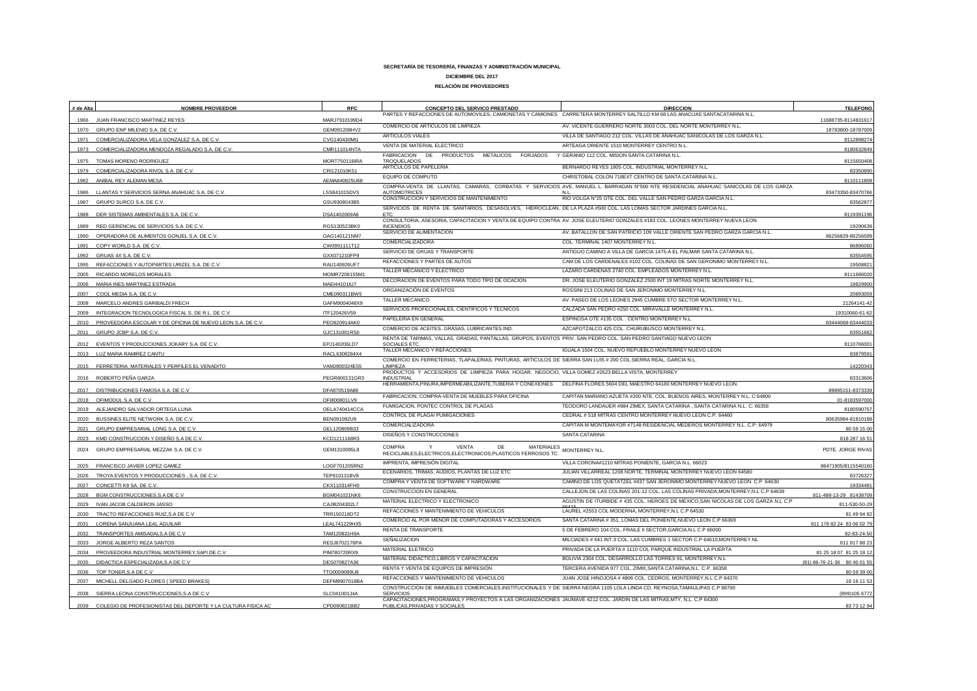| # de Alta | <b>NOMBRE PROVEEDOR</b>                                      | <b>RFC</b>    | CONCEPTO DEL SERVICO PRESTADO                                                                                                                            | <b>DIRECCION</b><br>PARTES Y REFACCIONES DE AUTOMOVILES, CAMIONETAS Y CAMIONES CARRETERA MONTERREY SALTILLO KM 68 LAS ANACUAS SANTACATARINA N.L.                                             | <b>TELEFONO</b>              |
|-----------|--------------------------------------------------------------|---------------|----------------------------------------------------------------------------------------------------------------------------------------------------------|----------------------------------------------------------------------------------------------------------------------------------------------------------------------------------------------|------------------------------|
| 1966      | JUAN FRANCISCO MARTINEZ REYES                                | MARJ7910199D4 | COMERCIO DE ARTICULOS DE LIMPIEZA                                                                                                                        | AV. VICENTE GUERRERO NORTE 3003 COL. DEL NORTE MONTERREY N.L.                                                                                                                                | 11688735-8114831617          |
| 1970      | GRUPO ENP MILENIO S.A. DE C.V                                | GEM091208HV2  | ARTICULOS VIALES                                                                                                                                         | VILLA DE SANTIAGO 212 COL. VILLAS DE ANAHUAC SANICOLAS DE LOS GARZA N.L.                                                                                                                     | 18783800-18787009            |
| 1971      | COMERCIALIZADORA VELA GONZALEZ S.A. DE C.V.                  | CVG140430MI1  | VENTA DE MATERIAL ELECTRICO                                                                                                                              | ARTEAGA ORIENTE 1510 MONTERREY CENTRO N.L.                                                                                                                                                   | 8112898274                   |
| 1973      | COMERCIALIZADORA MENDOZA REGALADO S.A. DE C.V.               | CMR111014NTA  | FABRICACION DE PRODUCTOS<br>METALICOS FORJADOS                                                                                                           | Y GERANIO 112 COL. MISION SANTA CATARINA N.L.                                                                                                                                                | 8180632849                   |
| 1975      | TOMAS MORENO RODRIGUEZ                                       | MORT750116IRA | <b>TROQUELADOS</b>                                                                                                                                       |                                                                                                                                                                                              | 8115650408                   |
| 1979      | COMERCIALIZADORA RIVOL S.A. DE C.V.                          | CRI121010K5   | ARTICULOS DE PAPELERIA<br>EQUIPO DE COMPUTO                                                                                                              | BERNARDO REYES 1805 COL. INDUSTRIAL MONTERREY N.L.<br>CHRISTOBAL COLON 718EXT CENTRO DE SANTA CATARINA N.L.                                                                                  | 8335089                      |
| 1982      | ANIBAL REY ALEMAN MESA                                       | AEMA840825U68 |                                                                                                                                                          | COMPRA-VENTA DE LLANTAS, CAMARAS, CORBATAS Y SERVICIOS AVE. MANUEL L. BARRAGAN N°500 NTE RESIDENCIAL ANAHUAC SANICOLAS DE LOS GARZA                                                          | 811011180                    |
| 1986      | LLANTAS Y SERVICIOS SERNA ANAHUAC S.A. DE C.V.               | LSS841015DV3  | <b>AUTOMOTRICES</b>                                                                                                                                      |                                                                                                                                                                                              | 83473350-8347076             |
| 1987      | GRUPO SURCO S.A. DE C.V.                                     | GSU9308043B5  | CONSTRUCCION Y SERVICIOS DE MANTENIMIENTO                                                                                                                | RIO VOLGA Nº25 OTE COL. DEL VALLE SAN PEDRO GARZA GARCIA N.L                                                                                                                                 | 83562877                     |
| 1988      | DER SISTEMAS AMBIENTALES S.A. DE C.V.                        | DSA1402069A8  | FTC.                                                                                                                                                     | SERVICIOS DE RENTA DE SANITARIOS, DESASOLVES, HIDROCLEAN, DE LA PLAZA #500 COL. LAS LOMAS SECTOR JARDINES GARCIA N.L.                                                                        | 8119391196                   |
| 1989      | RED GERENCIAL DE SERVICIOS S.A. DE C.V.                      | RGS130523BK0  | <b>INCENDIOS</b>                                                                                                                                         | CONSULTORIA, ASESORIA, CAPACITACION Y VENTA DE EQUIPO CONTRA AV. JOSE ELEUTERIO GONZALES #183 COL. LEONES MONTERREY NUEVA LEON                                                               | 19290639                     |
| 1990      | OPERADORA DE ALIMENTOS GONJEL S.A. DE C.V.                   | OAG140121NM7  | SERVICIO DE ALIMENTACION                                                                                                                                 | AV. BATALLON DE SAN PATRICIO 109 VALLE ORIENTE SAN PEDRO GARZA GARCIA N.L.                                                                                                                   | 86256829-8625659             |
| 1991      | COPY WORLD S.A. DE C.V.                                      | CW0991111T12  | COMERCIALIZADORA                                                                                                                                         | COL. TERMINAL 1407 MONTERREY N.L.                                                                                                                                                            | 86896060                     |
| 1992      | GRUAS 4X S.A. DE C.V                                         | GXX071210FP9  | SERVICIO DE GRUAS Y TRANSPORTE                                                                                                                           | ANTIGUO CAMINO A VILLA DE GARCIA 1475-A EL PALMAR SANTA CATARINA N.L.                                                                                                                        | 83554595                     |
| 1995      | REFACCIONES Y AUTOPARTES URIZEL S.A. DE C.V.                 | RAU140926UF7  | REFACCIONES Y PARTES DE AUTOS                                                                                                                            | CAM DE LOS CARDENALES #102 COL. COLINAS DE SAN GERONIMO MONTERREY N.L.                                                                                                                       | 19508821                     |
| 2005      | RICARDO MORELOS MORALES                                      | MOMR7208155M1 | TALLER MECANICO Y ELECTRICO                                                                                                                              | LAZARO CARDENAS 2740 COL. EMPLEADOS MONTERREY N.L.                                                                                                                                           | 8111686020                   |
|           | 2006 MARIA INES MARTINEZ ESTRADA                             | MAE144101IU7  | DECORACION DE EVENTOS PARA TODO TIPO DE OCACION                                                                                                          | DR. JOSE ELEUTERIO GONZALEZ 2500 INT 19 MITRAS NORTE MONTERREY N.L.                                                                                                                          | 18829900                     |
|           | 2007 COOL MEDIA S.A. DE C.V.                                 | CME090311BW5  | ORGANIZACIÓN DE EVENTOS                                                                                                                                  | ROSSINI 213 COLINAS DE SAN JERONIMO MONTERREY N.L.                                                                                                                                           | 20893059                     |
|           | MARCELO ANDRES GARIBALDI FRECH                               | GAFM9004048X9 | TALLER MECANICO                                                                                                                                          | AV. PASEO DE LOS LEONES 2945 CUMBRE 5TO SECTOR MONTERREY N.L.                                                                                                                                | 21264141-42                  |
|           | 2009 INTEGRACION TECNOLOGICA FISCAL S. DE R.L. DE C.V        | ITF120426V59  | SERVICIOS PROFECIONALES, CIENTIFICOS Y TECNICOS                                                                                                          | CALZADA SAN PEDRO #250 COL. MIRAVALLE MONTERREY N.L.                                                                                                                                         | 19310060-61-62               |
| 2010      | PROVEEDORA ESCOLAR Y DE OFICINA DE NUEVO LEON S.A. DE C.V.   | PEO820914AK0  | PAPELERIA EN GENERAL                                                                                                                                     | ESPINOSA OTE #135 COL. CENTRO MONTERREY N.L.                                                                                                                                                 | 83444068-83444033            |
|           | 2011 GRUPO JCBP S.A. DE C.V                                  | GJC131001RS0  | COMERCIO DE ACEITES, GRASAS, LUBRICANTES IND.                                                                                                            | AZCAPOTZALCO 425 COL. CHURUBUSCO MONTERREY N.L.                                                                                                                                              | 83551662                     |
| 2012      | EVENTOS Y PRODUCCIONES JOKARY S.A. DE C.V.                   | EPJ140206LD7  | RENTA DE TARIMAS, VALLAS, GRADAS, PANTALLAS, GRUPOS, EVENTOS PRIV. SAN PEDRO COL. SAN PEDRO SANTIAGO NUEVO LEON<br>SOCIALES ETC                          |                                                                                                                                                                                              | 8110766001                   |
| 2013      | LUZ MARIA RAMIREZ CANTU                                      | RACL6308284X4 | TALLER MECANICO Y REFACCIONES                                                                                                                            | IGUALA 1504 COL. NUEVO REPUEBLO MONTERREY NUEVO LEON                                                                                                                                         | 8387959                      |
|           |                                                              |               | COMERCIO EN FERRETERIAS, TLAPALERIAS, PINTURAS, ARTICULOS DE SIERRA SAN LUIS # 200 COL SIERRA REAL, GARCIA N.L.<br>LIMPIEZA                              |                                                                                                                                                                                              |                              |
|           | 2015 FERRETERIA MATERIALES Y PERFILES EL VENADITO            | VAMJ800324E55 | PRODUCTOS Y ACCESORIOS DE LIMPIEZA PARA HOGAR, NEGOCIO, VILLA GOMEZ #2623 BELLA VISTA, MONTERREY                                                         |                                                                                                                                                                                              | 14220343                     |
| 2016      | ROBERTO PEÑA GARZA                                           | PEGR800131GR3 | <b>INDUSTRIA</b><br>HERRAMIENTA, PINURA, IMPERMEABILIZANTE, TUBERIA Y CONEXIONES                                                                         | DELFINA FLORES 5604 DEL MAESTRO 64180 MONTERREY NUEVO LEON.                                                                                                                                  | 8331360                      |
|           | 2017 DISTRIBUCIONES FAMOSA S.A. DE C.V                       | DFA870519A88  |                                                                                                                                                          |                                                                                                                                                                                              | 89895151-8373339             |
|           | 2018 OFIMODUL S.A. DE C.V.                                   | OFI800801LV9  | FABRICACION, COMPRA-VENTA DE MUEBLES PARA OFICINA                                                                                                        | CAPITAN MARIANO AZUETA #200 NTE. COL. BUENOS AIRES, MONTERREY N.L. C:64800                                                                                                                   | 01-8183597000                |
|           | 2019 ALEJANDRO SALVADOR ORTEGA LUNA                          | OELA740414CCA | FUMIGACION. PONTEC CONTROL DE PLAGAS                                                                                                                     | TEODORO LANDAUER #984 ZIMEX, SANTA CATARINA, SANTA CATARINA N.L. C: 66358                                                                                                                    | 8180590757                   |
| 2020      | BUSSINES ELITE NETWORK S.A. DE C.V.                          | BEN091092U9   | CONTROL DE PLAGA/ PUMIGACIONES<br>COMERCIALIZADORA                                                                                                       | CEDRAL # 518 MITRAS CENTRO MONTERREY NUEVO LEON C.P: 64460<br>CAPITAN M MONTEMAYOR #7148 RESIDENCIAL MEDEROS MONTERREY N.L. C.P: 64979                                                       | 80635984-81810188            |
| 2021      | GRUPO EMPRESARIAL LONG S.A. DE C.V                           | GEL120809B33  | DISEÑOS Y CONSTRUCCIONES                                                                                                                                 | <b>SANTA CATARINA</b>                                                                                                                                                                        | 80 59 15 00                  |
| 2023      | KMD CONSTRUCCION Y DISEÑO S.A DE C.V                         | KCD1211168R3  |                                                                                                                                                          |                                                                                                                                                                                              | 818 287 16 5                 |
| 2024      | GRUPO EMPRESARIAL MEZZAK S.A. DE C.V.                        | GEM1310095L8  | COMPRA<br><b>VENTA</b><br>DE<br>RECICLABLES, ELECTRICOS, ELECTRONICOS, PLASTICOS FERROSOS TC.                                                            | MATERIALES MONTERREY N.L.                                                                                                                                                                    | PDTE. JORGE RIVAS            |
| 2025      | FRANCISCO JAVIER LOPEZ GAMEZ                                 | LOGF701205RN2 | IMPRENTA, IMPRESIÓN DIGITAL                                                                                                                              | VILLA CORONA#1210 MITRAS PONIENTE, GARCIA N.L. 66023                                                                                                                                         | 86471905/8115540160          |
| 2026      | TROYA EVENTOS Y PRODUCCIONES, S.A. DE C.V.                   | TEP910131BV8  | ECENARIOS, TRIMAS, AUDIOS, PLANTAS DE LUZ ETC                                                                                                            | JULIAN VILLARREAL 1208 NORTE, TERMINAL MONTERREY NUEVO LEON 64580                                                                                                                            | 83726327                     |
| 2027      | CONCETTI K9 SA. DE C.V.                                      | CKX110314FHC  | COMPRA Y VENTA DE SOFTWARE Y HARDWARE                                                                                                                    | CAMINO DE LOS QUETATZEL #437 SAN JERONIMO MONTERREY NUEVO LEON C.P :64630                                                                                                                    | 19334491                     |
| 2028      | BGM CONSTRUCCIONES, S.A DE C.V                               | BGM041021NK6  | CONSTRUCCION EN GENERAL                                                                                                                                  | CALLEJON DE LAS COLINAS 201-12 COL. LAS COLINAS PRIVADA, MONTERREY, N.L C.P 64639                                                                                                            | 811-488-13-29 81438709       |
|           | 2029 IVAN JACOB CALDERON JASSO                               | CAJI8204302L7 | MATERIAL ELECTRICO Y ELECTRONICO                                                                                                                         | AGUSTIN DE ITURBIDE # 435 COL. HEROES DE MEXICO, SAN NICOLAS DE LOS GARZA N.L C.P                                                                                                            | 811-530-50-29                |
| 2030      | TRACTO REFACCIONES RUIZ, S.A DE C.V.                         | TRR150218DT2  | REFACCIONES Y MANTENIMIENTO DE VEHICULOS                                                                                                                 | LAUREL #2553 COL MODERNA, MONTERREY, N.L C.P 64530                                                                                                                                           | 81 49 94 82                  |
| 2031      | LORENA SANJUANA LEAL AGUILAR                                 | LEAL741229HX5 | COMERCIO AL POR MENOR DE COMPUTADORAS Y ACCESORIOS                                                                                                       | SANTA CATARINA #351, LOMAS DEL PONIENTE, NUEVO LEON C.P 66369                                                                                                                                | 811 178 82 24 83 06 02 79    |
| 2032      | TRANSPORTES AMISADAI, S.A DE C.V                             | TAM120831H9A  | RENTA DE TRANSPORTE                                                                                                                                      | 5 DE FEBRERO 104 COL. FRAILE II SECTOR, GARCIA, N.L C.P 66000                                                                                                                                | 82-83-24-5                   |
| 2033      | JORGE ALBERTO REZA SANTOS                                    | RESJ6702176PA | SEÑALIZACION                                                                                                                                             | MILCIADES # 641 INT.3 COL. LAS CUMBRES 1 SECTOR C.P 64610.MONTERREY.NL                                                                                                                       | 811 917 88 23                |
|           | 2034 PROVEEDORA INDUSTRIAL MONTERREY, SAPI DE C.V            | PIM780720RX9  | MATERIAL ELETRICO                                                                                                                                        | PRIVADA DE LA PUERTA #1110 COL PARQUE INDUSTRIAL LA PUERTA                                                                                                                                   | 81 25 18 07 81 25 18 12      |
|           | 2035 DIDACTICA ESPECIALIZADA, S.A DE C.V                     | DES070827A36  | MATERIAL DIDACTICO,LIBROS Y CAPACITACION                                                                                                                 | BOLIVIA 2304 COL. DESARROLLO LAS TORRES 91, MONTERREY.N.L                                                                                                                                    | (81) 86-76-21-36 80 40 01 55 |
| 2036      | TOP TONER, S.A DE C.V                                        | TTO0009089U8  | RENTA Y VENTA DE EQUIPOS DE IMPRESIÓN                                                                                                                    | TERCERA AVENIDA 977 COL. ZIMIX, SANTA CATARINA, N.L C.P. 66358                                                                                                                               | 80 59 39 00                  |
| 2037      | MICHELL DELGADO FLORES ( SPEED BRAKES)                       | DEFM8907018BA | REFACCIONES Y MANTENIMIENTO DE VEHICULOS                                                                                                                 | JUAN JOSE HINOJOSA #4806 COL. CEDROS, MONTERREY, N.L C.P 64370<br>CONSTRUCCION DE INMUEBLES COMERCIALES, INSTITUCIONALES Y DE SIERRA NEGRA 1105 LOLA LINDA CD. REYNOSA, TAMAULIPAS C.P 88700 | 18 16 11 53                  |
| 2038      | SIERRA LEONA CONSTRUCCIONES, S.A DE C.V                      | SLC041001J4A  | <b>SERVICIOS</b>                                                                                                                                         |                                                                                                                                                                                              | (899)105 6772                |
| 2039      | COLEGIO DE PROFESIONISTAS DEL DEPORTE Y LA CULTURA FISICA AC | CPD090821BB2  | CAPACITACIONES, PROGRAMAS, Y PROYECTOS A LAS ORGANIZACIONES JAUMAVE 4212 COL. JARDIN DE LAS MITRAS, MTY, N.L. C.P 64300<br>PUBLICAS, PRIVADAS Y SOCIALES |                                                                                                                                                                                              | 83 73 12 94                  |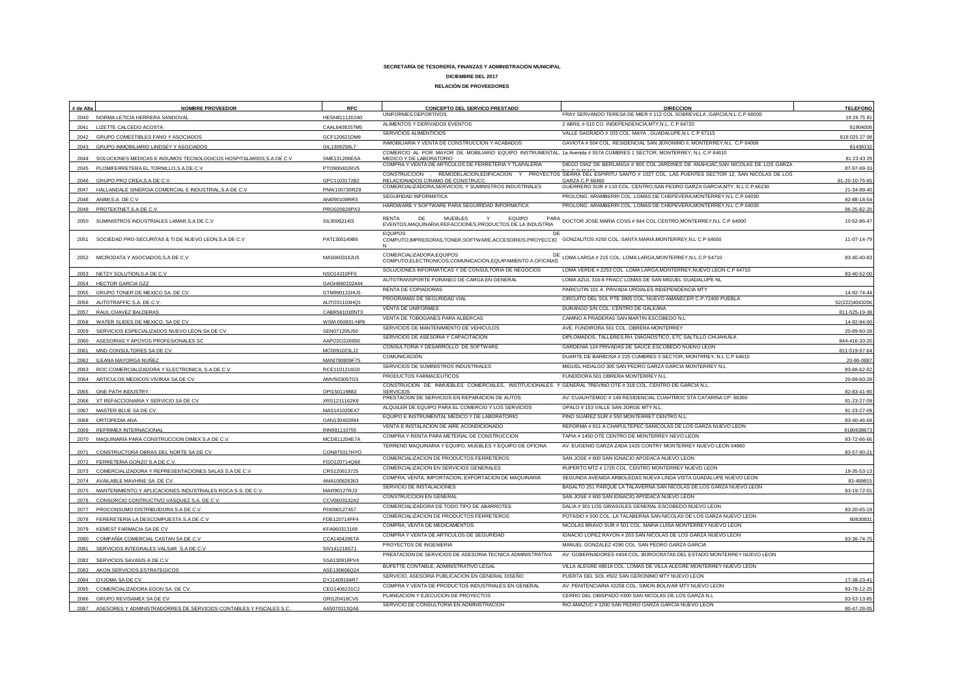| # de Alta | <b>NOMBRE PROVEEDOR</b>                                             | <b>RFC</b>                   | CONCEPTO DEL SERVICO PRESTADO                                                                                                                   | <b>DIRECCION</b>                                                                                             | <b>TELEFONO</b>          |
|-----------|---------------------------------------------------------------------|------------------------------|-------------------------------------------------------------------------------------------------------------------------------------------------|--------------------------------------------------------------------------------------------------------------|--------------------------|
|           | 2040 NORMA LETICIA HERRERA SANDOVAL                                 | HESN8111202A0                | UNIFORMES DEPORTIVOS                                                                                                                            | FRAY SERVANDO TERESA DE MIER # 112 COL SOBREVILLA , GARCIA, N.L C.P 66000                                    | 19 26 75 81              |
| 2041      | LIZETTE CALCEDO ACOSTA                                              | CAAL6409257M5                | ALIMENTOS Y DERIVADOS EVENTOS                                                                                                                   | 2 ABRIL # 510 CO. INDEPENDENCIA, MTY, N.L. C.P 64720                                                         | 81904006                 |
| 2042      | GRUPO COMESTIBLES FANO Y ASOCIADOS                                  | GCF120621DM9                 | SERVICIOS ALIMENTICIOS                                                                                                                          | VALLE SAGRADO # 103 COL. MAYA, GUADALUPE, N.L C.P 67115                                                      | 818 025 27 0             |
| 2043      | GRUPO INMOBILIARIO LINDSEY Y ASOCIADOS                              | GIL1309256L7                 | INMOBILIARIA Y VENTA DE CONSTRUCCION Y ACABADOS                                                                                                 | GAVIOTA # 504 COL. RESIDENCIAL SAN JERONIMO II. MONTERREY.N.L C.P 64008                                      | 8143813                  |
| 2044      | SOLUCIONES MEDICAS E INSUMOS TECNOLOGICOS HOSPITALARIOS, S.A DE C.V | SME131206ESA                 | COMERCIO AL POR MAYOR DE MOBILIARIO EQUIPO INSTRUMENTAL, 1a Avenida #557A CUMBRES 1 SECTOR, MONTERREY, N.L C.P 64610<br>MEDICO Y DE LABORATORIO |                                                                                                              | 81 23 43 2               |
|           | 2045 PLOMIFERRETERA EL TORNILLO, S.A DE C.V                         | PTO900402RV5                 | COMPRA Y VENTA DE ARTICULOS DE FERRETERIA Y TLAPALERIA                                                                                          | DIEGO DIAZ DE BERLANGA # 905 COL.JARDINES DE ANAHUAC.SAN NICOLAS DE LOS GARZA                                | 87-97-69-3               |
|           | 2046 GRUPO PRO CREA, S.A DE C.V.                                    | GPC1103172B2                 | CONSTRUCCION<br>REMODELACION, EDIFICACION Y<br>RELACIONADOS C/RAMO DE CONSTRUCC.                                                                | PROYECTOS SIERRA DEL ESPIRITU SANTO # 1027 COL. LAS PUENTES SECTOR 12, SAN NICOLAS DE LOS<br>GARZA C.P 66460 | 81-20-10-75-65           |
|           |                                                                     |                              | COMERCIALIZADORA, SERVICIOS, Y SUMINISTROS INDUSTRIALES                                                                                         | GUERRERO SUR # 110 COL. CENTRO, SAN PEDRO GARZA GARCIA, MTY. N.L C.P.66230                                   |                          |
|           | 2047 HALLANDALE SINERGIA COMERCIAL E INDUSTRIAL, S.A DE C.V         | PNW100730RZ8                 | SEGURIDAD INFORMATICA                                                                                                                           | PROLONG. ARAMBERRI COL. LOMAS DE CHEPEVERA, MONTERREY, N.L C.P.64030                                         | 21-34-99-40              |
|           | 2048 ANIMI, S.A DE C.V<br>2049 PROTEKTNET, S.A DE C.V               | ANI090108RR3<br>PRO020828PX3 | HARDWARE Y SOFTWARE PARA SEGUIRIDAD INFORMATICA                                                                                                 | PROLONG. ARAMBERRI COL. LOMAS DE CHEPEVERA, MONTERREY, N.L C.P.64030                                         | 82-88-18-5<br>86-25-82-2 |
|           |                                                                     |                              | <b>RFNTA</b><br>MUFBLES<br><b>FOUIPO</b><br>DF                                                                                                  |                                                                                                              |                          |
| 2050      | SUMINISTROS INDUSTRIALES LAMAR, S.A DE C.V                          | SIL9006214I3                 | EVENTOS, MAQUINARIA, REFACCIONES, PRODUCTOS DE LA INDUSTRIA                                                                                     | PARA<br>DOCTOR JOSE MARIA COSS # 844 COL.CENTRO, MONTERREY, N.L C.P 64000                                    | 10-52-86-47              |
| 2051      | SOCIEDAD PRO-SECURITAS & TI DE NUEVO LEON, S.A DE C.V               | PAT1305149B6                 | <b>FOUIPOS</b><br>DE<br>COMPUTO, IMPRESORAS, TONER, SOFTWARE, ACCESORIOS, PROYECCIO GONZALITOS #250 COL. SANTA MARIA, MONTERREY, N.L C.P 64650  |                                                                                                              | 11-07-14-79              |
| 2052      | MICRODATA Y ASOCIADOS, S.A DE C.V                                   | MAS060316JU5                 | COMERCIALIZADORA, EQUIPOS<br>DE<br>COMPUTO,ELECTRONICOS,COMUNICACIÓN,EQUIPAMIENTO A OFICINAS                                                    | LOMA LARGA # 215 COL. LOMA LARGA, MONTERREY, N.L C.P 64710                                                   | 83-40-40-83              |
|           | 2053 NETZY SOLUTION, S.A DE C.V                                     | NSO14310FF0                  | SOLUCIONES INFORMATICAS Y DE CONSULTORIA DE NEGOCIOS                                                                                            | LOMA VERDE # 2253 COL. LOMA LARGA, MONTERREY, NUEVO LEON C.P 64710                                           | 83-40-52-0               |
| 2054      | <b>HECTOR GARCIA GZZ</b>                                            | GAGH660102444                | AUTOTRANSPORTE FORANEO DE CARGA EN GENERAL                                                                                                      | LOMA AZUL 316-8 FRACC LOMAS DE SAN MIGUEL GUADALUPE NL                                                       |                          |
|           | 2055 GRUPO TONER DE MEXICO SA. DE CV.                               | GTM990122HU5                 | RENTA DE COPIADORAS                                                                                                                             | PARICUTIN 101 A PRIVADA URDIALES INDEPENDENCIA MTY                                                           | 14-92-74-44              |
|           | 2056 AUTOTRAFFIC S.A. DE C.V.                                       | AUTO31103HQ1                 | PROGRAMAS DE SEGURIDAD VIAL                                                                                                                     | CIRCUITO DEL SOL PTE 3905 COL. NUEVO AMANECER C.P:72400 PUEBLA                                               | 52(222)4043206           |
|           | 2057 RAUL CHAVEZ BALDERAS                                           | CABR561030NT3                | <b>VENTA DE UNIFORMES</b>                                                                                                                       | DURANGO S/N COL. CENTRO DE GALEANA                                                                           | 811-525-19-3             |
| 2058      | WATER SLIDES DE MEXICO, SA DE CV                                    | WSM-050831-NP6               | VENTA DE TOBOGANES PARA ALBERCAS                                                                                                                | CAMINO A PRADERAS SAN MARTIN ESCOBEDO N,L                                                                    | 14-92-94-00              |
| 2059      | SERVICIOS ESPECIALIZADOS NUEVO LEON SA DE CV                        | SEN071205J50                 | SERVICIOS DE MANTENIMIENTO DE VEHICULOS                                                                                                         | AVE. FUNDIRORA 501 COL. OBRERA MONTERREY                                                                     | 20-89-60-2               |
| 2060      | ASESORIAS Y APOYOS PROFESIONALES SC                                 | AAPO2O226850                 | SERVICIOS DE ASESORIA Y CAPACITACION                                                                                                            | DIPLOMADOS, TALLERES.RH, DIAGNOSTICO, ETC SALTILLO CHUAHUILA                                                 | 844-416-33-20            |
|           | 2061 MND CONSULTORES SA DE CV                                       | MC0091023LJ2                 | CONSULTORIA Y DESARROLLO DE SOFTWARE                                                                                                            | GARDENIA 124 PRIVADAS DE SAUCE ESCOBEDO NUENO LEON                                                           | 811-519-97-64            |
| 2062      | ILEANA MAYORGA NUÑEZ                                                | MANI790809F75                | <b>COMUNICACIÓN</b>                                                                                                                             | DUARTE DE BARBOSA # 225 CUMBRES 5 SECTOR, MONTRREY, N.L C.P 64610                                            | 20-86-068                |
|           | 2063 ROC COMERCIALIZADORA Y ELECTRONICA, S.A DE C.V.                | RCE1101216G0                 | SERVICIOS DE SUMINISTROS INDUSTRIALES                                                                                                           | MIGUEL HIDALGO 305 SAN PEDRO GARZA GARCIA MONTERREY N,L                                                      | 83-88-62-63              |
|           | 2064 ARTICULOS MEDICOS VIVIRAX SA DE CV                             | AMVI50305TG3                 | PRODUCTOS FARMACEUTICOS                                                                                                                         | FUNDIDORA 501 OBRERA MONTERREY N,L                                                                           | 20-89-60-2               |
|           | 2065 ONE PATH INDUSTRY                                              | OPI150119883                 | CONSTRUCION DE INMUEBLES COMERCIALES, INSTITUCIONALES Y GENERAL TREVIÑO OTE # 318 COL. CENTRO DE GARCIA N,L.<br><b>SERVICIOS</b>                |                                                                                                              | 82-83-41-90              |
|           | 2066 XT REFACCIONARIA Y SERVICIO SA DE CV                           | XRS1211162K6                 | PRESTACION DE SERVICIOS EN REPARACION DE AUTOS                                                                                                  | AV. CUAUHTEMOC # 149 RESIDENCIAL CUAHTMOC STA CATARINA CP: 66360                                             | 81-23-27-0               |
|           | 2067 MASTER BLUE SA DE CV                                           | MAS141020EX7                 | ALQUILER DE EQUIPO PARA EL COMERCIO Y LOS SERVICIOS                                                                                             | OPALO #153 VALLE SAN JORGE MTY N.L.                                                                          | 81-23-27-0               |
| 2068      | ORTOPEDIA ANA                                                       | OAN130402894                 | EQUIPO E INSTRUMENTAL MEDICO Y DE LABORATORIO                                                                                                   | PINO SUAREZ SUR # 550 MONTERRET CENTRO N,L.                                                                  | 83-40-46-6               |
| 2069      | REFRIMEX INTERNACIONAL                                              | RIN991110755                 | VENTA E INSTALACION DE AIRE ACONDICIONADO                                                                                                       | REFORMA # 811 A CHAPULTEPEC SANICOLAS DE LOS GARZA NUEVO LEON                                                | 818063867                |
| 2070      | MAQUINARIA PARA CONSTRUCCION DIMEX S.A DE C.V.                      | MCD811204E7A                 | COMPRA Y RENTA PARA METERIAL DE CONSTRUCCION                                                                                                    | TAPIA #1450 OTE CENTRO DE MONTERREY NEVO LEON                                                                | 83-72-66-66              |
| 2071      | CONSTRUCTORA OBRAS DEL NORTE SA DE CV                               | CON870317HYO                 | TERRENO MAQUINARIA Y EQUIPO, MUEBLES Y EQUIPO DE OFICINA                                                                                        | AV. EUGENIO GARZA ZADA 1425 CONTRY MONTERREY NUEVO LEON 64860                                                | 83-57-90-2               |
| 2072      | FERRETERIA GONZO S.A DE C.V.                                        | FGO120714Q68                 | COMERCIALIZACION DE PRODUCTOS FERRETEROS                                                                                                        | SAN JOSE # 600 SAN IGNACIO APODACA NUEVO LEON                                                                |                          |
| 2073      | COMERCIALIZADORA Y REPRESENTACIONES SALAS S.A DE C.V                | CRS120613725                 | COMERCIALIZACION EN SERVICIOS GENERALES                                                                                                         | RUPERTO MTZ # 1720 COL. CENTRO MONTERREY NUEVO LEON                                                          | 19-35-53-1               |
| 2074      | AVAILABLE MAVHINE SA. DE CV.                                        | AMA100826363                 | COMPRA, VENTA, IMPORTACION, EXPORTACION DE MAQUINARIA                                                                                           | SEGUNDA AVENIDA ARBOLEDAS NUEVA LINDA VISTA GUADALUPE NUEVO LEON                                             | 83-48981                 |
|           | 2075 MANTENIMIENTO Y APLICACIONES INDUSTRIALES ROCA S.S. DE C.V.    | MAI090127RJ3                 | SERVICIO DE INSTALACIONES                                                                                                                       | BASALTO 251 PARQUE LA TALAVERNA SAN NICOLAS DE LOS GARZA NUEVO LEON                                          | 83-19-72-0               |
| 2076      | CONSORCIO CONTRUCTIVO VASQUEZ S.A. DE C.V.                          | CCV0603132A2                 | CONSTRUCCION EN GENERAL                                                                                                                         | SAN JOSE # 600 SAN IGNACIO APODACA NUEVO LEON                                                                |                          |
| 2077      | PROCONSUMO DISTRIBUIDORA S.A DE C.V.                                | PDI090127457                 | COMERCIALIZADORA DE TODO TIPO DE ABARROTES                                                                                                      | DALIA #301 LOS GIRASOLES GENERAL ESCOBEDO NUEVO LEON                                                         | 83-20-65-1               |
| 2078      | FERERETERIA LA DESCOMPUESTA S.A DE C.V                              | FDE120714FF4                 | COMERCIALIZACION DE PRODUCTOS FERRETEROS                                                                                                        | POTASIO # 500 COL. LA TALABERNA SAN NICOLAS DE LOS GARZA NUEVO LEON                                          | 8063083                  |
| 2079      | KEMEST FARMACIA SA DE CV                                            | KFA060313169                 | COMPRA, VENTA DE MEDICAMENTOS                                                                                                                   | NICOLAS BRAVO SUR # 501 COL. MARIA LUISA MONTERREY NUEVO LEON                                                |                          |
| 2080      | COMPAÑÍA COMERCIAL CASTAN SA DE C.V                                 | CCA1404296TA                 | COMPRA Y VENTA DE ARTICULOS DE SEGURIDAD                                                                                                        | IGNACIO LOPEZ RAYON # 203 SAN NICOLAS DE LOS GARZA NUEVO LEON                                                | 83-36-74-75              |
| 2081      | SERVICIOS INTEGRALES VALSAR S.A DE C.V                              | SIV141218S71                 | PROYECTOS DE INGENIERIA                                                                                                                         | MANUEL GONZALEZ #290 COL. SAN PEDRO GARZA GARCIA                                                             |                          |
| 2082      | SERVICIOS SAVASIS.A DE C.V                                          | SSA130918PV4                 | PREATACION DE SERVICIOS DE ASESORIA TECNICA ADMINISTRATIVA                                                                                      | AV. GOBERNADORES #404 COL. BUROCRATAS DEL ESTADO MONTERREY NUEVO LEON                                        |                          |
| 2083      | AKON SERVICIOS ESTRATEGICOS                                         | ASE130806Q24                 | BUFETTE CONTABLE, ADMINISTRATIVO LEGAL                                                                                                          | VILLA ALEGRE #8618 COL. LOMAS DE VILLA ALEGRE MONTERREY NUEVO LEON                                           |                          |
|           | 2084 DYJOMA SA DE CV                                                | DYJ1409184R7                 | SERVICIO, ASESORIA PUBLICACION EN GENERAL DISEÑO                                                                                                | PUERTA DEL SOL #502 SAN GERONIMO MTY NUEVO LEON                                                              | 17-38-23-41              |
| 2085      | COMERCIALIZADORA EGON SA. DE CV.                                    | CEG1406231C2                 | COMPRA Y VENTA DE PRODUCTOS INDUSTRIALES EN GENERAL                                                                                             | AV. PENITENCIARIA #2258 COL. SIMON BOLIVAR MTY NUEVO LEON                                                    | 83-78-12-25              |
|           | 2086 GRUPO REVISAMEX SA DE CV                                       | GRI120418CV6                 | PLANEACION Y EJECUCION DE PROYECTOS                                                                                                             | CERRO DEL OBISPADO #300 SAN NICOLAS DE LOS GARZA N.L                                                         | 83-53-13-8               |
| 2087      | ASESORES Y ADMINISTRADORRES DE SERVICIOS CONTABLES Y FISCALES S.C   | AA5070313QA6                 | SERVICIO DE CONSULTORIA EN ADMINISTRACION                                                                                                       | RIO AMAZUC # 1200 SAN PEDRO GARZA GARCIA NUEVO LEON                                                          | 80-47-28-05              |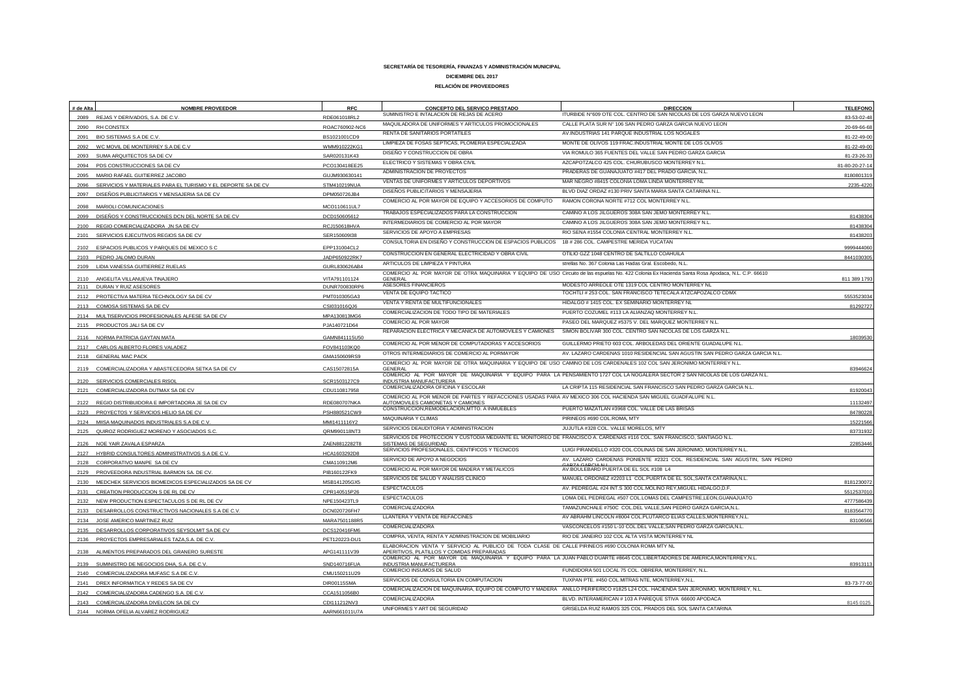| # de Alta    | <b>NOMBRE PROVEEDOR</b>                                                    | <b>RFC</b>                   | CONCEPTO DEL SERVICO PRESTADO<br>SUMINISTRO E INTALACION DE REJAS DE ACERO                                                                        | <b>DIRECCION</b><br>ITURBIDE N°609 OTE COL. CENTRO DE SAN NICOLAS DE LOS GARZA NUEVO LEON                                                         | <b>TELEFONO</b> |
|--------------|----------------------------------------------------------------------------|------------------------------|---------------------------------------------------------------------------------------------------------------------------------------------------|---------------------------------------------------------------------------------------------------------------------------------------------------|-----------------|
|              | 2089 REJAS Y DERIVADOS, S.A. DE C.V.                                       | RDE061018RL2                 | MAQUILADORA DE UNIFORMES Y ARTICULOS PROMOCIONALES                                                                                                | CALLE PLATA SUR Nº 106 SAN PEDRO GARZA GARCIA NUEVO LEON                                                                                          | 83-53-02-48     |
| 2090         | RH CONSTEX                                                                 | ROAC760902-NC6               | RENTA DE SANITARIOS PORTATILES                                                                                                                    | AV.INDUSTRIAS 141 PARQUE INDUSTRIAL LOS NOGALES                                                                                                   | 20-69-66-6      |
| 2091         | BIO SISTEMAS S.A DE C.V                                                    | BS1021001CD9                 | LIMPIEZA DE FOSAS SEPTICAS, PLOMERIA ESPECIALIZADA                                                                                                | MONTE DE OLIVOS 119 FRAC.INDUSTRIAL MONTE DE LOS OLIVOS                                                                                           | 81-22-49-0      |
| 2092         | WC MOVIL DE MONTERREY S.A DE C.V.                                          | WMM910222KG                  | DISEÑO Y CONSTRUCCION DE OBRA                                                                                                                     | VIA ROMULO 365 FUENTES DEL VALLE SAN PEDRO GARZA GARCIA                                                                                           | 81-22-49-00     |
| 2093         | SUMA ARQUITECTOS SA DE CV                                                  | SAR020131K43                 | ELECTRICO Y SISTEMAS Y OBRA CIVIL                                                                                                                 | AZCAPOTZALCO 425 COL. CHURUBUSCO MONTERREY N.L.                                                                                                   | 81-23-26-3      |
|              | 2094 PDS CONSTRUCCIONES SA DE CV                                           | PCO130418EE25                | ADMINISTRACION DE PROYECTOS                                                                                                                       | PRADERAS DE GUANAJUATO #417 DEL PRADO GARCIA, N.L.                                                                                                | 81-80-20-27-1   |
| 2095         | MARIO RAFAEL GUITIERREZ JACOBO                                             | GUJM930630141                | VENTAS DE UNIFORMES Y ARTICULOS DEPORTIVOS                                                                                                        | MAR NEGRO #8415 COLONIA LOMA LINDA MONTERREY NL                                                                                                   | 818080131       |
| 2096         | SERVICIOS Y MATERIALES PARA EL TURISMO Y EL DEPORTE SA DE CV               | STM410219NUA                 | DISEÑOS PUBLICITARIOS Y MENSAJERIA                                                                                                                | BLVD DIAZ ORDAZ #130 PRIV SANTA MARIA SANTA CATARINA N.L.                                                                                         | 2235-422        |
| 2097<br>2098 | DISEÑOS PUBLICITARIOS Y MENSAJERIA SA DE CV<br>MARIOLI COMUNICACIONES      | DPM050726JB4<br>MCO110611UL7 | COMERCIO AL POR MAYOR DE EQUIPO Y ACCESORIOS DE COMPUTO                                                                                           | RAMON CORONA NORTE #712 COL MONTERREY N.L.                                                                                                        |                 |
|              |                                                                            |                              | TRABAJOS ESPECIALIZADOS PARA LA CONSTRUCCION                                                                                                      | CAMINO A LOS JILGUEROS 308A SAN JEMO MONTERREY N.L                                                                                                | 8143830         |
| 2099         | DISEÑOS Y CONSTRUCCIONES DCN DEL NORTE SA DE CV                            | DCD150605612                 | INTERMEDIARIOS DE COMERCIO AL POR MAYOR                                                                                                           | CAMINO A LOS JILGUEROS 308A SAN JEMO MONTERREY N.L.                                                                                               | 81438304        |
| 2100<br>2101 | REGIO COMERCIALIZADORA JN SA DE CV<br>SERVICIOS EJECUTIVOS REGIOS SA DE CV | RCJ150618HVA                 | SERVICIOS DE APOYO A EMPRESAS                                                                                                                     | RIO SENA #1554 COLONIA CENTRAL MONTERREY N.L.                                                                                                     | 81438203        |
|              |                                                                            | SER150609I38                 | CONSULTORIA EN DISEÑO Y CONSTRUCCION DE ESPACIOS PUBLICOS 1B # 286 COL. CAMPESTRE MERIDA YUCATAN                                                  |                                                                                                                                                   |                 |
| 2102         | ESPACIOS PUBLICOS Y PARQUES DE MEXICO S C                                  | EPP131004CL2                 | CONSTRUCCION EN GENERAL ELECTRICIDAD Y OBRA CIVIL                                                                                                 | OTILIO GZZ 1048 CENTRO DE SALTILLO COAHUILA                                                                                                       | 9999444060      |
| 2103         | PEDRO JALOMO DURAN                                                         | JADP650922RK7                | ARTICULOS DE LIMPIEZA Y PINTURA                                                                                                                   | strellas No. 367 Colonia Las Hadas Gral. Escobedo, N.L.                                                                                           | 844103030       |
|              | 2109 LIDIA VANESSA GUITIERREZ RUELAS                                       | GURL830626AB4                |                                                                                                                                                   | COMERCIO AL POR MAYOR DE OTRA MAQUINARIA Y EQUIPO DE USO Circuito de las espuelas No. 422 Colonia Ex Hacienda Santa Rosa Apodaca, N.L. C.P. 66610 |                 |
| 2110         | ANGELITA VILLANUEVA TINAJERO                                               | VITA791101124                | <b>GENERAL</b>                                                                                                                                    |                                                                                                                                                   | 811 389 179     |
|              | 2111 DURAN Y RUIZ ASESORES                                                 | DUNR700830RP6                | ASESORES FINANCIEROS                                                                                                                              | MODESTO ARREOLE OTE 1319 COL CENTRO MONTERREY NL<br>TOCHTLI # 253 COL. SAN FRANCISCO TETECALA ATZCAPOZALCO CDMX                                   |                 |
|              | 2112 PROTECTIVA MATERIA TECHNOLOGY SA DE CV                                | PMT010305GA3                 | VENTA DE EQUIPO TACTICO<br>VENTA Y RENTA DE MULTIFUNCIONALES                                                                                      | HIDALGO # 1415 COL. EX SEMINARIO MONTERREY NL                                                                                                     | 555352303       |
| 2113         | COMOSA SISTEMAS SA DE CV                                                   | CSI031016QJ6                 |                                                                                                                                                   |                                                                                                                                                   | 8129272         |
|              | 2114 MULTISERVICIOS PROFESIONALES ALFESE SA DE CV                          | MPA130813MG6                 | COMERCIALIZACION DE TODO TIPO DE MATERIALES                                                                                                       | PUERTO COZUMEL #113 LA ALIANZAQ MONTERREY N.L.                                                                                                    |                 |
|              | 2115 PRODUCTOS JALI SA DE CV                                               | PJA140721D64                 | COMERCIO AL POR MAYOR                                                                                                                             | PASEO DEL MARQUEZ #5375 V. DEL MARQUEZ MONTERREY N.L.                                                                                             |                 |
|              | 2116 NORMA PATRICIA GAYTAN MATA                                            | GAMN841115U50                | REPARACION ELECTRICA Y MECANICA DE AUTOMOVILES Y CAMIONES                                                                                         | SIMON BOLIVAR 300 COL. CENTRO SAN NICOLAS DE LOS GARZA N.L.                                                                                       | 18039530        |
|              | CARLOS ALBERTO FLORES VALADEZ                                              | FOV841103KQ0                 | COMERCIO AL POR MENOR DE COMPUTADORAS Y ACCESORIOS                                                                                                | GUILLERMO PRIETO 603 COL. ARBOLEDAS DEL ORIENTE GUADALUPE N.L.                                                                                    |                 |
|              | 2118 GENERAL MAC PACK                                                      | GMA150609RS9                 | OTROS INTERMEDIARIOS DE COMERCIO AL PORMAYOR                                                                                                      | AV. LAZARO CARDENAS 1010 RESIDENCIAL SAN AGUSTIN SAN PEDRO GARZA GARCIA N.L.                                                                      |                 |
|              | 2119 COMERCIALIZADORA Y ABASTECEDORA SETKA SA DE CV                        | CAS15072815A                 | <b>GENERAL</b>                                                                                                                                    | COMERCIO AL POR MAYOR DE OTRA MAQUINARIA Y EQUIPO DE USO CAMINO DE LOS CARDENALES 102 COL SAN JERONIMO MONTERREY N.L                              | 8394662         |
|              |                                                                            |                              |                                                                                                                                                   | COMERCIO AL POR MAYOR DE MAQUINARIA Y EQUIPO PARA LA PENSAMIENTO 1727 COL LA NOGALERA SECTOR 2 SAN NICOLAS DE LOS GARZA N.L.                      |                 |
| 2120         | SERVICIOS COMERCIALES RISO                                                 | SCR1503127C9                 | <b>INDUSTRIA MANUFACTURERA</b><br>COMERCIALIZADORA OFICINA Y ESCOLAR                                                                              | LA CRIPTA 115 RESIDENCIAL SAN FRANCISCO SAN PEDRO GARZA GARCIA N.L.                                                                               |                 |
|              | 2121 COMERCIALIZADORA DUTMAX SA DE CV                                      | CDU110817958                 | COMERCIO AL POR MENOR DE PARTES Y REFACCIONES USADAS PARA AV MEXICO 306 COL HACIENDA SAN MIGUEL GUADFALUPE N.L.                                   |                                                                                                                                                   | 8192004         |
|              | 2122 REGIO DISTRIBUIDORA E IMPORTADORA JE SA DE CV                         | RDE080707NKA                 | AUTOMOVILES CAMIONETAS Y CAMIONES                                                                                                                 |                                                                                                                                                   | 1113249         |
|              | 2123 PROYECTOS Y SERVICIOS HELIO SA DE CV                                  | PSH880521CW9                 | CONSTRUCCION, REMODELACION, MTTO. A INMUEBLES                                                                                                     | PUERTO MAZATLAN #3968 COL. VALLE DE LAS BRISAS                                                                                                    | 8478022         |
|              | MIISA MAQUINADOS INDUSTRIALES S.A DE C.V                                   | MMI1411116Y2                 | MAQUINARIA Y CLIMAS                                                                                                                               | PIRINEOS #690 COL.ROMA, MTY                                                                                                                       | 15221566        |
|              | 2125 QUIROZ RODRIGUEZ MORENO Y ASOCIADOS S.C                               | QRM990118NT3                 | SERVICIOS DEAUDITORIA Y ADMINISTRACION                                                                                                            | JUJUTLA #328 COL. VALLE MORELOS. MTY                                                                                                              | 83731932        |
|              | 2126 NOE YAIR ZAVALA ESPARZA                                               | ZAEN8812282T8                | SERVICIOS DE PROTECCION Y CUSTODIA MEDIANTE EL MONITOREO DE FRANCISCO A. CARDENAS #116 COL. SAN FRANCISCO, SANTIAGO N.L.<br>SISTEMAS DE SEGURIDAD |                                                                                                                                                   | 2285344         |
|              | 2127 HYBRID CONSULTORES ADMINISTRATIVOS S.A DE C.V                         | HCA1603292D8                 | SERVICIOS PROFESIONALES, CIENTIFICOS Y TECNICOS                                                                                                   | LUIGI PIRANDELLO #320 COL.COLINAS DE SAN JERONIMO, MONTERREY N.L.                                                                                 |                 |
| 2128         | CORPORATIVO MANPE SA DE CV                                                 | CMA110912M6                  | SERVICIO DE APOYO A NEGOCIOS                                                                                                                      | AV. LAZARO CARDENAS PONIENTE #2321 COL. RESIDENCIAL SAN AGUSTIN, SAN PEDRO                                                                        |                 |
|              | 2129 PROVEEDORA INDUSTRIAL BARMON SA. DE CV.                               | PIB160122FK9                 | COMERCIO AL POR MAYOR DE MADERA Y METALICOS                                                                                                       | AV.BOULEBARD PUERTA DE EL SOL #108 L4                                                                                                             |                 |
| 2130         | MEDCHEK SERVICIOS BIOMEDICOS ESPECIALIZADOS SA DE CV                       | MSB141205GX5                 | SERVICIOS DE SALUD Y ANALISIS CLINICO                                                                                                             | MANUEL ORDONEZ #2203 L1 COL.PUERTA DE EL SOL, SANTA CATARINA, N.L.                                                                                | 8181230072      |
| 2131         | CREATION PRODUCCION S DE RL DE CV                                          | CPR140515P26                 | <b>ESPECTACULOS</b>                                                                                                                               | AV. PEDREGAL #24 INT.S 300 COL.MOLINO REY.MIGUEL HIDALGO.D.F.                                                                                     | 551253701       |
| 2132         | NEW PRODUCTION ESPECTACULOS S DE RL DE CV                                  | NPE150423TL9                 | <b>ESPECTACULOS</b>                                                                                                                               | LOMA DEL PEDREGAL #507 COL.LOMAS DEL CAMPESTRE,LEON,GUANAJUATO                                                                                    | 477758643       |
| 2133         | DESARROLLOS CONSTRUCTIVOS NACIONALES S.A DE C.V.                           | DCN020726FH7                 | COMERCIALIZADORA                                                                                                                                  | TAMAZUNCHALE #750C COL.DEL VALLE, SAN PEDRO GARZA GARCIA, N.L                                                                                     | 818356477       |
| 2134         | JOSE AMERICO MARTINEZ RUIZ                                                 | MARA7501188R5                | LLANTERA Y VENTA DE REFACCINES                                                                                                                    | AV ABRAHM LINCOLN #8004 COL.PLUTARCO ELIAS CALLES, MONTERREY, N.L.                                                                                | 83106566        |
| 2135         | DESARROLLOS CORPORATIVOS SEYSOLMIT SA DE CV                                | DCS120416FM6                 | COMERCIALIZADORA                                                                                                                                  | VASCONCELOS #150 L-10 COL.DEL VALLE, SAN PEDRO GARZA GARCIA, N.L.                                                                                 |                 |
| 2136         | PROYECTOS EMPRESARIALES TAZA, S.A. DE C.V.                                 | PET120223-DU1                | COMPRA, VENTA, RENTA Y ADMINISTRACION DE MOBILIARIO                                                                                               | RIO DE JANEIRO 102 COL ALTA VISTA MONTERREY NL                                                                                                    |                 |
| 2138         | ALIMENTOS PREPARADOS DEL GRANERO SURESTE                                   | APG141111V39                 | ELABORACION VENTA Y SERVICIO AL PUBLICO DE TODA CLASE DE CALLE PIRINEOS #690 COLONIA ROMA MTY NL<br>APERITIVOS, PLATILLOS Y COMIDAS PREPARADAS    |                                                                                                                                                   |                 |
| 2139         | SUMINISTRO DE NEGOCIOS DHA, S.A. DE C.V.                                   | SND140716FUA                 | INDUSTRIA MANUFACTURERA                                                                                                                           | COMERCIO AL POR MAYOR DE MAQUINARIA Y EQUIPO PARA LA JUAN PABLO DUARTE #8645 COL.LIBERTADORES DE AMERICA,MONTERREY,N.L.                           | 8391311         |
| 2140         | COMERCIALIZADORA MUFASC S.A DE C.V.                                        | CMU150211U29                 | COMERCIO INSUMOS DE SALUD                                                                                                                         | FUNDIDORA 501 LOCAL 75 COL. OBRERA, MONTERREY, N.L.                                                                                               |                 |
|              | 2141 DREX INFORMATICA Y REDES SA DE CV                                     | DIR00115SMA                  | SERVICIOS DE CONSULTORIA EN COMPUTACION                                                                                                           | TUXPAN PTE. #450 COL.MITRAS NTE, MONTERREY, N.L.                                                                                                  | 83-73-77-0      |
|              | 2142 COMERCIALIZADORA CADENGO S.A. DE C.V.                                 | CCA1511056B0                 |                                                                                                                                                   | COMERCIALIZACIÓN DE MAQUINARIA, EQUIPO DE COMPUTO Y MADERA ANILLO PERIFERICO #1825 L24 COL. HACIENDA SAN JERONIMO, MONTERREY, N.L.                |                 |
|              | 2143 COMERCIALIZADORA DIVELCON SA DE CV                                    | CDI111212NV3                 | COMERCIALIZADORA                                                                                                                                  | BLVD. INTERAMERICAN # 103 A PAREQUE STIVA 66600 APODACA                                                                                           | 8145 0125       |
|              | 2144 NORMA OFELIA ALVAREZ RODRIGUEZ                                        | AARN661011U7A                | UNIFORMES Y ART DE SEGURIDAD                                                                                                                      | GRISELDA RUIZ RAMOS 325 COL. PRADOS DEL SOL SANTA CATARINA                                                                                        |                 |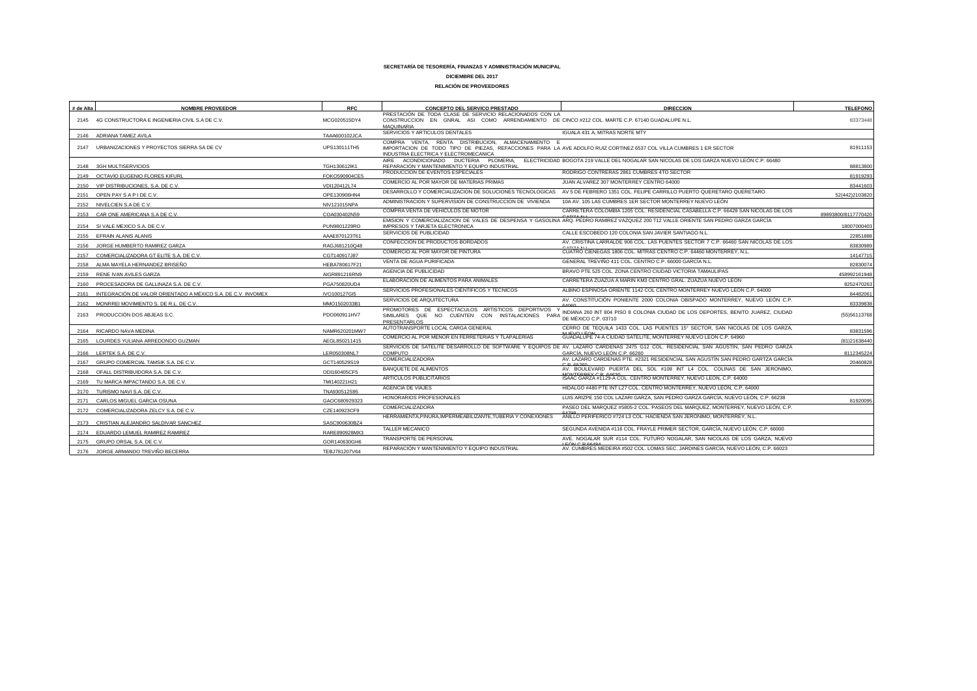### **SECRETARÍA DE TESORERÍA, FINANZAS Y ADMINISTRACIÓN MUNICIPAL**

### **DICIEMBRE DEL 2017**

### **RELACIÓN DE PROVEEDORES**

| # de Alta | <b>NOMBRE PROVEEDOR</b>                                           | <b>RFC</b>    | <b>CONCEPTO DEL SERVICO PRESTADO</b>                                                                                                                                                                               | <b>DIRECCION</b>                                                                                                                                                      | <b>TELEFONO</b>     |
|-----------|-------------------------------------------------------------------|---------------|--------------------------------------------------------------------------------------------------------------------------------------------------------------------------------------------------------------------|-----------------------------------------------------------------------------------------------------------------------------------------------------------------------|---------------------|
|           | 2145 4G CONSTRUCTORA E INGENIERIA CIVIL S.A DE C.V.               | MCG020515DY4  | PRESTACIÓN DE TODA CLASE DE SERVICIO RELACIONADOS CON LA<br>CONSTRUCCION EN GNRAL ASI COMO ARRENDAMIENTO DE CINCO #212 COL. MARTE C.P. 67140 GUADALUPE N.L.<br><b>MAOUINARIA</b>                                   |                                                                                                                                                                       | 83373448            |
|           | 2146 ADRIANA TAMEZ AVILA                                          | TAAA600102JCA | SERVICIOS Y ARTICULOS DENTALES                                                                                                                                                                                     | IGUALA 431 A, MITRAS NORTE MTY                                                                                                                                        |                     |
|           | 2147 URBANIZACIONES Y PROYECTOS SIERRA SA DE CV                   | UPS130111TH5  | COMPRA VENTA, RENTA DISTRIBUCION, ALMACENAMIENTO E<br>IMPORTACION DE TODO TIPO DE PIEZAS. REFACCIONES PARA LA AVE ADOLFO RUIZ CORTINEZ 6537 COL VILLA CUMBRES 1 ER SECTOR<br>INDUSTRIA ELECTRICA Y ELECTROMECANICA |                                                                                                                                                                       | 81911153            |
|           | 2148 3GH MULTISERVICIOS                                           | TGH130612lK1  | REPARACIÓN Y MANTENIMIENTO Y EQUIPO INDUSTRIAL                                                                                                                                                                     | AIRE ACONDICIONADO DUCTERIA PLOMERIA. ELECTRICIDAD BOGOTA 219 VALLE DEL NOGALAR SAN NICOLAS DE LOS GARZA NUEVO LEÓN C.P. 66480                                        | 88813800            |
|           | 2149 OCTAVIO EUGENIO FLORES KIFURL                                | FOKO590904CE5 | PRODUCCION DE EVENTOS ESPECIALES                                                                                                                                                                                   | RODRIGO CONTRERAS 2861 CUMBRES 4TO SECTOR                                                                                                                             | 81919293            |
|           | 2150 VIP DISTRIBUCIONES, S.A. DE C.V.                             | VDI120412L74  | COMERCIO AL POR MAYOR DE MATERIAS PRIMAS                                                                                                                                                                           | JUAN ALVAREZ 307 MONTERREY CENTRO 64000                                                                                                                               | 83441603            |
|           | 2151 OPEN PAY SAPIDE C.V.                                         | OPE130906HN4  | DESARROLLO Y COMERCIALIZACION DE SOLUCIONES TECNOLOGICAS                                                                                                                                                           | AV 5 DE FEBRERO 1351 COL. FELIPE CARRILLO PUERTO QUERETARO QUERETARO                                                                                                  | 52(442)2103820      |
|           | 2152 NIVELCIEN S.A DE C.V.                                        | NIV121015NPA  | ADMINISTRACION Y SUPERVISION DE CONSTRUCCION DE VIVIENDA                                                                                                                                                           | 10A AV. 105 LAS CUMBRES 1ER SECTOR MONTERREY NUEVO LEÓN                                                                                                               |                     |
|           | 2153 CAR ONE AMERICANA S.A DE C.V.                                | COA030402N59  | COMPRA VENTA DE VEHICULOS DE MOTOR                                                                                                                                                                                 | CARRETERA COLOMBIA 1205 COL. RESIDENCIAL CASABELLA C.P. 66428 SAN NICOLAS DE LOS<br>CADZA NH                                                                          | 89893800/8117770420 |
|           |                                                                   |               |                                                                                                                                                                                                                    | EMISION Y COMERCIALIZACION DE VALES DE DESPENSA Y GASOLINA ARQ. PEDRO RAMIREZ VAZQUEZ 200 T12 VALLE ORIENTE SAN PEDRO GARZA GARCÍA                                    |                     |
|           | 2154 SI VALE MEXICO S.A. DE C.V.                                  | PUN9801229RO  | <b>IMPRESOS Y TARJETA ELECTRONICA</b><br>SERVICIOS DE PUBLICIDAD                                                                                                                                                   | CALLE ESCOBEDO 120 COLONIA SAN JAVIER SANTIAGO N.L.                                                                                                                   | 18007000403         |
|           | 2155 EFRAIN ALANIS ALANIS                                         | AAAE870123T61 | CONFECCION DE PRODUCTOS BORDADOS                                                                                                                                                                                   | AV. CRISTINA LARRALDE 906 COL. LAS PUENTES SECTOR 7 C.P. 66460 SAN NICOLAS DE LOS                                                                                     | 22851888            |
|           | 2156 JORGE HUMBERTO RAMIREZ GARZA                                 | RAGJ681210Q48 | COMERCIO AL POR MAYOR DE PINTURA                                                                                                                                                                                   | CUATRO CIENEGAS 1806 COL. MITRAS CENTRO C.P. 64460 MONTERREY, N.L.                                                                                                    | 83830989            |
|           | 2157 COMERCIALIZADORA GT ELITE S.A. DE C.V                        | CGT140917J87  | VENTA DE AGUA PURIFICADA                                                                                                                                                                                           | GENERAL TREVIÑO 411 COL. CENTRO C.P. 66000 GARCÍA N.L.                                                                                                                | 14147715            |
|           | 2158 ALMA MAYELA HERNANDEZ BRISEÑO                                | HEBA780617F21 | AGENCIA DE PUBLICIDAD                                                                                                                                                                                              | BRAVO PTE 525 COL. ZONA CENTRO CIUDAD VICTORIA TAMAULIPAS                                                                                                             | 82830074            |
|           | 2159 RENE IVAN AVILES GARZA                                       | AIGR891216RN9 | ELABORACIÓN DE ALIMENTOS PARA ANIMALES                                                                                                                                                                             | CARRETERA ZUAZUA A MARIN KM3 CENTRO GRAL, ZUAZUA NUEVO LEÓN                                                                                                           | 458992161948        |
|           | 2160 PROCESADORA DE GALLINAZA S.A. DE C.V.                        | PGA750820UD4  | SERVICIOS PROFESIONALES CIENTIFICOS Y TECNICOS                                                                                                                                                                     | ALBINO ESPINOSA ORIENTE 1142 COL CENTRO MONTERREY NUEVO LEÓN C.P. 64000                                                                                               | 8252470263          |
|           | 2161 INTEGRACIÓN DE VALOR ORIENTADO A MÉXICO S.A. DE C.V. INVOMEX | IVO100127GI5  | SERVICIOS DE ARQUITECTURA                                                                                                                                                                                          | AV. CONSTITUCIÓN PONIENTE 2000 COLONIA OBISPADO MONTERREY, NUEVO LEÓN C.P.                                                                                            | 84482061            |
|           | 2162 MONRREI MOVIMIENTO S. DE R.L. DE C.V.                        | MMO1502033B1  | PROMOTORES DE ESPECTACULOS ARTISTICOS DEPORTIVOS                                                                                                                                                                   |                                                                                                                                                                       | 83339838            |
|           | 2163 PRODUCCIÓN DOS ABJEAS S.C.                                   | PDO060911HV7  | SIMILARES QUE NO CUENTEN CON INSTALACIONES<br>PARA<br>PRESENTARLOS                                                                                                                                                 | INDIANA 260 INT 804 PISO 8 COLONIA CIUDAD DE LOS DEPORTES, BENITO JUAREZ, CIUDAD<br>DE MÉXICO C.P. 03710                                                              | (55) 56113768       |
|           | 2164 RICARDO NAVA MEDINA                                          | NAMR620201MW7 | AUTOTRANSPORTE LOCAL CARGA GENERAL                                                                                                                                                                                 | CERRO DE TEQUILA 1433 COL. LAS PUENTES 15° SECTOR, SAN NICOLAS DE LOS GARZA,                                                                                          | 83831596            |
| 2165      | LOURDES YULIANA ARREDONDO GUZMAN                                  | AEGL850211415 | COMERCIO AL POR MENOR EN FERRETERIAS Y TLAPALERÍAS                                                                                                                                                                 | GUADALUPE 74-A CIUDAD SATELITE, MONTERREY NUEVO LEÓN C.P. 64960                                                                                                       | (81)21638440        |
| 2166      | LERTEK S.A. DE C.V.                                               | LER050308NL7  | <b>COMPUTO</b>                                                                                                                                                                                                     | SERVICIOS DE SATELITE DESARROLLO DE SOFTWARE Y EQUIPOS DE AV. LAZARO CARDENAS 2475 G12 COL. RESIDENCIAL SAN AGUSTÍN, SAN PEDRO GARZA<br>GARCÍA. NUEVO LEÓN C.P. 66260 | 8112345224          |
| 2167      | GRUPO COMERCIAL TAMSIK S.A. DE C.V.                               | GCT140529S19  | <b>COMERCIALIZADORA</b>                                                                                                                                                                                            | AV. LAZARO CARDENAS PTE. #2321 RESIDENCIAL SAN AGUSTÍN SAN PEDRO GARTZA GARCÍA                                                                                        | 20460828            |
|           | 2168 OFALL DISTRIBUIDORA S.A. DE C.V.                             | ODI160405CF5  | BANQUETE DE ALIMENTOS                                                                                                                                                                                              | AV. BOULEVARD PUERTA DEL SOL #108 INT L4 COL. COLINAS DE SAN JERONIMO,                                                                                                |                     |
|           |                                                                   |               | ARTICULOS PUBLICITARIOS                                                                                                                                                                                            | MONITEDDEV C D 64620<br>ISAAC GARZA #1129-A COL. CENTRO MONTERREY, NUEVO LEÓN, C.P. 64000                                                                             |                     |
| 2169      | TU MARCA IMPACTANDO S.A. DE C.V.                                  | TMI140221H21  | <b>AGENCIA DE VIAJES</b>                                                                                                                                                                                           | HIDALGO #480 PTE INT L27 COL. CENTRO MONTERREY, NUEVO LEÓN, C.P. 64000                                                                                                |                     |
| 2170      | TURISMO NAVI S.A. DE C.V.                                         | TNA930512S95  | HONORARIOS PROFESIONALES                                                                                                                                                                                           | LUIS ARIZPE 150 COL LAZARI GARZA, SAN PEDRO GARZA GARCÍA, NUEVO LEÓN, C.P. 66238                                                                                      |                     |
| 2171      | CARLOS MIGUEL GARCIA OSUNA                                        | GAOC680929323 | COMERCIALIZADORA                                                                                                                                                                                                   | PASEO DEL MARQUEZ #5805-2 COL. PASEOS DEL MARQUEZ, MONTERREY, NUEVO LEÓN, C.P.                                                                                        | 81920095            |
| 2172      | COMERCIALIZADORA ZELCY S.A. DE C.V.                               | CZE140923CF9  | HERRAMIENTA, PINURA, IMPERMEABILIZANTE, TUBERIA Y CONEXIONES                                                                                                                                                       | ANILLO PERIFERICO #724 L3 COL. HACIENDA SAN JERONIMO, MONTERREY, N.L.                                                                                                 |                     |
|           | 2173 CRISTIAN ALEJANDRO SALDIVAR SANCHEZ                          | SASC900630BZ4 |                                                                                                                                                                                                                    |                                                                                                                                                                       |                     |
|           | 2174 EDUARDO LEMUEL RAMIREZ RAMIREZ                               | RARE890928MX3 | TALLER MECANICO                                                                                                                                                                                                    | SEGUNDA AVENIDA #116 COL. FRAYLE PRIMER SECTOR. GARCÍA. NUEVO LEÓN. C.P. 66000                                                                                        |                     |
|           | 2175 GRUPO ORSAL S.A. DE C.V                                      | GOR140630GH6  | TRANSPORTE DE PERSONAL                                                                                                                                                                                             | AVE, NOGALAR SUR #114 COL, FUTURO NOGALAR, SAN NICOLAS DE LOS GARZA, NUEVO<br>LEÓN C D CC404                                                                          |                     |
|           | 2176 JORGE ARMANDO TREVIÑO BECERRA                                | TEBJ781207V64 | REPARACIÓN Y MANTENIMIENTO Y EQUIPO INDUSTRIAL                                                                                                                                                                     | AV. CUMBRES MEDEIRA #502 COL. LOMAS SEC. JARDINES GARCÍA. NUEVO LEÓN. C.P. 66023                                                                                      |                     |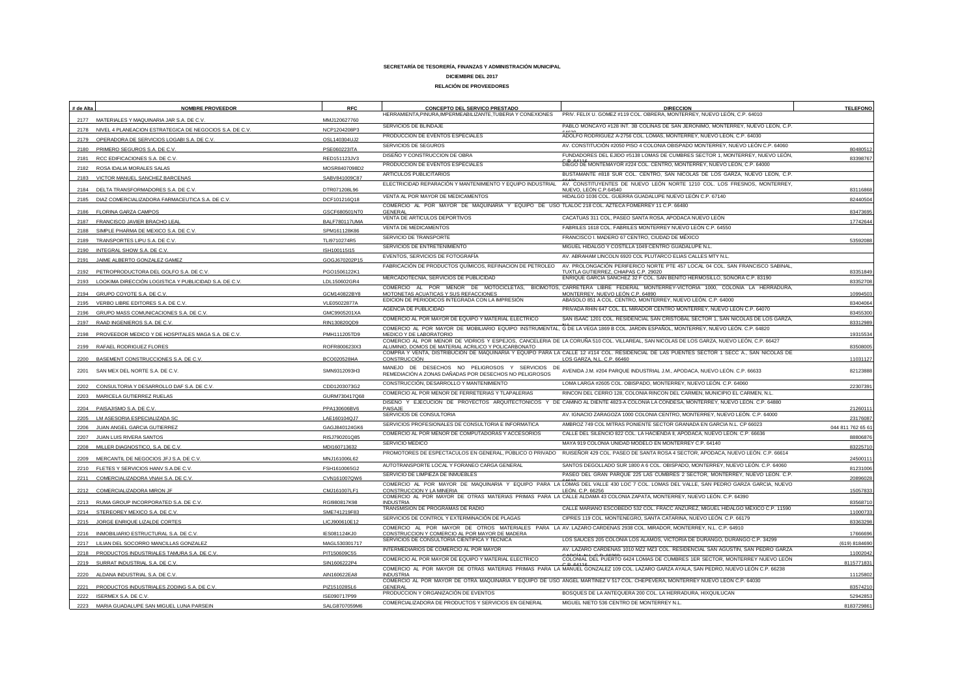| # de Alta | <b>NOMBRE PROVEEDOR</b>                                         | <b>RFC</b>           | <b>CONCEPTO DEL SERVICO PRESTADO</b><br>HERRAMIENTA, PINURA, IMPERMEABILIZANTE, TUBERIA Y CONEXIONES | <b>DIRECCION</b><br>PRIV. FELIX U. GOMEZ #119 COL. OBRERA, MONTERREY, NUEVO LEÓN, C.P. 64010                                                                                                      | <b>TELEFONO</b>   |
|-----------|-----------------------------------------------------------------|----------------------|------------------------------------------------------------------------------------------------------|---------------------------------------------------------------------------------------------------------------------------------------------------------------------------------------------------|-------------------|
|           | 2177 MATERIALES Y MAQUINARIA JAR S.A. DE C.V                    | MMJ120627760         |                                                                                                      |                                                                                                                                                                                                   |                   |
|           | 2178 NIVEL 4 PLANEACION ESTRATEGICA DE NEGOCIOS S.A. DE C.V     | NCP1204208P3         | SERVICIOS DE BLINDAJE                                                                                | PABLO MONCAYO #128 INT. 3B COLINAS DE SAN JERONIMO, MONTERREY, NUEVO LEÓN, C.P.                                                                                                                   |                   |
| 2179      | OPERADORA DE SERVICIOS LOGABI S.A. DE C.V.                      | OSL140304UJ2         | PRODUCCION DE EVENTOS ESPECIALES                                                                     | ADOLFO RODRIGUEZ A-2756 COL. LOMAS, MONTERREY, NUEVO LEÓN, C.P. 64030                                                                                                                             |                   |
|           | 2180 PRIMERO SEGUROS S.A. DE C.V                                | PSE060223ITA         | SERVICIOS DE SEGUROS                                                                                 | AV. CONSTITUCIÓN #2050 PISO 4 COLONIA OBISPADO MONTERREY, NUEVO LEÓN C.P. 64060                                                                                                                   | 80480512          |
| 2181      | RCC EDIFICACIONES S.A. DE C.V.                                  | RED151123JV3         | DISEÑO Y CONSTRUCCION DE OBRA                                                                        | FUNDADORES DEL EJIDO #5138 LOMAS DE CUMBRES SECTOR 1, MONTERREY, NUEVO LEÓN,                                                                                                                      | 83398767          |
|           | 2182 ROSA IDALIA MORALES SALAS                                  | MOSR8407098D2        | PRODUCCION DE EVENTOS ESPECIALES                                                                     | DIEGO DE MONTEMAYOR #224 COL. CENTRO, MONTERREY, NUEVO LEÓN, C.P. 64000                                                                                                                           |                   |
| 2183      | VICTOR MANUEL SANCHEZ BARCENAS                                  | SABV841009C87        | ARTICULOS PUBLICITARIOS                                                                              | BUSTAMANTE #818 SUR COL. CENTRO, SAN NICOLAS DE LOS GARZA, NUEVO LEÓN, C.P.                                                                                                                       |                   |
|           | 2184 DELTA TRANSFORMADORES S.A. DE C.V.                         | DTR071208L96         | ELECTRICIDAD REPARACIÓN Y MANTENIMIENTO Y EQUIPO INDUSTRIAL                                          | AV. CONSTITUYENTES DE NUEVO LEÓN NORTE 1210 COL, LOS FRESNOS, MONTERREY,<br>NUEVO, LEÓN C.P.64540                                                                                                 | 83116868          |
| 2185      | DIAZ COMERCIALIZADORA FARMACEUTICA S.A. DE C.V                  | DCF101216Q18         | VENTA AL POR MAYOR DE MEDICAMENTOS                                                                   | HIDALGO 1036 COL. GUERRA GUADALUPE NUEVO LEÓN C.P. 67140                                                                                                                                          | 82440504          |
|           |                                                                 |                      | COMERCIO AL POR MAYOR DE MAQUINARIA Y EQUIPO DE USO TLALOC 218 COL. AZTECA FOMERREY 11 C.P. 66480    |                                                                                                                                                                                                   |                   |
|           | <b>FLORINA GARZA CAMPOS</b>                                     | GSCF680501NT0        | <b>GENERAL</b><br>VENTA DE ARTICULOS DEPORTIVOS                                                      | CACATUAS 311 COL. PASEO SANTA ROSA, APODACA NUEVO LEÓN                                                                                                                                            | 8347369           |
| 2187      | FRANCISCO JAVIER BRACHO LEAL                                    | <b>BALF780117UMA</b> | VENTA DE MEDICAMENTOS                                                                                | FABRILES 1618 COL. FABRILES MONTERREY NUEVO LEÓN C.P. 64550                                                                                                                                       | 17742644          |
| 2188      | SIMPLE PHARMA DE MEXICO S.A. DE C.V.                            | SPM161128K86         | SERVICIO DE TRANSPORTE                                                                               | FRANCISCO I. MADERO 67 CENTRO, CIUDAD DE MÉXICO                                                                                                                                                   |                   |
| 2189      | TRANSPORTES LIPU S.A. DE C.V                                    | TLI9710274R5         | SERVICIOS DE ENTRETENIMIENTO                                                                         | MIGUEL HIDALGO Y COSTILLA 1049 CENTRO GUADALUPE N.L.                                                                                                                                              | 53592088          |
| 2191      | 2190 INTEGRAL SHOW S.A. DE C.V.<br>JAIME ALBERTO GONZALEZ GAMEZ | ISH100115I15         | EVENTOS, SERVICIOS DE FOTOGRAFÍA                                                                     | AV. ABRAHAM LINCOLN 6920 COL PLUTARCO ELIAS CALLES MTY N.L.                                                                                                                                       |                   |
|           |                                                                 | GOGJ670202P15        | FABRICACIÓN DE PRODUCTOS QUÍMICOS, REFINACION DE PETROLEO                                            | AV. PROLONGACIÓN PERIFERICO NORTE PTE 457 LOCAL 04 COL. SAN FRANCISCO SABINAL                                                                                                                     |                   |
| 2192      | PETROPRODUCTORA DEL GOLFO S.A. DE C.V.                          | PGO1506122K1         | MERCADOTECNIA, SERVICIOS DE PUBLICIDAD                                                               | TUXTLA GUTIERREZ, CHIAPAS C.P. 29020<br>ENRIQUE GARCÍA SANCHEZ 32 F COL. SAN BENITO HERMOSILLO, SONORA C.P. 83190                                                                                 | 83351849          |
|           | 2193 LOOKIMA DIRECCIÓN LOGISTICA Y PUBLICIDAD S.A. DE C.V.      | LDL150602GR4         |                                                                                                      | COMERCIO AL POR MENOR DE MOTOCICLETAS, BICIMOTOS, CARRETERA LIBRE FEDERAL MONTERREY-VICTORIA 1000, COLONIA LA HERRADURA,                                                                          | 83352708          |
| 2194      | GRUPO COYOTE S.A. DE C.V.                                       | GCM140822BY8         | MOTONETAS ACUATICAS Y SUS REFACCIONES                                                                | MONTERREY, NUEVO LEÓN C.P. 64890                                                                                                                                                                  | 10994503          |
| 2195      | VERBO LIBRE EDITORES S.A. DE C.V                                | VLE05022877A         | EDICION DE PERIODICOS INTEGRADA CON LA IMPRESIÓN                                                     | ABASOLO 851 A COL. CENTRO, MONTERREY, NUEVO LEÓN. C.P. 64000                                                                                                                                      | 83404064          |
| 2196      | GRUPO MASS COMUNICACIONES S.A. DE C.V.                          | GMC9905201XA         | AGENCIA DE PUBLICIDAD                                                                                | PRIVADA RHIN 647 COL. EL MIRADOR CENTRO MONTERREY, NUEVO LEÓN C.P. 64070                                                                                                                          | 83455300          |
| 2197      | RAAD INGENIEROS S.A. DE C.V                                     | RIN130820QD9         | COMERCIO AL POR MAYOR DE EQUIPO Y MATERIAL ELECTRICO                                                 | SAN ISAAC 1201 COL. RESIDENCIAL SAN CRISTOBAL SECTOR 1, SAN NICOLAS DE LOS GARZA.                                                                                                                 | 83312989          |
| 2198      | PROVEEDOR MEDICO Y DE HOSPITALES MAGA S.A. DE C.V               | PMH111205TD9         | MEDICO Y DE LABORATORIO                                                                              | COMERCIO AL POR MAYOR DE MOBILIARIO EQUIPO INSTRUMENTAL, G DE LA VEGA 1869 B COL, JARDIN ESPAÑOL, MONTERREY, NUEVO LEÓN, C.P. 64820                                                               | 19315534          |
|           |                                                                 |                      |                                                                                                      | COMERCIO AL POR MENOR DE VIDRIOS Y ESPEJOS, CANCELERIA DE LA CORUÑA 510 COL. VILLAREAL, SAN NICOLAS DE LOS GARZA, NUEVO LEÓN, C.P. 66427                                                          |                   |
|           | 2199 RAFAEL RODRIGUEZ FLORES                                    | ROFR800623IX3        | ALUMINIO, DOMOS DE MATERIAL ACRILICO Y POLICARBONATO                                                 | COMPRA Y VENTA, DISTRIBUCIÓN DE MAQUINARIA Y EQUIPO PARA LA CALLE 12 #114 COL. RESIDENCIAL DE LAS PUENTES SECTOR 1 SECC A., SAN NICOLAS DE                                                        | 83508005          |
| 2200      | BASEMENT CONSTRUCCIONES S.A. DE C.V.                            | BCO020528I4A         | CONSTRUCCIÓN                                                                                         | LOS GARZA, N.L. C.P. 66460                                                                                                                                                                        | 11031127          |
| 2201      | SAN MEX DEL NORTE S.A. DE C.V.                                  | SMN9312093H3         |                                                                                                      | MANEJO DE DESECHOS NO PELIGROSOS Y SERVICIOS DE AVENIDA J.M. #204 PARQUE INDUSTRIAL J.M., APODACA, NUEVO LEÓN. C.P. 66633                                                                         | 82123888          |
|           | 2202 CONSULTORIA Y DESARROLLO DAF S.A. DE C.V.                  | CDD1203073G2         | CONSTRUCCIÓN, DESARROLLO Y MANTENIMIENTO                                                             | LOMA LARGA #2605 COL. OBISPADO, MONTERREY, NUEVO LEÓN. C.P. 64060                                                                                                                                 | 22307391          |
|           | 2203 MARICELA GUTIERREZ RUELAS                                  | GURM730417Q68        | COMERCIO AL POR MENOR DE FERRETERIAS Y TLAPALERIAS                                                   | RINCON DEL CERRO 128, COLONIA RINCON DEL CARMEN, MUNICIPIO EL CARMEN, N.L.                                                                                                                        |                   |
|           | 2204 PAISAJISMO S.A. DE C.V                                     | PPA130606BV6         | PAISAJE                                                                                              | DISEÑO Y EJECUCION DE PROYECTOS ARQUITECTONICOS Y DE CAMINO AL DIENTE 4823-A COLONIA LA CONDESA, MONTERREY, NUEVO LEÓN. C.P. 64880                                                                | 2126011           |
| 2205      | LM ASESORIA ESPECIALIZADA SC                                    | LAE160104QJ7         | SERVICIOS DE CONSULTORIA                                                                             | AV. IGNACIO ZARAGOZA 1000 COLONIA CENTRO, MONTERREY, NUEVO LEÓN. C.P. 64000                                                                                                                       | 23176087          |
| 2206      | JUAN ANGEL GARCIA GUTIERREZ                                     | GAGJ840124GK6        | SERVICIOS PROFESIONALES DE CONSULTORIA E INFORMATICA                                                 | AMBROZ 749 COL MITRAS PONIENTE SECTOR GRANADA EN GARCIA N.L. CP 66023                                                                                                                             | 044 811 762 65 61 |
| 2207      | JUAN LUIS RIVERA SANTOS                                         | RISJ790201Q85        | COMERCIO AL POR MENOR DE COMPUTADORAS Y ACCESORIOS                                                   | CALLE DEL SILENCIO 822 COL. LA HACIENDA II, APODACA, NUEVO LEÓN. C.P. 66636                                                                                                                       | 88806876          |
|           | 2208 MILLER DIAGNOSTICO, S.A. DE C.V.                           | MDI160713632         | SERVICIO MEDICO                                                                                      | MAYA 919 COLONIA UNIDAD MODELO EN MONTERREY C.P. 64140                                                                                                                                            | 83225710          |
|           |                                                                 |                      | PROMOTORES DE ESPECTACULOS EN GENERAL, PÚBLICO O PRIVADO                                             | RUISEÑOR 429 COL. PASEO DE SANTA ROSA 4 SECTOR, APODACA, NUEVO LEÓN. C.P. 66614                                                                                                                   |                   |
| 2209      | MERCANTIL DE NEGOCIOS JFJ S.A. DE C.V.                          | MNJ161006L62         | AUTOTRANSPORTE LOCAL Y FORANEO CARGA GENERAL                                                         | SANTOS DEGOLLADO SUR 1800 A 6 COL. OBISPADO, MONTERREY, NUEVO LEÓN. C.P. 64060                                                                                                                    | 2450011           |
|           | 2210 FLETES Y SERVICIOS HANV S.A.DE C.V                         | FSH1610065G2         | SERVICIO DE LIMPIEZA DE INMUEBLES                                                                    | PASEO DEL GRAN PARQUE 225 LAS CUMBRES 2 SECTOR, MONTERREY, NUEVO LEÓN. C.P.                                                                                                                       | 81231006          |
| 2211      | COMERCIALIZADORA VNAH S.A. DE C.V.                              | CVN161007QW6         |                                                                                                      | COMERCIO AL POR MAYOR DE MAQUINARIA Y EQUIPO PARA LA LOMAS DEL VALLE 430 LOC 7 COL. LOMAS DEL VALLE, SAN PEDRO GARZA GARCIA, NUEVO                                                                | 20896028          |
| 2212      | COMERCIALIZADORA MIRON JF                                       | CMJ161007LF1         | CONSTRUCCION Y LA MINERIA                                                                            | LEÓN. C.P. 66256<br>COMERCIO AL POR MAYOR DE OTRAS MATERIAS PRIMAS PARA LA CALLE ALDAMA 43 COLONIA ZAPATA, MONTERREY, NUEVO LEÓN. C.P. 64390                                                      | 15057833          |
|           | 2213 RUMA GROUP INCORPORATED S.A. DE C.V.                       | RGI980817K98         | <b>INDUSTRIA</b>                                                                                     |                                                                                                                                                                                                   | 83568710          |
|           | 2214 STEREOREY MEXICO S.A. DE C.V.                              | SME741219F83         | TRANSMISION DE PROGRAMAS DE RADIO                                                                    | CALLE MARIANO ESCOBEDO 532 COL. FRACC ANZUREZ, MIGUEL HIDALGO MÉXICO C.P. 11590                                                                                                                   | 11000733          |
|           | 2215 JORGE ENRIQUE LIZALDE CORTES                               | LICJ900610E12        | SERVICIOS DE CONTROL Y EXTERMINACIÓN DE PLAGAS                                                       | CIPRES 119 COL. MONTENEGRO, SANTA CATARINA, NUEVO LEÓN. C.P. 66179                                                                                                                                | 83363298          |
| 2216      | INMOBILIARIO ESTRUCTURAL S.A. DE C.V                            | IES081124KJ0         | CONSTRUCCION Y COMERCIO AL POR MAYOR DE MADERA<br>SERVICIOS DE CONSULTORIA CIENTIFICA Y TECNICA      | COMERCIO AL POR MAYOR DE OTROS MATERIALES PARA LA AV. LAZARO CARDENAS 2938 COL. MIRADOR, MONTERREY, N.L. C.P. 64910<br>LOS SAUCES 205 COLONIA LOS ALAMOS, VICTORIA DE DURANGO, DURANGO C.P. 34299 | 1766669           |
|           | 2217 LILIAN DEL SOCORRO MANCILLAS GONZALEZ                      | MAGL530301717        | INTERMEDIARIOS DE COMERCIO AL POR MAYOR                                                              | AV. LAZARO CARDENAS 1010 MZ2 MZ3 COL. RESIDENCIAL SAN AGUSTIN, SAN PEDRO GARZA                                                                                                                    | (619) 8184690     |
|           | 2218 PRODUCTOS INDUSTRIALES TAMURA S.A. DE C.V                  | PIT150609C55         | COMERCIO AL POR MAYOR DE EQUIPO Y MATERIAL ELECTRICO                                                 | COLONIAL DEL PUERTO 6424 LOMAS DE CUMBRES 1ER SECTOR, MONTERREY NUEVO LEÓN                                                                                                                        | 11002042          |
|           | 2219 SURRAT INDUSTRIAL S.A. DE C.V                              | SIN1606222P4         |                                                                                                      | D. CAAA<br>COMERCIO AL POR MAYOR DE OTRAS MATERIAS PRIMAS PARA LA MANUEL GONZALEZ 109 COL. LAZARO GARZA AYALA, SAN PEDRO, NUEVO LEÓN C.P. 66238                                                   | 8115771831        |
| 2220      | ALDANA INDUSTRIAL S.A. DE C.V.                                  | AIN160622EA8         | <b>INDUSTRIA</b>                                                                                     |                                                                                                                                                                                                   | 11125802          |
|           | 2221 PRODUCTOS INDUSTRIALES ZODING S.A. DE C.V.                 | PIZ151028SL6         | <b>GENERAL</b>                                                                                       | COMERCIO AL POR MAYOR DE OTRA MAQUINARIA Y EQUIPO DE USO ANGEL MARTINEZ V 517 COL. CHEPEVERA, MONTERREY NUEVO LEÓN C.P. 64030                                                                     | 83574210          |
|           | 2222 ISERMEX S.A. DE C.V.                                       | ISE090717P99         | PRODUCCION Y ORGANIZACIÓN DE EVENTOS                                                                 | BOSQUES DE LA ANTEQUERA 200 COL. LA HERRADURA, HIXQUILUCAN                                                                                                                                        | 52942853          |
| 2223      | MARIA GUADALUPE SAN MIGUEL LUNA PARSEIN                         | SALG8707059M6        | COMERCIALIZADORA DE PRODUCTOS Y SERVICIOS EN GENERAL                                                 | MIGUEL NIETO 536 CENTRO DE MONTERREY N.L.                                                                                                                                                         | 8183729861        |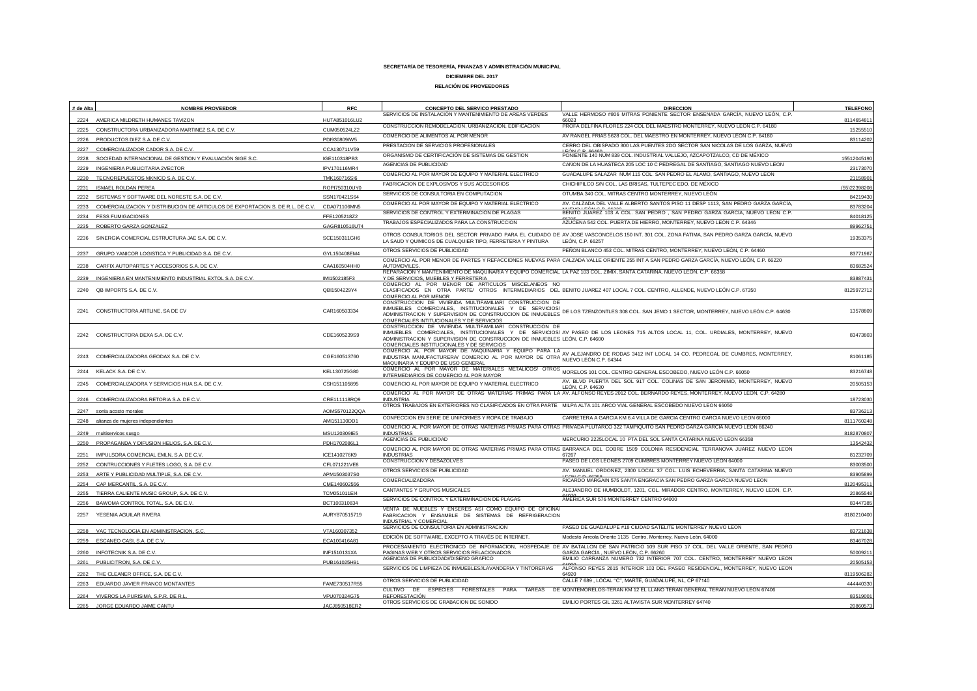| # de Alta | <b>NOMBRE PROVEEDOR</b>                                                             | <b>RFC</b>    | CONCEPTO DEL SERVICO PRESTADO                                                                                                                                                                                               | <b>DIRECCION</b>                                                                                                                                                                                                               | <b>TELEFONO</b> |
|-----------|-------------------------------------------------------------------------------------|---------------|-----------------------------------------------------------------------------------------------------------------------------------------------------------------------------------------------------------------------------|--------------------------------------------------------------------------------------------------------------------------------------------------------------------------------------------------------------------------------|-----------------|
|           | 2224 AMERICA MILDRETH HUMANES TAVIZON                                               | HUTA851016LU2 | SERVICIOS DE INSTALACIÓN Y MANTENIMIENTO DE AREAS VERDES                                                                                                                                                                    | VALLE HERMOSO #806 MITRAS PONIENTE SECTOR ENSENADA GARCÍA, NUEVO LEÓN, C.P.<br>66023                                                                                                                                           | 811465481       |
| 2225      | CONSTRUCTORA URBANIZADORA MARTINEZ S.A. DE C.V                                      | CUM050524LZ2  | CONSTRUCCIÓN REMODELACIÓN, URBANIZACIÓN, EDIFICACIÓN                                                                                                                                                                        | PROFA DELFINA FLORES 224 COL DEL MAESTRO MONTERREY, NUEVO LEÓN C.P. 64180                                                                                                                                                      | 15255510        |
| 2226      | PRODUCTOS DIEZ S.A. DE C.V.                                                         | PDI930809IW5  | COMERCIO DE ALIMENTOS AL POR MENOR                                                                                                                                                                                          | AV RANGEL FRIAS 5628 COL. DEL MAESTRO EN MONTERREY, NUEVO LEÓN C.P. 64180                                                                                                                                                      | 83114202        |
|           | 2227 COMERCIALIZADOR CADOR S.A. DE C.V.                                             | CCA130711V59  | PRESTACION DE SERVICIOS PROFESIONALES                                                                                                                                                                                       | CERRO DEL OBISPADO 300 LAS PUENTES 2DO SECTOR SAN NICOLAS DE LOS GARZA, NUEVO                                                                                                                                                  |                 |
| 2228      | SOCIEDAD INTERNACIONAL DE GESTION Y EVALUACIÓN SIGE S.C.                            | IGE110318PB3  | ORGANISMO DE CERTIFICACIÓN DE SISTEMAS DE GESTION                                                                                                                                                                           | PONIENTE 140 NÚM 839 COL. INDUSTRIAL VALLEJO, AZCAPOTZALCO, CD DE MÉXICO                                                                                                                                                       | 15512045190     |
|           | 2229 INGENIERIA PUBLICITARIA 2VECTOR                                                | IPV170116MR4  | AGENCIAS DE PUBLICIDAD                                                                                                                                                                                                      | CAÑON DE LA HUASTECA 205 LOC 10 C PEDREGAL DE SANTIAGO. SANTIAGO NUEVO LEÓN                                                                                                                                                    | 2317307         |
|           | 2230 TECNOREPUESTOS MKNICO S.A. DE C.V                                              | TMK160716Sl6  | COMERCIO AL POR MAYOR DE EQUIPO Y MATERIAL ELECTRICO                                                                                                                                                                        | GUADALUPE SALAZAR NUM 115 COL. SAN PEDRO EL ALAMO, SANTIAGO, NUEVO LEÓN                                                                                                                                                        | 2115890         |
|           | <b>ISMAEL ROLDAN PEREA</b>                                                          | ROPI750310UY0 | FABRICACION DE EXPLOSIVOS Y SUS ACCESORIOS                                                                                                                                                                                  | CHICHIPILCO S/N COL. LAS BRISAS, TULTEPEC EDO. DE MÉXICO                                                                                                                                                                       | (55)2239820     |
|           | 2232 SISTEMAS Y SOFTWARE DEL NORESTE S.A. DE C.V.                                   | SSN170421S64  | SERVICIOS DE CONSULTORIA EN COMPUTACION                                                                                                                                                                                     | OTUMBA 340 COL. MITRAS CENTRO MONTERREY, NUEVO LEÓN                                                                                                                                                                            | 84219430        |
|           | 2233 COMERCIALIZACION Y DISTRIBUCION DE ARTICULOS DE EXPORTACION S. DE R.L. DE C.V. | CDA071106MN5  | COMERCIO AL POR MAYOR DE EQUIPO Y MATERIAL ELECTRICO                                                                                                                                                                        | AV. CALZADA DEL VALLE ALBERTO SANTOS PISO 11 DESP 1113, SAN PEDRO GARZA GARCÍA,                                                                                                                                                | 83783204        |
|           | 2234 FESS FUMIGACIONES                                                              | FFE1205218Z2  | SERVICIOS DE CONTROL Y EXTERMINACIÓN DE PLAGAS                                                                                                                                                                              | BENITO JUAREZ 103 A COL. SAN PEDRO, SAN PEDRO GARZA GARCÍA, NUEVO LEÓN C.P.                                                                                                                                                    | 84018125        |
|           | 2235 ROBERTO GARZA GONZALEZ                                                         | GAGR810516U74 | TRABAJOS ESPECIALIZADOS PARA LA CONSTRUCCION                                                                                                                                                                                | AZUCENA 542 COL. PUERTA DE HIERRO, MONTERREY, NUEVO LEÓN C.P. 64346                                                                                                                                                            | 89962751        |
| 2236      | SINERGIA COMERCIAL ESTRUCTURA JAE S.A. DE C.V.                                      | SCE150311GH6  | LA SAUD Y QUIMICOS DE CUALQUIER TIPO, FERRETERIA Y PINTURA                                                                                                                                                                  | OTROS CONSULTORIOS DEL SECTOR PRIVADO PARA EL CUIDADO DE AV JOSE VASCONCELOS 150 INT. 301 COL. ZONA FATIMA, SAN PEDRO GARZA GARCÍA, NUEVO<br>LEÓN, C.P. 66257                                                                  | 1935337         |
|           | 2237 GRUPO YANICOR LOGISTICA Y PUBLICIDAD S.A. DE C.V.                              | GYL150408EM4  | OTROS SERVICIOS DE PUBLICIDAD                                                                                                                                                                                               | PEÑON BLANCO 453 COL. MITRAS CENTRO, MONTERREY, NUEVO LEÓN, C.P. 64460                                                                                                                                                         | 83771967        |
| 2238      | CARFIX AUTOPARTES Y ACCESORIOS S.A. DE C.V.                                         | CAA160504HHC  | AUTOMOVILES                                                                                                                                                                                                                 | COMERCIO AL POR MENOR DE PARTES Y REFACCIONES NUEVAS PARA CALZADA VALLE ORIENTE 255 INT A SAN PEDRO GARZA GARCÍA, NUEVO LEÓN, C.P. 66220                                                                                       | 8368252         |
| 2239      | INGENIERIA EN MANTENIMIENTO INDUSTRIAL EXTOL S.A. DE C.V                            | IMI1502185F3  | REPARACION Y MANTENIMIENTO DE MAQUINARIA Y EQUIPO COMERCIAL LA PAZ 103 COL. ZIMIX, SANTA CATARINA, NUEVO LEÓN, C.P. 66358<br>Y DE SERVICIOS, MUEBLES Y FERRETERIA                                                           |                                                                                                                                                                                                                                | 8388743         |
|           |                                                                                     |               | COMERCIO AL POR MENOR DE ARTICULOS MISCELANEOS NO                                                                                                                                                                           |                                                                                                                                                                                                                                |                 |
| 2240      | QB IMPORTS S.A. DE C.V.                                                             | QBI1504229Y4  | COMERCIO AL POR MENOR                                                                                                                                                                                                       | CLASIFICADOS EN OTRA PARTE/ OTROS INTERMEDIARIOS DEL BENITO JUAREZ 407 LOCAL 7 COL. CENTRO, ALLENDE, NUEVO LEÓN C.P. 67350                                                                                                     | 8125972712      |
|           | 2241 CONSTRUCTORA ARTLINE, SA DE CV                                                 | CAR160503334  | CONSTRUCCION DE VIVIENDA MULTIFAMILIAR/ CONSTRUCCION DE<br>INMUEBLES COMERCIALES, INSTITUCIONALES Y DE SERVICIOS/<br>ADMINISTRACION Y SUPERVISION DE CONSTRUCCION DE INMUEBLES<br>COMERCIALES INTITUCIONALES Y DE SERVICIOS | DE LOS TZENZONTLES 308 COL. SAN JEMO 1 SECTOR, MONTERREY, NUEVO LEÓN C.P. 64630                                                                                                                                                | 13578809        |
|           | 2242 CONSTRUCTORA DEXA S.A. DE C.V.                                                 | CDE1605239S9  | CONSTRUCCION DE VIVIENDA MULTIFAMILIAR/ CONSTRUCCION DE<br>ADMINISTRACION Y SUPERVISION DE CONSTRUCCION DE INMUEBLES LEÓN, C.P. 64600<br>COMERCIALES INSTITUCIONALES Y DE SERVICIOS                                         | INMUEBLES COMERCIALES, INSTITUCIONALES Y DE SERVICIOS/ AV PASEO DE LOS LEONES 715 ALTOS LOCAL 11, COL. URDIALES, MONTERREY, NUEVO                                                                                              | 83473803        |
|           | 2243 COMERCIALIZADORA GEODAX S.A. DE C.V                                            | CGE160513760  | MAQUINARIA Y EQUIPO DE USO GENERAL                                                                                                                                                                                          | COMERCIO AL POR MAYOR DE MAQUINARIA Y EQUIPO PARA LA AVALEJANDRO DE RODAS 3412 INT LOCAL 14 CO. PEDREGAL DE CUMBRES, MONTERREY, COMERCIO AL POR MAYOR DE MAQUINARIA Y EQUIPO PARA LA AVALEJANDRO DE RODAS 3412 INT LOCAL 14 CO | 8106118         |
| 2244      | KELACK S.A. DE C.V.                                                                 | KEL130725G80  | INTERMEDIARIOS DE COMERCIO AL POR MAYOR                                                                                                                                                                                     | MONDERCIONAL POR MAYOR DE MATERIALES METALICOS/ OTROS MORELOS 101 COL. CENTRO GENERAL ESCOBEDO, NUEVO LEÓN C.P. 66050                                                                                                          | 83216748        |
| 2245      | COMERCIALIZADORA Y SERVICIOS HUA S.A. DE C.V.                                       | CSH151105895  | COMERCIO AL POR MAYOR DE EQUIPO Y MATERIAL ELECTRICO                                                                                                                                                                        | AV. BLVD PUERTA DEL SOL 917 COL. COLINAS DE SAN JERONIMO, MONTERREY, NUEVO<br>LEÓN, C.P. 64630                                                                                                                                 | 20505153        |
| 2246      | COMERCIALIZADORA RETORIA S.A. DE C.V                                                | CRE111118RQ9  | <b>INDUSTRIA</b>                                                                                                                                                                                                            | COMERCIO AL POR MAYOR DE OTRAS MATERIAS PRIMAS PARA LA AV. ALFONSO REYES 2012 COL. BERNARDO REYES, MONTERREY, NUEVO LEÓN, C.P. 64280                                                                                           | 18723030        |
|           |                                                                                     |               | OTROS TRABAJOS EN EXTERIORES NO CLASIFICADOS EN OTRA PARTE MILPA ALTA 101 ARCO VIAL GENERAL ESCOBEDO NUEVO LEON 66050                                                                                                       |                                                                                                                                                                                                                                |                 |
|           | 2247 sonia acosto morales                                                           | AOMS570122QQA | CONFECCION EN SERIE DE UNIFORMES Y ROPA DE TRABAJO                                                                                                                                                                          | CARRETERA A GARCIA KM 6.4 VILLA DE GARCIA CENTRO GARCIA NUEVO LEON 66000                                                                                                                                                       | 83736213        |
|           | 2248 alianza de mujeres independientes                                              | AMI151130DD1  |                                                                                                                                                                                                                             | COMERCIO AL POR MAYOR DE OTRAS MATERIAS PRIMAS PARA OTRAS PRIVADA PLUTARCO 322 TAMPIQUITO SAN PEDRO GARZA GARCIA NUEVO LEON 66240                                                                                              | 8111760248      |
|           | multiservicos susac                                                                 | MSU120309IE5  | <b>INDUSTRIAS</b><br>AGENCIAS DE PUBLICIDAD                                                                                                                                                                                 | MERCURIO 2225LOCAL 10 PTA DEL SOL SANTA CATARINA NUEVO LEON 66358                                                                                                                                                              | 8182870807      |
|           | 2250 PROPAGANDA Y DIFUSION HELIOS, S.A. DE C.V.                                     | PDH1702086L1  |                                                                                                                                                                                                                             | COMERCIO AL POR MAYOR DE OTRAS MATERIAS PRIMAS PARA OTRAS BARRANCA DEL COBRE 1509 COLONIA RESIDENCIAL TERRANOVA JUAREZ NUEVO LEON                                                                                              | 13542432        |
|           | 2251 IMPULSORA COMERCIAL EMLN, S.A. DE C.V.                                         | ICE1410276K9  | <b>INDUSTRIAS</b>                                                                                                                                                                                                           | 67267                                                                                                                                                                                                                          | 81232709        |
|           | 2252 CONTRUCCIONES Y FLETES LOGO, S.A. DE C.V.                                      | CFL071221VE8  | CONSTRUCCION Y DESAZOLVES                                                                                                                                                                                                   | PASEO DE LOS LEONES 2709 CUMBRES MONTERREY NUEVO LEON 64000                                                                                                                                                                    | 8300350         |
| 2253      | ARTE Y PUBLICIDAD MULTIPLE, S.A. DE C.V.                                            | APM1503037S0  | OTROS SERVICIOS DE PUBLICIDAD                                                                                                                                                                                               | AV. MANUEL ORDOÑEZ, 2300 LOCAL 37 COL. LUIS ECHEVERRIA, SANTA CATARINA NUEVO                                                                                                                                                   | 8390589         |
|           | 2254 CAP MERCANTIL, S.A. DE C.V                                                     | CME140602556  | COMERCIALIZADORA                                                                                                                                                                                                            | RICARDO MARGAIN 575 SANTA ENGRACIA SAN PEDRO GARZA GARCIA NUEVO LEON                                                                                                                                                           | 812049531       |
| 2255      | TIERRA CALIENTE MUSIC GROUP, S.A. DE C.V                                            | TCM051011El4  | CANTANTES Y GRUPOS MUSICALES<br>SERVICIOS DE CONTROL Y EXTERMINACIÓN DE PLAGAS                                                                                                                                              | ALEJANDRO DE HUMBOLDT, 1201, COL. MIRADOR CENTRO, MONTERREY, NUEVO LEON, C.P.<br>AMERICA SUR 576 MONTERREY CENTRO 64000                                                                                                        | 20865548        |
| 2256      | BAWOMA CONTROL TOTAL, S.A. DE C.V.                                                  | BCT100310834  | VENTA DE MUEBLES Y ENSERES ASI COMO EQUIPO DE OFICINA/                                                                                                                                                                      |                                                                                                                                                                                                                                | 8344738         |
| 2257      | YESENIA AGUILAR RIVERA                                                              | AURY870515719 | FABRICACION Y ENSAMBLE DE SISTEMAS DE REFRIGERACION<br>INDUSTRIAL Y COMERCIAL                                                                                                                                               |                                                                                                                                                                                                                                | 8180210400      |
|           | 2258 VAC TECNOLOGIA EN ADMINISTRACION, S.C.                                         | VTA160307352  | SERVICIOS DE CONSULTORIA EN ADMINISTRACION                                                                                                                                                                                  | PASEO DE GUADALUPE #18 CIUDAD SATELITE MONTERREY NUEVO LEON                                                                                                                                                                    | 83721638        |
| 2259      | ESCANEO CASI, S.A. DE C.V.                                                          | ECA100416A81  | EDICIÓN DE SOFTWARE, EXCEPTO A TRAVÉS DE INTERNET.                                                                                                                                                                          | Modesto Arreola Oriente 1135 Centro, Monterrey, Nuevo León, 64000                                                                                                                                                              | 83467028        |
| 2260      | INFOTECNIK S.A. DE C.V                                                              | INF1510131XA  | PAGINAS WEB Y OTROS SERVICIOS RELACIONADOS                                                                                                                                                                                  | PROCESAMIENTO ELECTRONICO DE INFORMACION, HOSPEDAJE DE AV BATALLON DE SAN PATRICIO 109 SUR PISO 17 COL. DEL VALLE ORIENTE, SAN PEDRO<br>GARZA GARCÍA, NUEVO LEÓN, C.P. 66260                                                   | 5000921         |
| 2261      | PUBLICITRON, S.A. DE C.V.                                                           | PUB161025H91  | AGENCIAS DE PUBLICIDAD//DISEÑO GRAFICO                                                                                                                                                                                      | EMILIO CARRANZA NUMERO 732 INTERIOR 707 COL. CENTRO, MONTERREY NUEVO LEON                                                                                                                                                      | 20505153        |
| 2262      | THE CLEANER OFFICE, S.A. DE C.V.                                                    |               | SERVICIOS DE LIMPIEZA DE INMUEBLES//LAVANDERIA Y TINTORERIAS                                                                                                                                                                | ALFONSO REYES 2615 INTERIOR 103 DEL PASEO RESIDENCIAL, MONTERREY, NUEVO LEON<br>64920                                                                                                                                          | 811950628       |
|           | EDUARDO JAVIER FRANCO MONTANTES                                                     | FAME730517R55 | OTROS SERVICIOS DE PUBLICIDAD                                                                                                                                                                                               | CALLE 7 689 , LOCAL "C", MARTE, GUADALUPE, NL, CP 67140                                                                                                                                                                        | 444440330       |
|           |                                                                                     |               | CULTIVO DE ESPECIES<br>FORESTALES PARA TAREAS<br><b>REFORESTACIÓN</b>                                                                                                                                                       | DE MONTEMORELOS-TERAN KM 12 EL LLANO TERAN GENERAL TERAN NUEVO LEON 67406                                                                                                                                                      |                 |
|           | 2264 VIVEROS LA PURISIMA, S.P.R. DE R.L<br>2265 JORGE EDUARDO JAIME CANTU           | VPU070324G75  | OTROS SERVICIOS DE GRABACION DE SONIDO                                                                                                                                                                                      | EMILIO PORTES GIL 3261 ALTAVISTA SUR MONTERREY 64740                                                                                                                                                                           | 83519001        |
|           |                                                                                     | JACJ850518ER2 |                                                                                                                                                                                                                             |                                                                                                                                                                                                                                | 20860573        |